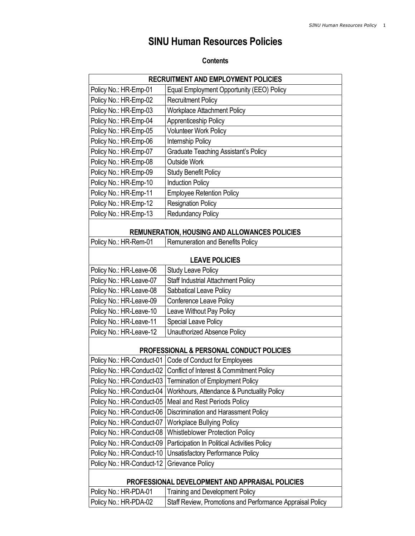# SINU Human Resources Policies

## **Contents**

| <b>RECRUITMENT AND EMPLOYMENT POLICIES</b>           |                                                           |  |
|------------------------------------------------------|-----------------------------------------------------------|--|
| Policy No.: HR-Emp-01                                | Equal Employment Opportunity (EEO) Policy                 |  |
| Policy No.: HR-Emp-02                                | <b>Recruitment Policy</b>                                 |  |
| Policy No.: HR-Emp-03                                | <b>Workplace Attachment Policy</b>                        |  |
| Policy No.: HR-Emp-04                                | Apprenticeship Policy                                     |  |
| Policy No.: HR-Emp-05                                | <b>Volunteer Work Policy</b>                              |  |
| Policy No.: HR-Emp-06                                | Internship Policy                                         |  |
| Policy No.: HR-Emp-07                                | <b>Graduate Teaching Assistant's Policy</b>               |  |
| Policy No.: HR-Emp-08                                | <b>Outside Work</b>                                       |  |
| Policy No.: HR-Emp-09                                | <b>Study Benefit Policy</b>                               |  |
| Policy No.: HR-Emp-10                                | <b>Induction Policy</b>                                   |  |
| Policy No.: HR-Emp-11                                | <b>Employee Retention Policy</b>                          |  |
| Policy No.: HR-Emp-12                                | <b>Resignation Policy</b>                                 |  |
| Policy No.: HR-Emp-13                                | <b>Redundancy Policy</b>                                  |  |
| <b>REMUNERATION, HOUSING AND ALLOWANCES POLICIES</b> |                                                           |  |
| Policy No.: HR-Rem-01                                | Remuneration and Benefits Policy                          |  |
|                                                      |                                                           |  |
|                                                      | <b>LEAVE POLICIES</b>                                     |  |
| Policy No.: HR-Leave-06                              | <b>Study Leave Policy</b>                                 |  |
| Policy No.: HR-Leave-07                              | Staff Industrial Attachment Policy                        |  |
| Policy No.: HR-Leave-08                              | Sabbatical Leave Policy                                   |  |
| Policy No.: HR-Leave-09                              | Conference Leave Policy                                   |  |
| Policy No.: HR-Leave-10                              | Leave Without Pay Policy                                  |  |
| Policy No.: HR-Leave-11                              | Special Leave Policy                                      |  |
| Policy No.: HR-Leave-12                              | <b>Unauthorized Absence Policy</b>                        |  |
| PROFESSIONAL & PERSONAL CONDUCT POLICIES             |                                                           |  |
|                                                      | Policy No.: HR-Conduct-01   Code of Conduct for Employees |  |
| Policy No.: HR-Conduct-02                            | Conflict of Interest & Commitment Policy                  |  |
| Policy No.: HR-Conduct-03                            | <b>Termination of Employment Policy</b>                   |  |
| Policy No.: HR-Conduct-04                            | Workhours, Attendance & Punctuality Policy                |  |
| Policy No.: HR-Conduct-05                            | Meal and Rest Periods Policy                              |  |
| Policy No.: HR-Conduct-06                            | Discrimination and Harassment Policy                      |  |
| Policy No.: HR-Conduct-07                            | <b>Workplace Bullying Policy</b>                          |  |
| Policy No.: HR-Conduct-08                            | <b>Whistleblower Protection Policy</b>                    |  |
| Policy No.: HR-Conduct-09                            | Participation In Political Activities Policy              |  |
| Policy No.: HR-Conduct-10                            | <b>Unsatisfactory Performance Policy</b>                  |  |
| Policy No.: HR-Conduct-12                            | Grievance Policy                                          |  |
| PROFESSIONAL DEVELOPMENT AND APPRAISAL POLICIES      |                                                           |  |
| Policy No.: HR-PDA-01                                | <b>Training and Development Policy</b>                    |  |
| Policy No.: HR-PDA-02                                | Staff Review, Promotions and Performance Appraisal Policy |  |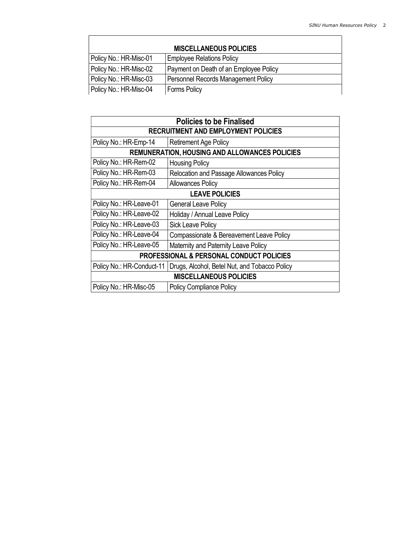| <b>MISCELLANEOUS POLICIES</b> |                                        |  |
|-------------------------------|----------------------------------------|--|
| Policy No.: HR-Misc-01        | <b>Employee Relations Policy</b>       |  |
| Policy No.: HR-Misc-02        | Payment on Death of an Employee Policy |  |
| Policy No.: HR-Misc-03        | Personnel Records Management Policy    |  |
| Policy No.: HR-Misc-04        | <b>Forms Policy</b>                    |  |

| <b>Policies to be Finalised</b>                      |                                               |  |
|------------------------------------------------------|-----------------------------------------------|--|
| <b>RECRUITMENT AND EMPLOYMENT POLICIES</b>           |                                               |  |
| Policy No.: HR-Emp-14                                | <b>Retirement Age Policy</b>                  |  |
| <b>REMUNERATION, HOUSING AND ALLOWANCES POLICIES</b> |                                               |  |
| Policy No.: HR-Rem-02                                | <b>Housing Policy</b>                         |  |
| Policy No.: HR-Rem-03                                | Relocation and Passage Allowances Policy      |  |
| Policy No.: HR-Rem-04                                | <b>Allowances Policy</b>                      |  |
| <b>LEAVE POLICIES</b>                                |                                               |  |
| Policy No.: HR-Leave-01                              | <b>General Leave Policy</b>                   |  |
| Policy No.: HR-Leave-02                              | Holiday / Annual Leave Policy                 |  |
| Policy No.: HR-Leave-03                              | <b>Sick Leave Policy</b>                      |  |
| Policy No.: HR-Leave-04                              | Compassionate & Bereavement Leave Policy      |  |
| Policy No.: HR-Leave-05                              | Maternity and Paternity Leave Policy          |  |
| <b>PROFESSIONAL &amp; PERSONAL CONDUCT POLICIES</b>  |                                               |  |
| Policy No.: HR-Conduct-11                            | Drugs, Alcohol, Betel Nut, and Tobacco Policy |  |
| <b>MISCELLANEOUS POLICIES</b>                        |                                               |  |
| Policy No.: HR-Misc-05                               | <b>Policy Compliance Policy</b>               |  |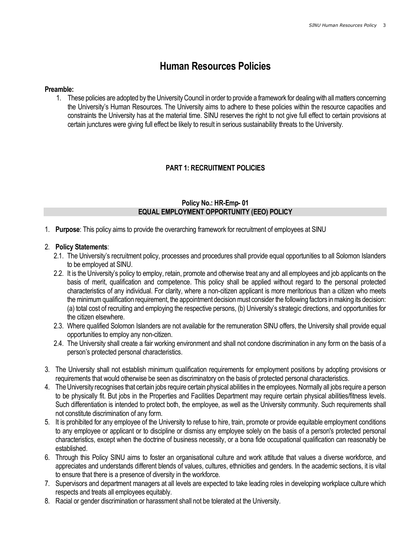## Human Resources Policies

#### Preamble:

1. These policies are adopted by the University Council in order to provide a framework for dealing with all matters concerning the University's Human Resources. The University aims to adhere to these policies within the resource capacities and constraints the University has at the material time. SINU reserves the right to not give full effect to certain provisions at certain junctures were giving full effect be likely to result in serious sustainability threats to the University.

## PART 1: RECRUITMENT POLICIES

## Policy No.: HR-Emp- 01 EQUAL EMPLOYMENT OPPORTUNITY (EEO) POLICY

1. Purpose: This policy aims to provide the overarching framework for recruitment of employees at SINU

#### 2. Policy Statements:

- 2.1. The University's recruitment policy, processes and procedures shall provide equal opportunities to all Solomon Islanders to be employed at SINU.
- 2.2. It is the University's policy to employ, retain, promote and otherwise treat any and all employees and job applicants on the basis of merit, qualification and competence. This policy shall be applied without regard to the personal protected characteristics of any individual. For clarity, where a non-citizen applicant is more meritorious than a citizen who meets the minimum qualification requirement, the appointment decision must consider the following factors in making its decision: (a) total cost of recruiting and employing the respective persons, (b) University's strategic directions, and opportunities for the citizen elsewhere.
- 2.3. Where qualified Solomon Islanders are not available for the remuneration SINU offers, the University shall provide equal opportunities to employ any non-citizen.
- 2.4. The University shall create a fair working environment and shall not condone discrimination in any form on the basis of a person's protected personal characteristics.
- 3. The University shall not establish minimum qualification requirements for employment positions by adopting provisions or requirements that would otherwise be seen as discriminatory on the basis of protected personal characteristics.
- 4. The University recognises that certain jobs require certain physical abilities in the employees. Normally all jobs require a person to be physically fit. But jobs in the Properties and Facilities Department may require certain physical abilities/fitness levels. Such differentiation is intended to protect both, the employee, as well as the University community. Such requirements shall not constitute discrimination of any form.
- 5. It is prohibited for any employee of the University to refuse to hire, train, promote or provide equitable employment conditions to any employee or applicant or to discipline or dismiss any employee solely on the basis of a person's protected personal characteristics, except when the doctrine of business necessity, or a bona fide occupational qualification can reasonably be established.
- 6. Through this Policy SINU aims to foster an organisational culture and work attitude that values a diverse workforce, and appreciates and understands different blends of values, cultures, ethnicities and genders. In the academic sections, it is vital to ensure that there is a presence of diversity in the workforce.
- 7. Supervisors and department managers at all levels are expected to take leading roles in developing workplace culture which respects and treats all employees equitably.
- 8. Racial or gender discrimination or harassment shall not be tolerated at the University.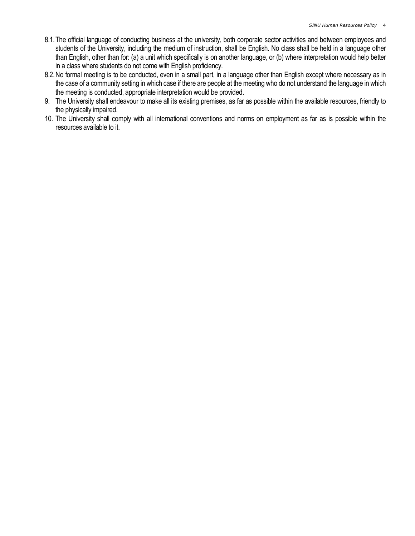- 8.1.The official language of conducting business at the university, both corporate sector activities and between employees and students of the University, including the medium of instruction, shall be English. No class shall be held in a language other than English, other than for: (a) a unit which specifically is on another language, or (b) where interpretation would help better in a class where students do not come with English proficiency.
- 8.2.No formal meeting is to be conducted, even in a small part, in a language other than English except where necessary as in the case of a community setting in which case if there are people at the meeting who do not understand the language in which the meeting is conducted, appropriate interpretation would be provided.
- 9. The University shall endeavour to make all its existing premises, as far as possible within the available resources, friendly to the physically impaired.
- 10. The University shall comply with all international conventions and norms on employment as far as is possible within the resources available to it.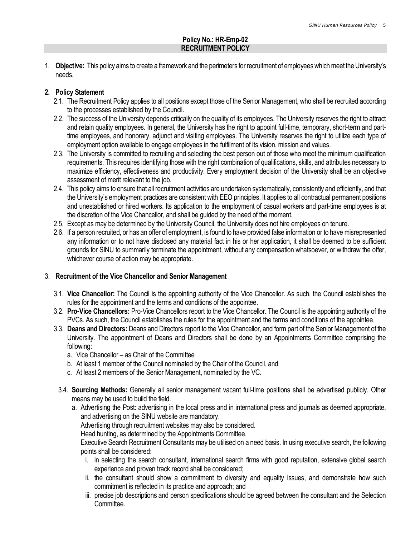## Policy No.: HR-Emp-02 RECRUITMENT POLICY

1. **Objective:** This policy aims to create a framework and the perimeters for recruitment of employees which meet the University's needs.

## 2. Policy Statement

- 2.1. The Recruitment Policy applies to all positions except those of the Senior Management, who shall be recruited according to the processes established by the Council.
- 2.2. The success of the University depends critically on the quality of its employees. The University reserves the right to attract and retain quality employees. In general, the University has the right to appoint full-time, temporary, short-term and parttime employees, and honorary, adjunct and visiting employees. The University reserves the right to utilize each type of employment option available to engage employees in the fulfilment of its vision, mission and values.
- 2.3. The University is committed to recruiting and selecting the best person out of those who meet the minimum qualification requirements. This requires identifying those with the right combination of qualifications, skills, and attributes necessary to maximize efficiency, effectiveness and productivity. Every employment decision of the University shall be an objective assessment of merit relevant to the job.
- 2.4. This policy aims to ensure that all recruitment activities are undertaken systematically, consistently and efficiently, and that the University's employment practices are consistent with EEO principles. It applies to all contractual permanent positions and unestablished or hired workers. Its application to the employment of casual workers and part-time employees is at the discretion of the Vice Chancellor, and shall be guided by the need of the moment.
- 2.5. Except as may be determined by the University Council, the University does not hire employees on tenure.
- 2.6. If a person recruited, or has an offer of employment, is found to have provided false information or to have misrepresented any information or to not have disclosed any material fact in his or her application, it shall be deemed to be sufficient grounds for SINU to summarily terminate the appointment, without any compensation whatsoever, or withdraw the offer, whichever course of action may be appropriate.

## 3. Recruitment of the Vice Chancellor and Senior Management

- 3.1. Vice Chancellor: The Council is the appointing authority of the Vice Chancellor. As such, the Council establishes the rules for the appointment and the terms and conditions of the appointee.
- 3.2. Pro-Vice Chancellors: Pro-Vice Chancellors report to the Vice Chancellor. The Council is the appointing authority of the PVCs. As such, the Council establishes the rules for the appointment and the terms and conditions of the appointee.
- 3.3. Deans and Directors: Deans and Directors report to the Vice Chancellor, and form part of the Senior Management of the University. The appointment of Deans and Directors shall be done by an Appointments Committee comprising the following:
	- a. Vice Chancellor as Chair of the Committee
	- b. At least 1 member of the Council nominated by the Chair of the Council, and
	- c. At least 2 members of the Senior Management, nominated by the VC.
	- 3.4. Sourcing Methods: Generally all senior management vacant full-time positions shall be advertised publicly. Other means may be used to build the field.
		- a. Advertising the Post: advertising in the local press and in international press and journals as deemed appropriate, and advertising on the SINU website are mandatory.

Advertising through recruitment websites may also be considered.

Head hunting, as determined by the Appointments Committee.

Executive Search Recruitment Consultants may be utilised on a need basis. In using executive search, the following points shall be considered:

- i. in selecting the search consultant, international search firms with good reputation, extensive global search experience and proven track record shall be considered;
- ii. the consultant should show a commitment to diversity and equality issues, and demonstrate how such commitment is reflected in its practice and approach; and
- iii. precise job descriptions and person specifications should be agreed between the consultant and the Selection Committee.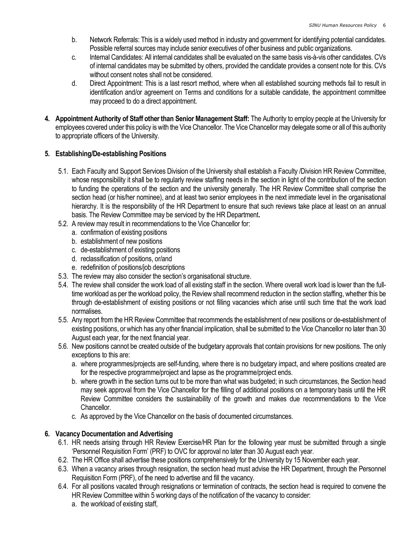- b. Network Referrals: This is a widely used method in industry and government for identifying potential candidates. Possible referral sources may include senior executives of other business and public organizations.
- c. Internal Candidates: All internal candidates shall be evaluated on the same basis vis-à-vis other candidates. CVs of internal candidates may be submitted by others, provided the candidate provides a consent note for this. CVs without consent notes shall not be considered.
- d. Direct Appointment: This is a last resort method, where when all established sourcing methods fail to result in identification and/or agreement on Terms and conditions for a suitable candidate, the appointment committee may proceed to do a direct appointment.
- 4. Appointment Authority of Staff other than Senior Management Staff: The Authority to employ people at the University for employees covered under this policy is with the Vice Chancellor. The Vice Chancellor may delegate some or all of this authority to appropriate officers of the University.

## 5. Establishing/De-establishing Positions

- 5.1. Each Faculty and Support Services Division of the University shall establish a Faculty /Division HR Review Committee, whose responsibility it shall be to regularly review staffing needs in the section in light of the contribution of the section to funding the operations of the section and the university generally. The HR Review Committee shall comprise the section head (or his/her nominee), and at least two senior employees in the next immediate level in the organisational hierarchy. It is the responsibility of the HR Department to ensure that such reviews take place at least on an annual basis. The Review Committee may be serviced by the HR Department.
- 5.2. A review may result in recommendations to the Vice Chancellor for:
	- a. confirmation of existing positions
	- b. establishment of new positions
	- c. de-establishment of existing positions
	- d. reclassification of positions, or/and
	- e. redefinition of positions/job descriptions
- 5.3. The review may also consider the section's organisational structure.
- 5.4. The review shall consider the work load of all existing staff in the section. Where overall work load is lower than the fulltime workload as per the workload policy, the Review shall recommend reduction in the section staffing, whether this be through de-establishment of existing positions or not filling vacancies which arise until such time that the work load normalises.
- 5.5. Any report from the HR Review Committee that recommends the establishment of new positions or de-establishment of existing positions, or which has any other financial implication, shall be submitted to the Vice Chancellor no later than 30 August each year, for the next financial year.
- 5.6. New positions cannot be created outside of the budgetary approvals that contain provisions for new positions. The only exceptions to this are:
	- a. where programmes/projects are self-funding, where there is no budgetary impact, and where positions created are for the respective programme/project and lapse as the programme/project ends.
	- b. where growth in the section turns out to be more than what was budgeted; in such circumstances, the Section head may seek approval from the Vice Chancellor for the filling of additional positions on a temporary basis until the HR Review Committee considers the sustainability of the growth and makes due recommendations to the Vice Chancellor.
	- c. As approved by the Vice Chancellor on the basis of documented circumstances.

## 6. Vacancy Documentation and Advertising

- 6.1. HR needs arising through HR Review Exercise/HR Plan for the following year must be submitted through a single 'Personnel Requisition Form' (PRF) to OVC for approval no later than 30 August each year.
- 6.2. The HR Office shall advertise these positions comprehensively for the University by 15 November each year.
- 6.3. When a vacancy arises through resignation, the section head must advise the HR Department, through the Personnel Requisition Form (PRF), of the need to advertise and fill the vacancy.
- 6.4. For all positions vacated through resignations or termination of contracts, the section head is required to convene the HR Review Committee within 5 working days of the notification of the vacancy to consider:
	- a. the workload of existing staff,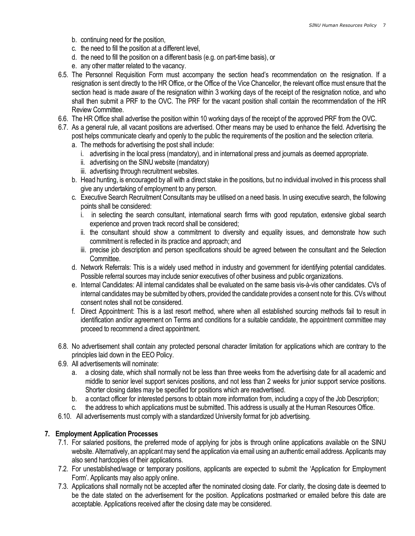- b. continuing need for the position,
- c. the need to fill the position at a different level,
- d. the need to fill the position on a different basis (e.g. on part-time basis), or
- e. any other matter related to the vacancy.
- 6.5. The Personnel Requisition Form must accompany the section head's recommendation on the resignation. If a resignation is sent directly to the HR Office, or the Office of the Vice Chancellor, the relevant office must ensure that the section head is made aware of the resignation within 3 working days of the receipt of the resignation notice, and who shall then submit a PRF to the OVC. The PRF for the vacant position shall contain the recommendation of the HR Review Committee.
- 6.6. The HR Office shall advertise the position within 10 working days of the receipt of the approved PRF from the OVC.
- 6.7. As a general rule, all vacant positions are advertised. Other means may be used to enhance the field. Advertising the post helps communicate clearly and openly to the public the requirements of the position and the selection criteria.
	- a. The methods for advertising the post shall include:
		- i. advertising in the local press (mandatory), and in international press and journals as deemed appropriate.
		- ii. advertising on the SINU website (mandatory)
		- iii. advertising through recruitment websites.
	- b. Head hunting, is encouraged by all with a direct stake in the positions, but no individual involved in this process shall give any undertaking of employment to any person.
	- c. Executive Search Recruitment Consultants may be utilised on a need basis. In using executive search, the following points shall be considered:
		- i. in selecting the search consultant, international search firms with good reputation, extensive global search experience and proven track record shall be considered;
		- ii. the consultant should show a commitment to diversity and equality issues, and demonstrate how such commitment is reflected in its practice and approach; and
		- iii. precise job description and person specifications should be agreed between the consultant and the Selection Committee.
	- d. Network Referrals: This is a widely used method in industry and government for identifying potential candidates. Possible referral sources may include senior executives of other business and public organizations.
	- e. Internal Candidates: All internal candidates shall be evaluated on the same basis vis-à-vis other candidates. CVs of internal candidates may be submitted by others, provided the candidate provides a consent note for this. CVs without consent notes shall not be considered.
	- f. Direct Appointment: This is a last resort method, where when all established sourcing methods fail to result in identification and/or agreement on Terms and conditions for a suitable candidate, the appointment committee may proceed to recommend a direct appointment.
- 6.8. No advertisement shall contain any protected personal character limitation for applications which are contrary to the principles laid down in the EEO Policy.
- 6.9. All advertisements will nominate:
	- a. a closing date, which shall normally not be less than three weeks from the advertising date for all academic and middle to senior level support services positions, and not less than 2 weeks for junior support service positions. Shorter closing dates may be specified for positions which are readvertised.
	- b. a contact officer for interested persons to obtain more information from, including a copy of the Job Description;
	- c. the address to which applications must be submitted. This address is usually at the Human Resources Office.
- 6.10. All advertisements must comply with a standardized University format for job advertising.

#### 7. Employment Application Processes

- 7.1. For salaried positions, the preferred mode of applying for jobs is through online applications available on the SINU website. Alternatively, an applicant may send the application via email using an authentic email address. Applicants may also send hardcopies of their applications.
- 7.2. For unestablished/wage or temporary positions, applicants are expected to submit the 'Application for Employment Form'. Applicants may also apply online.
- 7.3. Applications shall normally not be accepted after the nominated closing date. For clarity, the closing date is deemed to be the date stated on the advertisement for the position. Applications postmarked or emailed before this date are acceptable. Applications received after the closing date may be considered.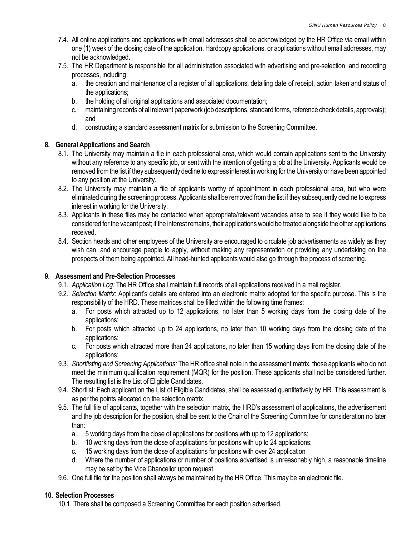- 7.4. All online applications and applications with email addresses shall be acknowledged by the HR Office via email within one (1) week of the closing date of the application. Hardcopy applications, or applications without email addresses, may not be acknowledged.
- 7.5. The HR Department is responsible for all administration associated with advertising and pre-selection, and recording processes, including:
	- a. the creation and maintenance of a register of all applications, detailing date of receipt, action taken and status of the applications;
	- b. the holding of all original applications and associated documentation;
	- c. maintaining records of all relevant paperwork (job descriptions, standard forms, reference check details, approvals); and
	- d. constructing a standard assessment matrix for submission to the Screening Committee.

#### 8. General Applications and Search

- 8.1. The University may maintain a file in each professional area, which would contain applications sent to the University without any reference to any specific job, or sent with the intention of getting a job at the University. Applicants would be removed from the list if they subsequently decline to express interest in working for the University or have been appointed to any position at the University.
- 8.2. The University may maintain a file of applicants worthy of appointment in each professional area, but who were eliminated during the screening process. Applicants shall be removed from the list if they subsequently decline to express interest in working for the University.
- 8.3. Applicants in these files may be contacted when appropriate/relevant vacancies arise to see if they would like to be considered for the vacant post; if the interest remains, their applications would be treated alongside the other applications received.
- 8.4. Section heads and other employees of the University are encouraged to circulate job advertisements as widely as they wish can, and encourage people to apply, without making any representation or providing any undertaking on the prospects of them being appointed. All head-hunted applicants would also go through the process of screening.

## 9. Assessment and Pre-Selection Processes

- 9.1. Application Log: The HR Office shall maintain full records of all applications received in a mail register.
- 9.2. Selection Matrix: Applicant's details are entered into an electronic matrix adopted for the specific purpose. This is the responsibility of the HRD. These matrices shall be filled within the following time frames:
	- a. For posts which attracted up to 12 applications, no later than 5 working days from the closing date of the applications;
	- b. For posts which attracted up to 24 applications, no later than 10 working days from the closing date of the applications;
	- c. For posts which attracted more than 24 applications, no later than 15 working days from the closing date of the applications;
- 9.3. Shortlisting and Screening Applications: The HR office shall note in the assessment matrix, those applicants who do not meet the minimum qualification requirement (MQR) for the position. These applicants shall not be considered further. The resulting list is the List of Eligible Candidates.
- 9.4. Shortlist: Each applicant on the List of Eligible Candidates, shall be assessed quantitatively by HR. This assessment is as per the points allocated on the selection matrix.
- 9.5. The full file of applicants, together with the selection matrix, the HRD's assessment of applications, the advertisement and the job description for the position, shall be sent to the Chair of the Screening Committee for consideration no later than:
	- a. 5 working days from the close of applications for positions with up to 12 applications;
	- b. 10 working days from the close of applications for positions with up to 24 applications;
	- c. 15 working days from the close of applications for positions with over 24 application
	- d. Where the number of applications or number of positions advertised is unreasonably high, a reasonable timeline may be set by the Vice Chancellor upon request.
- 9.6. One full file for the position shall always be maintained by the HR Office. This may be an electronic file.

#### 10. Selection Processes

10.1. There shall be composed a Screening Committee for each position advertised.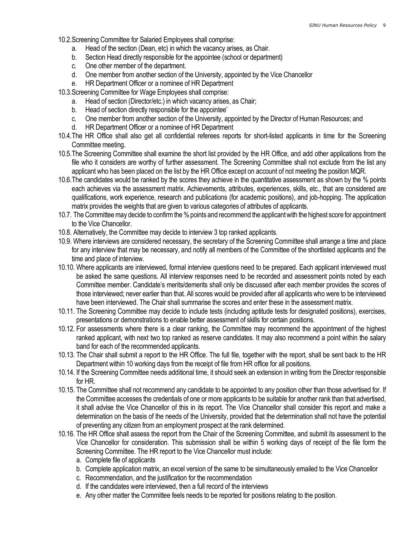10.2.Screening Committee for Salaried Employees shall comprise:

- a. Head of the section (Dean, etc) in which the vacancy arises, as Chair.
- b. Section Head directly responsible for the appointee (school or department)
- c. One other member of the department.
- d. One member from another section of the University, appointed by the Vice Chancellor
- e. HR Department Officer or a nominee of HR Department
- 10.3.Screening Committee for Wage Employees shall comprise:
	- a. Head of section (Director/etc.) in which vacancy arises, as Chair;
	- b. Head of section directly responsible for the appointee'
	- c. One member from another section of the University, appointed by the Director of Human Resources; and
	- d. HR Department Officer or a nominee of HR Department
- 10.4.The HR Office shall also get all confidential referees reports for short-listed applicants in time for the Screening Committee meeting.
- 10.5.The Screening Committee shall examine the short list provided by the HR Office, and add other applications from the file who it considers are worthy of further assessment. The Screening Committee shall not exclude from the list any applicant who has been placed on the list by the HR Office except on account of not meeting the position MQR.
- 10.6.The candidates would be ranked by the scores they achieve in the quantitative assessment as shown by the % points each achieves via the assessment matrix. Achievements, attributes, experiences, skills, etc., that are considered are qualifications, work experience, research and publications (for academic positions), and job-hopping. The application matrix provides the weights that are given to various categories of attributes of applicants.
- 10.7. The Committee may decide to confirm the % points and recommend the applicant with the highest score for appointment to the Vice Chancellor.
- 10.8. Alternatively, the Committee may decide to interview 3 top ranked applicants.
- 10.9. Where interviews are considered necessary, the secretary of the Screening Committee shall arrange a time and place for any interview that may be necessary, and notify all members of the Committee of the shortlisted applicants and the time and place of interview.
- 10.10. Where applicants are interviewed, formal interview questions need to be prepared. Each applicant interviewed must be asked the same questions. All interview responses need to be recorded and assessment points noted by each Committee member. Candidate's merits/demerits shall only be discussed after each member provides the scores of those interviewed; never earlier than that. All scores would be provided after all applicants who were to be interviewed have been interviewed. The Chair shall summarise the scores and enter these in the assessment matrix.
- 10.11. The Screening Committee may decide to include tests (including aptitude tests for designated positions), exercises, presentations or demonstrations to enable better assessment of skills for certain positions.
- 10.12. For assessments where there is a clear ranking, the Committee may recommend the appointment of the highest ranked applicant, with next two top ranked as reserve candidates. It may also recommend a point within the salary band for each of the recommended applicants.
- 10.13. The Chair shall submit a report to the HR Office. The full file, together with the report, shall be sent back to the HR Department within 10 working days from the receipt of file from HR office for all positions.
- 10.14. If the Screening Committee needs additional time, it should seek an extension in writing from the Director responsible for HR.
- 10.15. The Committee shall not recommend any candidate to be appointed to any position other than those advertised for. If the Committee accesses the credentials of one or more applicants to be suitable for another rank than that advertised, it shall advise the Vice Chancellor of this in its report. The Vice Chancellor shall consider this report and make a determination on the basis of the needs of the University, provided that the determination shall not have the potential of preventing any citizen from an employment prospect at the rank determined.
- 10.16. The HR Office shall assess the report from the Chair of the Screening Committee, and submit its assessment to the Vice Chancellor for consideration. This submission shall be within 5 working days of receipt of the file form the Screening Committee. The HR report to the Vice Chancellor must include:
	- a. Complete file of applicants
	- b. Complete application matrix, an excel version of the same to be simultaneously emailed to the Vice Chancellor
	- c. Recommendation, and the justification for the recommendation
	- d. If the candidates were interviewed, then a full record of the interviews
	- e. Any other matter the Committee feels needs to be reported for positions relating to the position.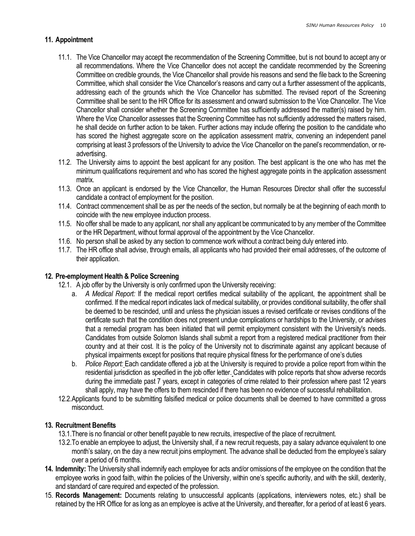## 11. Appointment

- 11.1. The Vice Chancellor may accept the recommendation of the Screening Committee, but is not bound to accept any or all recommendations. Where the Vice Chancellor does not accept the candidate recommended by the Screening Committee on credible grounds, the Vice Chancellor shall provide his reasons and send the file back to the Screening Committee, which shall consider the Vice Chancellor's reasons and carry out a further assessment of the applicants, addressing each of the grounds which the Vice Chancellor has submitted. The revised report of the Screening Committee shall be sent to the HR Office for its assessment and onward submission to the Vice Chancellor. The Vice Chancellor shall consider whether the Screening Committee has sufficiently addressed the matter(s) raised by him. Where the Vice Chancellor assesses that the Screening Committee has not sufficiently addressed the matters raised, he shall decide on further action to be taken. Further actions may include offering the position to the candidate who has scored the highest aggregate score on the application assessment matrix, convening an independent panel comprising at least 3 professors of the University to advice the Vice Chancellor on the panel's recommendation, or readvertising.
- 11.2. The University aims to appoint the best applicant for any position. The best applicant is the one who has met the minimum qualifications requirement and who has scored the highest aggregate points in the application assessment matrix.
- 11.3. Once an applicant is endorsed by the Vice Chancellor, the Human Resources Director shall offer the successful candidate a contract of employment for the position.
- 11.4. Contract commencement shall be as per the needs of the section, but normally be at the beginning of each month to coincide with the new employee induction process.
- 11.5. No offer shall be made to any applicant, nor shall any applicant be communicated to by any member of the Committee or the HR Department, without formal approval of the appointment by the Vice Chancellor.
- 11.6. No person shall be asked by any section to commence work without a contract being duly entered into.
- 11.7. The HR office shall advise, through emails, all applicants who had provided their email addresses, of the outcome of their application.

## 12. Pre-employment Health & Police Screening

- 12.1. A job offer by the University is only confirmed upon the University receiving:
	- a. A Medical Report: If the medical report certifies medical suitability of the applicant, the appointment shall be confirmed. If the medical report indicates lack of medical suitability, or provides conditional suitability, the offer shall be deemed to be rescinded, until and unless the physician issues a revised certificate or revises conditions of the certificate such that the condition does not present undue complications or hardships to the University, or advises that a remedial program has been initiated that will permit employment consistent with the University's needs. Candidates from outside Solomon Islands shall submit a report from a registered medical practitioner from their country and at their cost. It is the policy of the University not to discriminate against any applicant because of physical impairments except for positions that require physical fitness for the performance of one's duties
	- b. Police Report: Each candidate offered a job at the University is required to provide a police report from within the residential jurisdiction as specified in the job offer letter. Candidates with police reports that show adverse records during the immediate past 7 years, except in categories of crime related to their profession where past 12 years shall apply, may have the offers to them rescinded if there has been no evidence of successful rehabilitation.
- 12.2.Applicants found to be submitting falsified medical or police documents shall be deemed to have committed a gross misconduct.

## 13. Recruitment Benefits

- 13.1.There is no financial or other benefit payable to new recruits, irrespective of the place of recruitment.
- 13.2.To enable an employee to adjust, the University shall, if a new recruit requests, pay a salary advance equivalent to one month's salary, on the day a new recruit joins employment. The advance shall be deducted from the employee's salary over a period of 6 months.
- 14. Indemnity: The University shall indemnify each employee for acts and/or omissions of the employee on the condition that the employee works in good faith, within the policies of the University, within one's specific authority, and with the skill, dexterity, and standard of care required and expected of the profession.
- 15. Records Management: Documents relating to unsuccessful applicants (applications, interviewers notes, etc.) shall be retained by the HR Office for as long as an employee is active at the University, and thereafter, for a period of at least 6 years.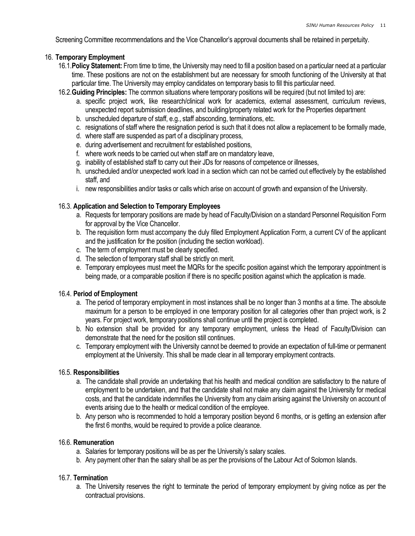Screening Committee recommendations and the Vice Chancellor's approval documents shall be retained in perpetuity.

#### 16. Temporary Employment

- 16.1. Policy Statement: From time to time, the University may need to fill a position based on a particular need at a particular time. These positions are not on the establishment but are necessary for smooth functioning of the University at that particular time. The University may employ candidates on temporary basis to fill this particular need.
- 16.2.Guiding Principles: The common situations where temporary positions will be required (but not limited to) are:
	- a. specific project work, like research/clinical work for academics, external assessment, curriculum reviews, unexpected report submission deadlines, and building/property related work for the Properties department
	- b. unscheduled departure of staff, e.g., staff absconding, terminations, etc.
	- c. resignations of staff where the resignation period is such that it does not allow a replacement to be formally made,
	- d. where staff are suspended as part of a disciplinary process,
	- e. during advertisement and recruitment for established positions,
	- f. where work needs to be carried out when staff are on mandatory leave,
	- g. inability of established staff to carry out their JDs for reasons of competence or illnesses,
	- h. unscheduled and/or unexpected work load in a section which can not be carried out effectively by the established staff, and
	- i. new responsibilities and/or tasks or calls which arise on account of growth and expansion of the University.

## 16.3. Application and Selection to Temporary Employees

- a. Requests for temporary positions are made by head of Faculty/Division on a standard Personnel Requisition Form for approval by the Vice Chancellor.
- b. The requisition form must accompany the duly filled Employment Application Form, a current CV of the applicant and the justification for the position (including the section workload).
- c. The term of employment must be clearly specified.
- d. The selection of temporary staff shall be strictly on merit.
- e. Temporary employees must meet the MQRs for the specific position against which the temporary appointment is being made, or a comparable position if there is no specific position against which the application is made.

#### 16.4. Period of Employment

- a. The period of temporary employment in most instances shall be no longer than 3 months at a time. The absolute maximum for a person to be employed in one temporary position for all categories other than project work, is 2 years. For project work, temporary positions shall continue until the project is completed.
- b. No extension shall be provided for any temporary employment, unless the Head of Faculty/Division can demonstrate that the need for the position still continues.
- c. Temporary employment with the University cannot be deemed to provide an expectation of full-time or permanent employment at the University. This shall be made clear in all temporary employment contracts.

#### 16.5. Responsibilities

- a. The candidate shall provide an undertaking that his health and medical condition are satisfactory to the nature of employment to be undertaken, and that the candidate shall not make any claim against the University for medical costs, and that the candidate indemnifies the University from any claim arising against the University on account of events arising due to the health or medical condition of the employee.
- b. Any person who is recommended to hold a temporary position beyond 6 months, or is getting an extension after the first 6 months, would be required to provide a police clearance.

#### 16.6. Remuneration

- a. Salaries for temporary positions will be as per the University's salary scales.
- b. Any payment other than the salary shall be as per the provisions of the Labour Act of Solomon Islands.

## 16.7. Termination

a. The University reserves the right to terminate the period of temporary employment by giving notice as per the contractual provisions.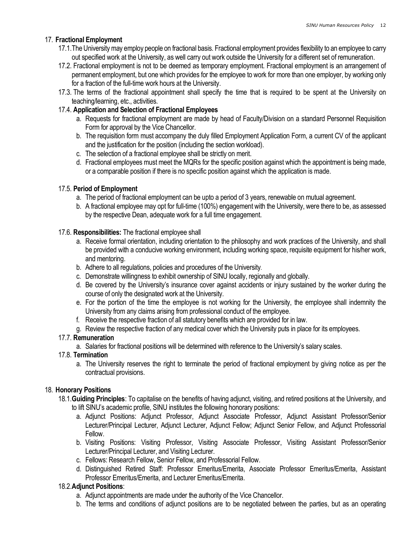## 17. Fractional Employment

- 17.1.The University may employ people on fractional basis. Fractional employment provides flexibility to an employee to carry out specified work at the University, as well carry out work outside the University for a different set of remuneration.
- 17.2. Fractional employment is not to be deemed as temporary employment. Fractional employment is an arrangement of permanent employment, but one which provides for the employee to work for more than one employer, by working only for a fraction of the full-time work hours at the University.
- 17.3. The terms of the fractional appointment shall specify the time that is required to be spent at the University on teaching/learning, etc., activities.

#### 17.4. Application and Selection of Fractional Employees

- a. Requests for fractional employment are made by head of Faculty/Division on a standard Personnel Requisition Form for approval by the Vice Chancellor.
- b. The requisition form must accompany the duly filled Employment Application Form, a current CV of the applicant and the justification for the position (including the section workload).
- c. The selection of a fractional employee shall be strictly on merit.
- d. Fractional employees must meet the MQRs for the specific position against which the appointment is being made, or a comparable position if there is no specific position against which the application is made.

#### 17.5. Period of Employment

- a. The period of fractional employment can be upto a period of 3 years, renewable on mutual agreement.
- b. A fractional employee may opt for full-time (100%) engagement with the University, were there to be, as assessed by the respective Dean, adequate work for a full time engagement.

#### 17.6. Responsibilities: The fractional employee shall

- a. Receive formal orientation, including orientation to the philosophy and work practices of the University, and shall be provided with a conducive working environment, including working space, requisite equipment for his/her work, and mentoring.
- b. Adhere to all regulations, policies and procedures of the University.
- c. Demonstrate willingness to exhibit ownership of SINU locally, regionally and globally.
- d. Be covered by the University's insurance cover against accidents or injury sustained by the worker during the course of only the designated work at the University.
- e. For the portion of the time the employee is not working for the University, the employee shall indemnity the University from any claims arising from professional conduct of the employee.
- f. Receive the respective fraction of all statutory benefits which are provided for in law.
- g. Review the respective fraction of any medical cover which the University puts in place for its employees.

## 17.7. Remuneration

a. Salaries for fractional positions will be determined with reference to the University's salary scales.

#### 17.8. Termination

a. The University reserves the right to terminate the period of fractional employment by giving notice as per the contractual provisions.

#### 18. Honorary Positions

- 18.1.Guiding Principles: To capitalise on the benefits of having adjunct, visiting, and retired positions at the University, and to lift SINU's academic profile, SINU institutes the following honorary positions:
	- a. Adjunct Positions: Adjunct Professor, Adjunct Associate Professor, Adjunct Assistant Professor/Senior Lecturer/Principal Lecturer, Adjunct Lecturer, Adjunct Fellow; Adjunct Senior Fellow, and Adjunct Professorial Fellow.
	- b. Visiting Positions: Visiting Professor, Visiting Associate Professor, Visiting Assistant Professor/Senior Lecturer/Principal Lecturer, and Visiting Lecturer.
	- c. Fellows: Research Fellow, Senior Fellow, and Professorial Fellow.
	- d. Distinguished Retired Staff: Professor Emeritus/Emerita, Associate Professor Emeritus/Emerita, Assistant Professor Emeritus/Emerita, and Lecturer Emeritus/Emerita.

#### 18.2.Adjunct Positions:

- a. Adjunct appointments are made under the authority of the Vice Chancellor.
- b. The terms and conditions of adjunct positions are to be negotiated between the parties, but as an operating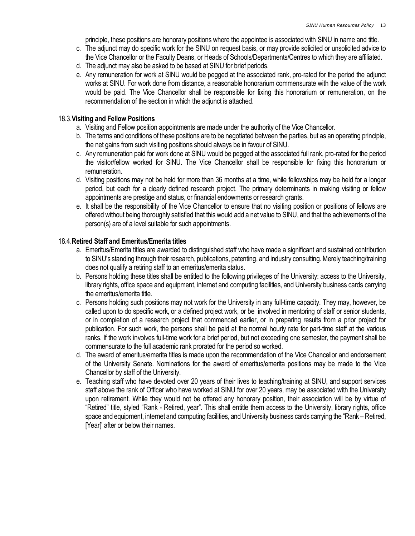principle, these positions are honorary positions where the appointee is associated with SINU in name and title.

- c. The adjunct may do specific work for the SINU on request basis, or may provide solicited or unsolicited advice to the Vice Chancellor or the Faculty Deans, or Heads of Schools/Departments/Centres to which they are affiliated.
- d. The adjunct may also be asked to be based at SINU for brief periods.
- e. Any remuneration for work at SINU would be pegged at the associated rank, pro-rated for the period the adjunct works at SINU. For work done from distance, a reasonable honorarium commensurate with the value of the work would be paid. The Vice Chancellor shall be responsible for fixing this honorarium or remuneration, on the recommendation of the section in which the adjunct is attached.

#### 18.3.Visiting and Fellow Positions

- a. Visiting and Fellow position appointments are made under the authority of the Vice Chancellor.
- b. The terms and conditions of these positions are to be negotiated between the parties, but as an operating principle, the net gains from such visiting positions should always be in favour of SINU.
- c. Any remuneration paid for work done at SINU would be pegged at the associated full rank, pro-rated for the period the visitor/fellow worked for SINU. The Vice Chancellor shall be responsible for fixing this honorarium or remuneration.
- d. Visiting positions may not be held for more than 36 months at a time, while fellowships may be held for a longer period, but each for a clearly defined research project. The primary determinants in making visiting or fellow appointments are prestige and status, or financial endowments or research grants.
- e. It shall be the responsibility of the Vice Chancellor to ensure that no visiting position or positions of fellows are offered without being thoroughly satisfied that this would add a net value to SINU, and that the achievements of the person(s) are of a level suitable for such appointments.

#### 18.4.Retired Staff and Emeritus/Emerita titles

- a. Emeritus/Emerita titles are awarded to distinguished staff who have made a significant and sustained contribution to SINU's standing through their research, publications, patenting, and industry consulting. Merely teaching/training does not qualify a retiring staff to an emeritus/emerita status.
- b. Persons holding these titles shall be entitled to the following privileges of the University: access to the University, library rights, office space and equipment, internet and computing facilities, and University business cards carrying the emeritus/emerita title.
- c. Persons holding such positions may not work for the University in any full-time capacity. They may, however, be called upon to do specific work, or a defined project work, or be involved in mentoring of staff or senior students, or in completion of a research project that commenced earlier, or in preparing results from a prior project for publication. For such work, the persons shall be paid at the normal hourly rate for part-time staff at the various ranks. If the work involves full-time work for a brief period, but not exceeding one semester, the payment shall be commensurate to the full academic rank prorated for the period so worked.
- d. The award of emeritus/emerita titles is made upon the recommendation of the Vice Chancellor and endorsement of the University Senate. Nominations for the award of emeritus/emerita positions may be made to the Vice Chancellor by staff of the University.
- e. Teaching staff who have devoted over 20 years of their lives to teaching/training at SINU, and support services staff above the rank of Officer who have worked at SINU for over 20 years, may be associated with the University upon retirement. While they would not be offered any honorary position, their association will be by virtue of "Retired" title, styled "Rank - Retired, year". This shall entitle them access to the University, library rights, office space and equipment, internet and computing facilities, and University business cards carrying the "Rank – Retired, [Year]' after or below their names.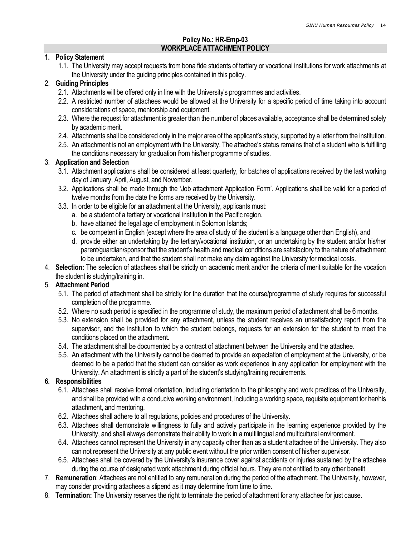## Policy No.: HR-Emp-03 WORKPLACE ATTACHMENT POLICY

#### 1. Policy Statement

1.1. The University may accept requests from bona fide students of tertiary or vocational institutions for work attachments at the University under the guiding principles contained in this policy.

#### 2. Guiding Principles

- 2.1. Attachments will be offered only in line with the University's programmes and activities.
- 2.2. A restricted number of attachees would be allowed at the University for a specific period of time taking into account considerations of space, mentorship and equipment.
- 2.3. Where the request for attachment is greater than the number of places available, acceptance shall be determined solely by academic merit.
- 2.4. Attachments shall be considered only in the major area of the applicant's study, supported by a letter from the institution.
- 2.5. An attachment is not an employment with the University. The attachee's status remains that of a student who is fulfilling the conditions necessary for graduation from his/her programme of studies.

#### 3. Application and Selection

- 3.1. Attachment applications shall be considered at least quarterly, for batches of applications received by the last working day of January, April, August, and November.
- 3.2. Applications shall be made through the 'Job attachment Application Form'. Applications shall be valid for a period of twelve months from the date the forms are received by the University.
- 3.3. In order to be eligible for an attachment at the University, applicants must:
	- a. be a student of a tertiary or vocational institution in the Pacific region.
	- b. have attained the legal age of employment in Solomon Islands;
	- c. be competent in English (except where the area of study of the student is a language other than English), and
	- d. provide either an undertaking by the tertiary/vocational institution, or an undertaking by the student and/or his/her parent/guardian/sponsor that the student's health and medical conditions are satisfactory to the nature of attachment to be undertaken, and that the student shall not make any claim against the University for medical costs.
- 4. Selection: The selection of attachees shall be strictly on academic merit and/or the criteria of merit suitable for the vocation the student is studying/training in.

## 5. Attachment Period

- 5.1. The period of attachment shall be strictly for the duration that the course/programme of study requires for successful completion of the programme.
- 5.2. Where no such period is specified in the programme of study, the maximum period of attachment shall be 6 months.
- 5.3. No extension shall be provided for any attachment, unless the student receives an unsatisfactory report from the supervisor, and the institution to which the student belongs, requests for an extension for the student to meet the conditions placed on the attachment.
- 5.4. The attachment shall be documented by a contract of attachment between the University and the attachee.
- 5.5. An attachment with the University cannot be deemed to provide an expectation of employment at the University, or be deemed to be a period that the student can consider as work experience in any application for employment with the University. An attachment is strictly a part of the student's studying/training requirements.

## 6. Responsibilities

- 6.1. Attachees shall receive formal orientation, including orientation to the philosophy and work practices of the University, and shall be provided with a conducive working environment, including a working space, requisite equipment for her/his attachment, and mentoring.
- 6.2. Attachees shall adhere to all regulations, policies and procedures of the University.
- 6.3. Attachees shall demonstrate willingness to fully and actively participate in the learning experience provided by the University, and shall always demonstrate their ability to work in a multilingual and multicultural environment.
- 6.4. Attachees cannot represent the University in any capacity other than as a student attachee of the University. They also can not represent the University at any public event without the prior written consent of his/her supervisor.
- 6.5. Attachees shall be covered by the University's insurance cover against accidents or injuries sustained by the attachee during the course of designated work attachment during official hours. They are not entitled to any other benefit.
- 7. Remuneration: Attachees are not entitled to any remuneration during the period of the attachment. The University, however, may consider providing attachees a stipend as it may determine from time to time.
- 8. Termination: The University reserves the right to terminate the period of attachment for any attachee for just cause.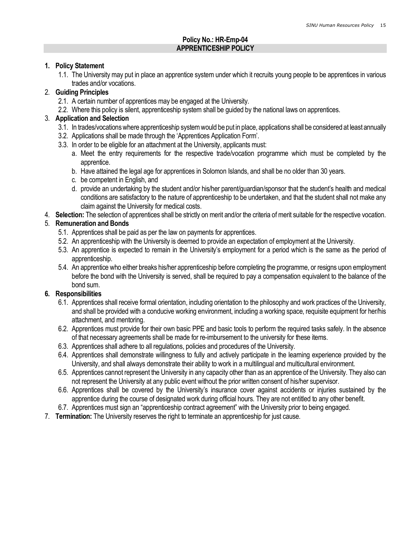## Policy No.: HR-Emp-04 APPRENTICESHIP POLICY

#### 1. Policy Statement

1.1. The University may put in place an apprentice system under which it recruits young people to be apprentices in various trades and/or vocations.

## 2. Guiding Principles

- 2.1. A certain number of apprentices may be engaged at the University.
- 2.2. Where this policy is silent, apprenticeship system shall be guided by the national laws on apprentices.

## 3. Application and Selection

- 3.1. In trades/vocations where apprenticeship system would be put in place, applications shall be considered at least annually
- 3.2. Applications shall be made through the 'Apprentices Application Form'.
- 3.3. In order to be eligible for an attachment at the University, applicants must:
	- a. Meet the entry requirements for the respective trade/vocation programme which must be completed by the apprentice.
	- b. Have attained the legal age for apprentices in Solomon Islands, and shall be no older than 30 years.
	- c. be competent in English, and
	- d. provide an undertaking by the student and/or his/her parent/guardian/sponsor that the student's health and medical conditions are satisfactory to the nature of apprenticeship to be undertaken, and that the student shall not make any claim against the University for medical costs.
- 4. Selection: The selection of apprentices shall be strictly on merit and/or the criteria of merit suitable for the respective vocation.

## 5. Remuneration and Bonds

- 5.1. Apprentices shall be paid as per the law on payments for apprentices.
- 5.2. An apprenticeship with the University is deemed to provide an expectation of employment at the University.
- 5.3. An apprentice is expected to remain in the University's employment for a period which is the same as the period of apprenticeship.
- 5.4. An apprentice who either breaks his/her apprenticeship before completing the programme, or resigns upon employment before the bond with the University is served, shall be required to pay a compensation equivalent to the balance of the bond sum.

## 6. Responsibilities

- 6.1. Apprentices shall receive formal orientation, including orientation to the philosophy and work practices of the University, and shall be provided with a conducive working environment, including a working space, requisite equipment for her/his attachment, and mentoring.
- 6.2. Apprentices must provide for their own basic PPE and basic tools to perform the required tasks safely. In the absence of that necessary agreements shall be made for re-imbursement to the university for these items.
- 6.3. Apprentices shall adhere to all regulations, policies and procedures of the University.
- 6.4. Apprentices shall demonstrate willingness to fully and actively participate in the learning experience provided by the University, and shall always demonstrate their ability to work in a multilingual and multicultural environment.
- 6.5. Apprentices cannot represent the University in any capacity other than as an apprentice of the University. They also can not represent the University at any public event without the prior written consent of his/her supervisor.
- 6.6. Apprentices shall be covered by the University's insurance cover against accidents or injuries sustained by the apprentice during the course of designated work during official hours. They are not entitled to any other benefit.
- 6.7. Apprentices must sign an "apprenticeship contract agreement" with the University prior to being engaged.
- 7. Termination: The University reserves the right to terminate an apprenticeship for just cause.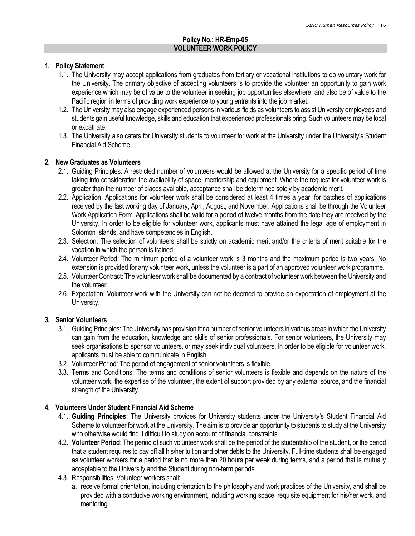## Policy No.: HR-Emp-05 VOLUNTEER WORK POLICY

#### 1. Policy Statement

- 1.1. The University may accept applications from graduates from tertiary or vocational institutions to do voluntary work for the University. The primary objective of accepting volunteers is to provide the volunteer an opportunity to gain work experience which may be of value to the volunteer in seeking job opportunities elsewhere, and also be of value to the Pacific region in terms of providing work experience to young entrants into the job market.
- 1.2. The University may also engage experienced persons in various fields as volunteers to assist University employees and students gain useful knowledge, skills and education that experienced professionals bring. Such volunteers may be local or expatriate.
- 1.3. The University also caters for University students to volunteer for work at the University under the University's Student Financial Aid Scheme.

#### 2. New Graduates as Volunteers

- 2.1. Guiding Principles: A restricted number of volunteers would be allowed at the University for a specific period of time taking into consideration the availability of space, mentorship and equipment. Where the request for volunteer work is greater than the number of places available, acceptance shall be determined solely by academic merit.
- 2.2. Application: Applications for volunteer work shall be considered at least 4 times a year, for batches of applications received by the last working day of January, April, August, and November. Applications shall be through the Volunteer Work Application Form. Applications shall be valid for a period of twelve months from the date they are received by the University. In order to be eligible for volunteer work, applicants must have attained the legal age of employment in Solomon Islands, and have competencies in English.
- 2.3. Selection: The selection of volunteers shall be strictly on academic merit and/or the criteria of merit suitable for the vocation in which the person is trained.
- 2.4. Volunteer Period: The minimum period of a volunteer work is 3 months and the maximum period is two years. No extension is provided for any volunteer work, unless the volunteer is a part of an approved volunteer work programme.
- 2.5. Volunteer Contract: The volunteer work shall be documented by a contract of volunteer work between the University and the volunteer.
- 2.6. Expectation: Volunteer work with the University can not be deemed to provide an expectation of employment at the University.

#### 3. Senior Volunteers

- 3.1. Guiding Principles: The University has provision for a number of senior volunteers in various areas in which the University can gain from the education, knowledge and skills of senior professionals. For senior volunteers, the University may seek organisations to sponsor volunteers, or may seek individual volunteers. In order to be eligible for volunteer work, applicants must be able to communicate in English.
- 3.2. Volunteer Period: The period of engagement of senior volunteers is flexible.
- 3.3. Terms and Conditions: The terms and conditions of senior volunteers is flexible and depends on the nature of the volunteer work, the expertise of the volunteer, the extent of support provided by any external source, and the financial strength of the University.

## 4. Volunteers Under Student Financial Aid Scheme

- 4.1. Guiding Principles: The University provides for University students under the University's Student Financial Aid Scheme to volunteer for work at the University. The aim is to provide an opportunity to students to study at the University who otherwise would find it difficult to study on account of financial constraints.
- 4.2. Volunteer Period: The period of such volunteer work shall be the period of the studentship of the student, or the period that a student requires to pay off all his/her tuition and other debts to the University. Full-time students shall be engaged as volunteer workers for a period that is no more than 20 hours per week during terms, and a period that is mutually acceptable to the University and the Student during non-term periods.
- 4.3. Responsibilities: Volunteer workers shall:
	- a. receive formal orientation, including orientation to the philosophy and work practices of the University, and shall be provided with a conducive working environment, including working space, requisite equipment for his/her work, and mentoring.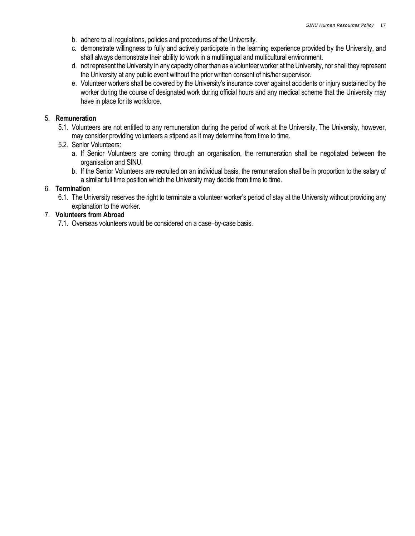- b. adhere to all regulations, policies and procedures of the University.
- c. demonstrate willingness to fully and actively participate in the learning experience provided by the University, and shall always demonstrate their ability to work in a multilingual and multicultural environment.
- d. not represent the University in any capacity other than as a volunteer worker at the University, nor shall they represent the University at any public event without the prior written consent of his/her supervisor.
- e. Volunteer workers shall be covered by the University's insurance cover against accidents or injury sustained by the worker during the course of designated work during official hours and any medical scheme that the University may have in place for its workforce.

#### 5. Remuneration

- 5.1. Volunteers are not entitled to any remuneration during the period of work at the University. The University, however, may consider providing volunteers a stipend as it may determine from time to time.
- 5.2. Senior Volunteers:
	- a. If Senior Volunteers are coming through an organisation, the remuneration shall be negotiated between the organisation and SINU.
	- b. If the Senior Volunteers are recruited on an individual basis, the remuneration shall be in proportion to the salary of a similar full time position which the University may decide from time to time.

#### 6. Termination

6.1. The University reserves the right to terminate a volunteer worker's period of stay at the University without providing any explanation to the worker.

#### 7. Volunteers from Abroad

7.1. Overseas volunteers would be considered on a case–by-case basis.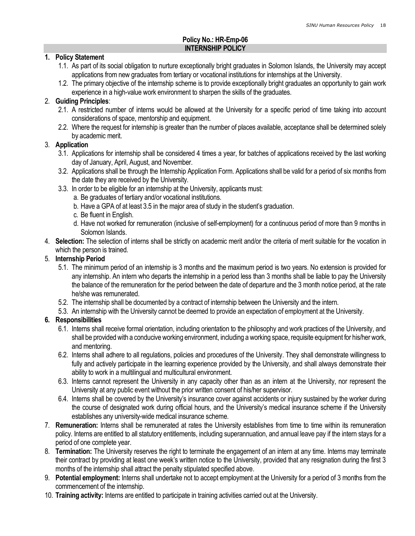#### Policy No.: HR-Emp-06 INTERNSHIP POLICY

#### 1. Policy Statement

- 1.1. As part of its social obligation to nurture exceptionally bright graduates in Solomon Islands, the University may accept applications from new graduates from tertiary or vocational institutions for internships at the University.
- 1.2. The primary objective of the internship scheme is to provide exceptionally bright graduates an opportunity to gain work experience in a high-value work environment to sharpen the skills of the graduates.

#### 2. Guiding Principles:

- 2.1. A restricted number of interns would be allowed at the University for a specific period of time taking into account considerations of space, mentorship and equipment.
- 2.2. Where the request for internship is greater than the number of places available, acceptance shall be determined solely by academic merit.

#### 3. Application

- 3.1. Applications for internship shall be considered 4 times a year, for batches of applications received by the last working day of January, April, August, and November.
- 3.2. Applications shall be through the Internship Application Form. Applications shall be valid for a period of six months from the date they are received by the University.
- 3.3. In order to be eligible for an internship at the University, applicants must:
	- a. Be graduates of tertiary and/or vocational institutions.
	- b. Have a GPA of at least 3.5 in the major area of study in the student's graduation.
	- c. Be fluent in English.
	- d. Have not worked for remuneration (inclusive of self-employment) for a continuous period of more than 9 months in Solomon Islands.
- 4. Selection: The selection of interns shall be strictly on academic merit and/or the criteria of merit suitable for the vocation in which the person is trained.

#### 5. Internship Period

- 5.1. The minimum period of an internship is 3 months and the maximum period is two years. No extension is provided for any internship. An intern who departs the internship in a period less than 3 months shall be liable to pay the University the balance of the remuneration for the period between the date of departure and the 3 month notice period, at the rate he/she was remunerated.
- 5.2. The internship shall be documented by a contract of internship between the University and the intern.
- 5.3. An internship with the University cannot be deemed to provide an expectation of employment at the University.

## 6. Responsibilities

- 6.1. Interns shall receive formal orientation, including orientation to the philosophy and work practices of the University, and shall be provided with a conducive working environment, including a working space, requisite equipment for his/her work, and mentoring.
- 6.2. Interns shall adhere to all regulations, policies and procedures of the University. They shall demonstrate willingness to fully and actively participate in the learning experience provided by the University, and shall always demonstrate their ability to work in a multilingual and multicultural environment.
- 6.3. Interns cannot represent the University in any capacity other than as an intern at the University, nor represent the University at any public event without the prior written consent of his/her supervisor.
- 6.4. Interns shall be covered by the University's insurance cover against accidents or injury sustained by the worker during the course of designated work during official hours, and the University's medical insurance scheme if the University establishes any university-wide medical insurance scheme.
- 7. Remuneration: Interns shall be remunerated at rates the University establishes from time to time within its remuneration policy. Interns are entitled to all statutory entitlements, including superannuation, and annual leave pay if the intern stays for a period of one complete year.
- 8. Termination: The University reserves the right to terminate the engagement of an intern at any time. Interns may terminate their contract by providing at least one week's written notice to the University, provided that any resignation during the first 3 months of the internship shall attract the penalty stipulated specified above.
- 9. Potential employment: Interns shall undertake not to accept employment at the University for a period of 3 months from the commencement of the internship.
- 10. Training activity: Interns are entitled to participate in training activities carried out at the University.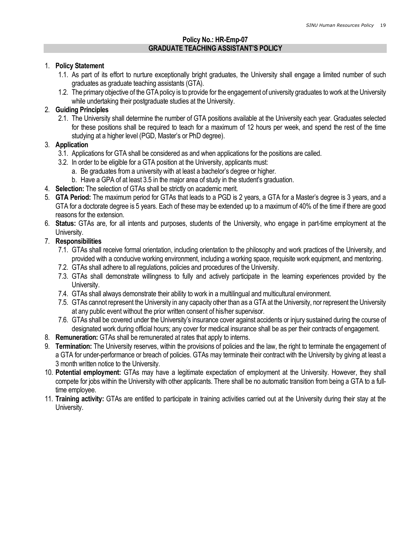#### Policy No.: HR-Emp-07 GRADUATE TEACHING ASSISTANT'S POLICY

#### 1. Policy Statement

- 1.1. As part of its effort to nurture exceptionally bright graduates, the University shall engage a limited number of such graduates as graduate teaching assistants (GTA).
- 1.2. The primary objective of the GTA policy is to provide for the engagement of university graduates to work at the University while undertaking their postgraduate studies at the University.

## 2. Guiding Principles

2.1. The University shall determine the number of GTA positions available at the University each year. Graduates selected for these positions shall be required to teach for a maximum of 12 hours per week, and spend the rest of the time studying at a higher level (PGD, Master's or PhD degree).

#### 3. Application

- 3.1. Applications for GTA shall be considered as and when applications for the positions are called.
- 3.2. In order to be eligible for a GTA position at the University, applicants must:
	- a. Be graduates from a university with at least a bachelor's degree or higher.
	- b. Have a GPA of at least 3.5 in the major area of study in the student's graduation.
- 4. Selection: The selection of GTAs shall be strictly on academic merit.
- 5. GTA Period: The maximum period for GTAs that leads to a PGD is 2 years, a GTA for a Master's degree is 3 years, and a GTA for a doctorate degree is 5 years. Each of these may be extended up to a maximum of 40% of the time if there are good reasons for the extension.
- 6. Status: GTAs are, for all intents and purposes, students of the University, who engage in part-time employment at the University.

#### 7. Responsibilities

- 7.1. GTAs shall receive formal orientation, including orientation to the philosophy and work practices of the University, and provided with a conducive working environment, including a working space, requisite work equipment, and mentoring.
- 7.2. GTAs shall adhere to all regulations, policies and procedures of the University.
- 7.3. GTAs shall demonstrate willingness to fully and actively participate in the learning experiences provided by the University.
- 7.4. GTAs shall always demonstrate their ability to work in a multilingual and multicultural environment.
- 7.5. GTAs cannot represent the University in any capacity other than as a GTA at the University, nor represent the University at any public event without the prior written consent of his/her supervisor.
- 7.6. GTAs shall be covered under the University's insurance cover against accidents or injury sustained during the course of designated work during official hours; any cover for medical insurance shall be as per their contracts of engagement.
- 8. Remuneration: GTAs shall be remunerated at rates that apply to interns.
- 9. Termination: The University reserves, within the provisions of policies and the law, the right to terminate the engagement of a GTA for under-performance or breach of policies. GTAs may terminate their contract with the University by giving at least a 3 month written notice to the University.
- 10. Potential employment: GTAs may have a legitimate expectation of employment at the University. However, they shall compete for jobs within the University with other applicants. There shall be no automatic transition from being a GTA to a fulltime employee.
- 11. Training activity: GTAs are entitled to participate in training activities carried out at the University during their stay at the University.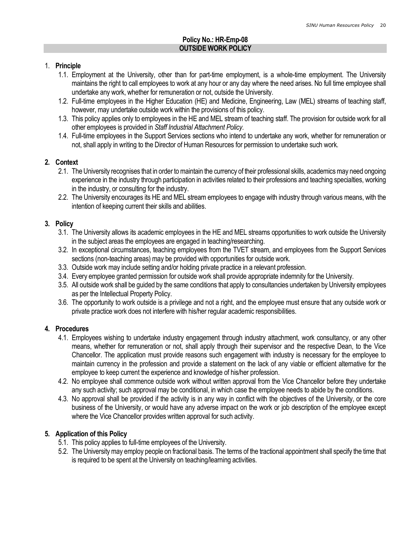## Policy No.: HR-Emp-08 OUTSIDE WORK POLICY

#### 1. Principle

- 1.1. Employment at the University, other than for part-time employment, is a whole-time employment. The University maintains the right to call employees to work at any hour or any day where the need arises. No full time employee shall undertake any work, whether for remuneration or not, outside the University.
- 1.2. Full-time employees in the Higher Education (HE) and Medicine, Engineering, Law (MEL) streams of teaching staff, however, may undertake outside work within the provisions of this policy.
- 1.3. This policy applies only to employees in the HE and MEL stream of teaching staff. The provision for outside work for all other employees is provided in Staff Industrial Attachment Policy.
- 1.4. Full-time employees in the Support Services sections who intend to undertake any work, whether for remuneration or not, shall apply in writing to the Director of Human Resources for permission to undertake such work.

#### 2. Context

- 2.1. The University recognises that in order to maintain the currency of their professional skills, academics may need ongoing experience in the industry through participation in activities related to their professions and teaching specialties, working in the industry, or consulting for the industry.
- 2.2. The University encourages its HE and MEL stream employees to engage with industry through various means, with the intention of keeping current their skills and abilities.

#### 3. Policy

- 3.1. The University allows its academic employees in the HE and MEL streams opportunities to work outside the University in the subject areas the employees are engaged in teaching/researching.
- 3.2. In exceptional circumstances, teaching employees from the TVET stream, and employees from the Support Services sections (non-teaching areas) may be provided with opportunities for outside work.
- 3.3. Outside work may include setting and/or holding private practice in a relevant profession.
- 3.4. Every employee granted permission for outside work shall provide appropriate indemnity for the University.
- 3.5. All outside work shall be guided by the same conditions that apply to consultancies undertaken by University employees as per the Intellectual Property Policy.
- 3.6. The opportunity to work outside is a privilege and not a right, and the employee must ensure that any outside work or private practice work does not interfere with his/her regular academic responsibilities.

## 4. Procedures

- 4.1. Employees wishing to undertake industry engagement through industry attachment, work consultancy, or any other means, whether for remuneration or not, shall apply through their supervisor and the respective Dean, to the Vice Chancellor. The application must provide reasons such engagement with industry is necessary for the employee to maintain currency in the profession and provide a statement on the lack of any viable or efficient alternative for the employee to keep current the experience and knowledge of his/her profession.
- 4.2. No employee shall commence outside work without written approval from the Vice Chancellor before they undertake any such activity; such approval may be conditional, in which case the employee needs to abide by the conditions.
- 4.3. No approval shall be provided if the activity is in any way in conflict with the objectives of the University, or the core business of the University, or would have any adverse impact on the work or job description of the employee except where the Vice Chancellor provides written approval for such activity.

## 5. Application of this Policy

- 5.1. This policy applies to full-time employees of the University.
- 5.2. The University may employ people on fractional basis. The terms of the tractional appointment shall specify the time that is required to be spent at the University on teaching/learning activities.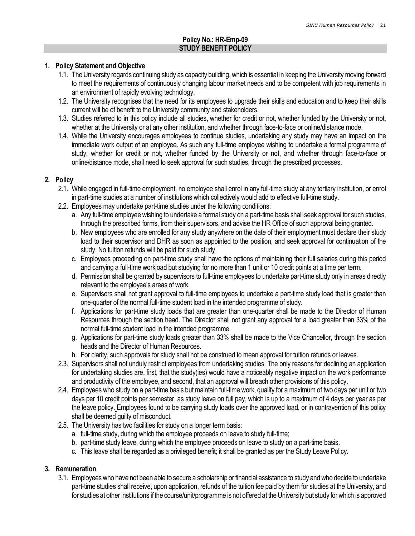## Policy No.: HR-Emp-09 STUDY BENEFIT POLICY

#### 1. Policy Statement and Objective

- 1.1. The University regards continuing study as capacity building, which is essential in keeping the University moving forward to meet the requirements of continuously changing labour market needs and to be competent with job requirements in an environment of rapidly evolving technology.
- 1.2. The University recognises that the need for its employees to upgrade their skills and education and to keep their skills current will be of benefit to the University community and stakeholders.
- 1.3. Studies referred to in this policy include all studies, whether for credit or not, whether funded by the University or not, whether at the University or at any other institution, and whether through face-to-face or online/distance mode.
- 1.4. While the University encourages employees to continue studies, undertaking any study may have an impact on the immediate work output of an employee. As such any full-time employee wishing to undertake a formal programme of study, whether for credit or not, whether funded by the University or not, and whether through face-to-face or online/distance mode, shall need to seek approval for such studies, through the prescribed processes.

#### 2. Policy

- 2.1. While engaged in full-time employment, no employee shall enrol in any full-time study at any tertiary institution, or enrol in part-time studies at a number of institutions which collectively would add to effective full-time study.
- 2.2. Employees may undertake part-time studies under the following conditions:
	- a. Any full-time employee wishing to undertake a formal study on a part-time basis shall seek approval for such studies, through the prescribed forms, from their supervisors, and advise the HR Office of such approval being granted.
	- b. New employees who are enrolled for any study anywhere on the date of their employment must declare their study load to their supervisor and DHR as soon as appointed to the position, and seek approval for continuation of the study. No tuition refunds will be paid for such study.
	- c. Employees proceeding on part-time study shall have the options of maintaining their full salaries during this period and carrying a full-time workload but studying for no more than 1 unit or 10 credit points at a time per term.
	- d. Permission shall be granted by supervisors to full-time employees to undertake part-time study only in areas directly relevant to the employee's areas of work.
	- e. Supervisors shall not grant approval to full-time employees to undertake a part-time study load that is greater than one-quarter of the normal full-time student load in the intended programme of study.
	- f. Applications for part-time study loads that are greater than one-quarter shall be made to the Director of Human Resources through the section head. The Director shall not grant any approval for a load greater than 33% of the normal full-time student load in the intended programme.
	- g. Applications for part-time study loads greater than 33% shall be made to the Vice Chancellor, through the section heads and the Director of Human Resources.
	- h. For clarity, such approvals for study shall not be construed to mean approval for tuition refunds or leaves.
- 2.3. Supervisors shall not unduly restrict employees from undertaking studies. The only reasons for declining an application for undertaking studies are, first, that the study(ies) would have a noticeably negative impact on the work performance and productivity of the employee, and second, that an approval will breach other provisions of this policy.
- 2.4. Employees who study on a part-time basis but maintain full-time work, qualify for a maximum of two days per unit or two days per 10 credit points per semester, as study leave on full pay, which is up to a maximum of 4 days per year as per the leave policy. Employees found to be carrying study loads over the approved load, or in contravention of this policy shall be deemed guilty of misconduct.
- 2.5. The University has two facilities for study on a longer term basis:
	- a. full-time study, during which the employee proceeds on leave to study full-time;
	- b. part-time study leave, during which the employee proceeds on leave to study on a part-time basis.
	- c. This leave shall be regarded as a privileged benefit; it shall be granted as per the Study Leave Policy.

## 3. Remuneration

3.1. Employees who have not been able to secure a scholarship or financial assistance to study and who decide to undertake part-time studies shall receive, upon application, refunds of the tuition fee paid by them for studies at the University, and for studies at other institutions if the course/unit/programme is not offered at the University but study for which is approved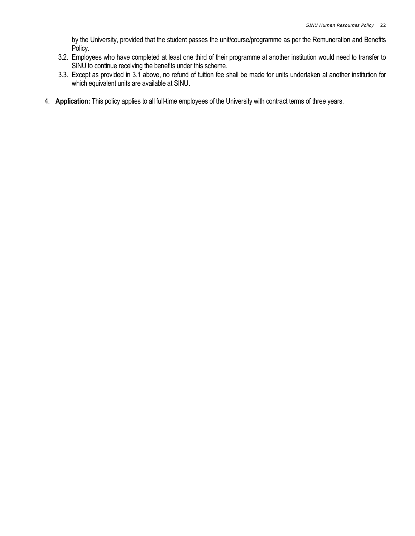by the University, provided that the student passes the unit/course/programme as per the Remuneration and Benefits Policy.

- 3.2. Employees who have completed at least one third of their programme at another institution would need to transfer to SINU to continue receiving the benefits under this scheme.
- 3.3. Except as provided in 3.1 above, no refund of tuition fee shall be made for units undertaken at another institution for which equivalent units are available at SINU.
- 4. Application: This policy applies to all full-time employees of the University with contract terms of three years.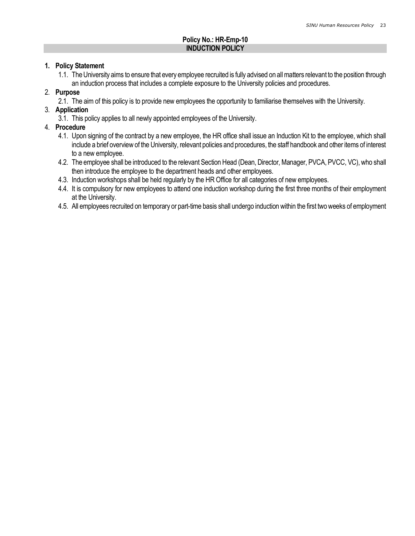## Policy No.: HR-Emp-10 INDUCTION POLICY

#### 1. Policy Statement

1.1. The University aims to ensure that every employee recruited is fully advised on all matters relevant to the position through an induction process that includes a complete exposure to the University policies and procedures.

## 2. Purpose

2.1. The aim of this policy is to provide new employees the opportunity to familiarise themselves with the University.

## 3. Application

3.1. This policy applies to all newly appointed employees of the University.

## 4. Procedure

- 4.1. Upon signing of the contract by a new employee, the HR office shall issue an Induction Kit to the employee, which shall include a brief overview of the University, relevant policies and procedures, the staff handbook and other items of interest to a new employee.
- 4.2. The employee shall be introduced to the relevant Section Head (Dean, Director, Manager, PVCA, PVCC, VC), who shall then introduce the employee to the department heads and other employees.
- 4.3. Induction workshops shall be held regularly by the HR Office for all categories of new employees.
- 4.4. It is compulsory for new employees to attend one induction workshop during the first three months of their employment at the University.
- 4.5. All employees recruited on temporary or part-time basis shall undergo induction within the first two weeks of employment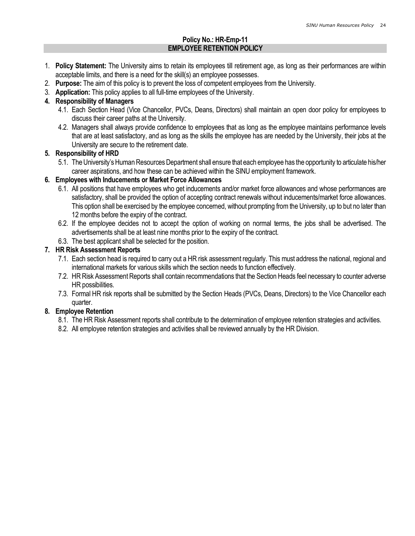## Policy No.: HR-Emp-11 EMPLOYEE RETENTION POLICY

- 1. Policy Statement: The University aims to retain its employees till retirement age, as long as their performances are within acceptable limits, and there is a need for the skill(s) an employee possesses.
- 2. Purpose: The aim of this policy is to prevent the loss of competent employees from the University.
- 3. Application: This policy applies to all full-time employees of the University.

## 4. Responsibility of Managers

- 4.1. Each Section Head (Vice Chancellor, PVCs, Deans, Directors) shall maintain an open door policy for employees to discuss their career paths at the University.
- 4.2. Managers shall always provide confidence to employees that as long as the employee maintains performance levels that are at least satisfactory, and as long as the skills the employee has are needed by the University, their jobs at the University are secure to the retirement date.

## 5. Responsibility of HRD

5.1. The University's Human Resources Department shall ensure that each employee has the opportunity to articulate his/her career aspirations, and how these can be achieved within the SINU employment framework.

## 6. Employees with Inducements or Market Force Allowances

- 6.1. All positions that have employees who get inducements and/or market force allowances and whose performances are satisfactory, shall be provided the option of accepting contract renewals without inducements/market force allowances. This option shall be exercised by the employee concerned, without prompting from the University, up to but no later than 12 months before the expiry of the contract.
- 6.2. If the employee decides not to accept the option of working on normal terms, the jobs shall be advertised. The advertisements shall be at least nine months prior to the expiry of the contract.
- 6.3. The best applicant shall be selected for the position.

## 7. HR Risk Assessment Reports

- 7.1. Each section head is required to carry out a HR risk assessment regularly. This must address the national, regional and international markets for various skills which the section needs to function effectively.
- 7.2. HR Risk Assessment Reports shall contain recommendations that the Section Heads feel necessary to counter adverse HR possibilities.
- 7.3. Formal HR risk reports shall be submitted by the Section Heads (PVCs, Deans, Directors) to the Vice Chancellor each quarter.

## 8. Employee Retention

- 8.1. The HR Risk Assessment reports shall contribute to the determination of employee retention strategies and activities.
- 8.2. All employee retention strategies and activities shall be reviewed annually by the HR Division.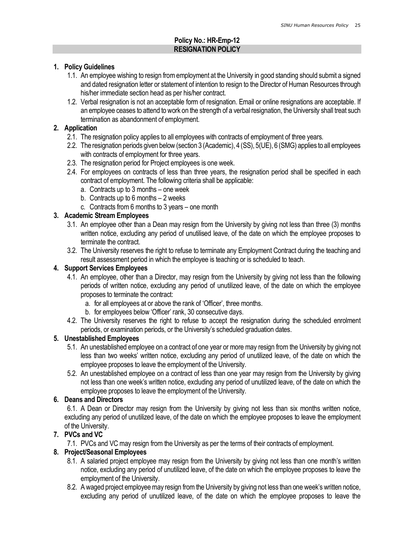## Policy No.: HR-Emp-12 RESIGNATION POLICY

## 1. Policy Guidelines

- 1.1. An employee wishing to resign from employment at the University in good standing should submit a signed and dated resignation letter or statement of intention to resign to the Director of Human Resources through his/her immediate section head as per his/her contract.
- 1.2. Verbal resignation is not an acceptable form of resignation. Email or online resignations are acceptable. If an employee ceases to attend to work on the strength of a verbal resignation, the University shall treat such termination as abandonment of employment.

#### 2. Application

- 2.1. The resignation policy applies to all employees with contracts of employment of three years.
- 2.2. The resignation periods given below (section 3 (Academic), 4 (SS), 5(UE), 6 (SMG) applies to all employees with contracts of employment for three years.
- 2.3. The resignation period for Project employees is one week.
- 2.4. For employees on contracts of less than three years, the resignation period shall be specified in each contract of employment. The following criteria shall be applicable:
	- a. Contracts up to 3 months one week
	- b. Contracts up to 6 months 2 weeks
	- c. Contracts from 6 months to 3 years one month

## 3. Academic Stream Employees

- 3.1. An employee other than a Dean may resign from the University by giving not less than three (3) months written notice, excluding any period of unutilised leave, of the date on which the employee proposes to terminate the contract.
- 3.2. The University reserves the right to refuse to terminate any Employment Contract during the teaching and result assessment period in which the employee is teaching or is scheduled to teach.

## 4. Support Services Employees

- 4.1. An employee, other than a Director, may resign from the University by giving not less than the following periods of written notice, excluding any period of unutilized leave, of the date on which the employee proposes to terminate the contract:
	- a. for all employees at or above the rank of 'Officer', three months.
	- b. for employees below 'Officer' rank, 30 consecutive days.
- 4.2. The University reserves the right to refuse to accept the resignation during the scheduled enrolment periods, or examination periods, or the University's scheduled graduation dates.

## 5. Unestablished Employees

- 5.1. An unestablished employee on a contract of one year or more may resign from the University by giving not less than two weeks' written notice, excluding any period of unutilized leave, of the date on which the employee proposes to leave the employment of the University.
- 5.2. An unestablished employee on a contract of less than one year may resign from the University by giving not less than one week's written notice, excluding any period of unutilized leave, of the date on which the employee proposes to leave the employment of the University.

## 6. Deans and Directors

6.1. A Dean or Director may resign from the University by giving not less than six months written notice, excluding any period of unutilized leave, of the date on which the employee proposes to leave the employment of the University.

## 7. PVCs and VC

7.1. PVCs and VC may resign from the University as per the terms of their contracts of employment.

## 8. Project/Seasonal Employees

- 8.1. A salaried project employee may resign from the University by giving not less than one month's written notice, excluding any period of unutilized leave, of the date on which the employee proposes to leave the employment of the University.
- 8.2. A waged project employee may resign from the University by giving not less than one week's written notice, excluding any period of unutilized leave, of the date on which the employee proposes to leave the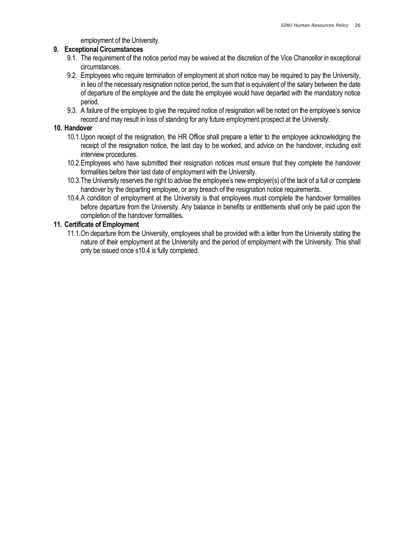employment of the University.

#### 9. Exceptional Circumstances

- 9.1. The requirement of the notice period may be waived at the discretion of the Vice Chancellor in exceptional circumstances.
- 9.2. Employees who require termination of employment at short notice may be required to pay the University, in lieu of the necessary resignation notice period, the sum that is equivalent of the salary between the date of departure of the employee and the date the employee would have departed with the mandatory notice period.
- 9.3. A failure of the employee to give the required notice of resignation will be noted on the employee's service record and may result in loss of standing for any future employment prospect at the University.

#### 10. Handover

- 10.1.Upon receipt of the resignation, the HR Office shall prepare a letter to the employee acknowledging the receipt of the resignation notice, the last day to be worked, and advice on the handover, including exit interview procedures.
- 10.2.Employees who have submitted their resignation notices must ensure that they complete the handover formalities before their last date of employment with the University.
- 10.3.The University reserves the right to advise the employee's new employer(s) of the lack of a full or complete handover by the departing employee, or any breach of the resignation notice requirements.
- 10.4.A condition of employment at the University is that employees must complete the handover formalities before departure from the University. Any balance in benefits or entitlements shall only be paid upon the completion of the handover formalities.

#### 11. Certificate of Employment

11.1.On departure from the University, employees shall be provided with a letter from the University stating the nature of their employment at the University and the period of employment with the University. This shall only be issued once s10.4 is fully completed.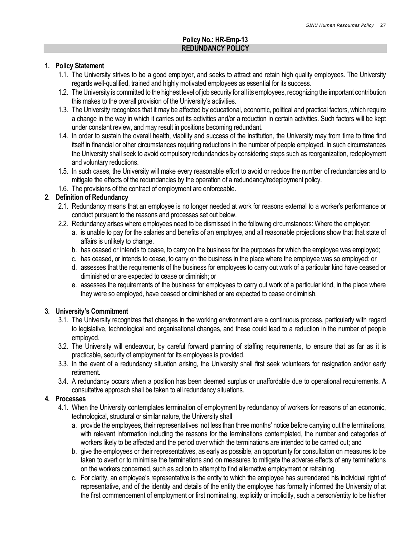## Policy No.: HR-Emp-13 REDUNDANCY POLICY

#### 1. Policy Statement

- 1.1. The University strives to be a good employer, and seeks to attract and retain high quality employees. The University regards well-qualified, trained and highly motivated employees as essential for its success.
- 1.2. The University is committed to the highest level of job security for all its employees, recognizing the important contribution this makes to the overall provision of the University's activities.
- 1.3. The University recognizes that it may be affected by educational, economic, political and practical factors, which require a change in the way in which it carries out its activities and/or a reduction in certain activities. Such factors will be kept under constant review, and may result in positions becoming redundant.
- 1.4. In order to sustain the overall health, viability and success of the institution, the University may from time to time find itself in financial or other circumstances requiring reductions in the number of people employed. In such circumstances the University shall seek to avoid compulsory redundancies by considering steps such as reorganization, redeployment and voluntary reductions.
- 1.5. In such cases, the University will make every reasonable effort to avoid or reduce the number of redundancies and to mitigate the effects of the redundancies by the operation of a redundancy/redeployment policy.
- 1.6. The provisions of the contract of employment are enforceable.

## 2. Definition of Redundancy

- 2.1. Redundancy means that an employee is no longer needed at work for reasons external to a worker's performance or conduct pursuant to the reasons and processes set out below.
- 2.2. Redundancy arises where employees need to be dismissed in the following circumstances: Where the employer:
	- a. is unable to pay for the salaries and benefits of an employee, and all reasonable projections show that that state of affairs is unlikely to change.
	- b. has ceased or intends to cease, to carry on the business for the purposes for which the employee was employed;
	- c. has ceased, or intends to cease, to carry on the business in the place where the employee was so employed; or
	- d. assesses that the requirements of the business for employees to carry out work of a particular kind have ceased or diminished or are expected to cease or diminish; or
	- e. assesses the requirements of the business for employees to carry out work of a particular kind, in the place where they were so employed, have ceased or diminished or are expected to cease or diminish.

## 3. University's Commitment

- 3.1. The University recognizes that changes in the working environment are a continuous process, particularly with regard to legislative, technological and organisational changes, and these could lead to a reduction in the number of people employed.
- 3.2. The University will endeavour, by careful forward planning of staffing requirements, to ensure that as far as it is practicable, security of employment for its employees is provided.
- 3.3. In the event of a redundancy situation arising, the University shall first seek volunteers for resignation and/or early retirement.
- 3.4. A redundancy occurs when a position has been deemed surplus or unaffordable due to operational requirements. A consultative approach shall be taken to all redundancy situations.

## 4. Processes

- 4.1. When the University contemplates termination of employment by redundancy of workers for reasons of an economic, technological, structural or similar nature, the University shall
	- a. provide the employees, their representatives not less than three months' notice before carrying out the terminations, with relevant information including the reasons for the terminations contemplated, the number and categories of workers likely to be affected and the period over which the terminations are intended to be carried out; and
	- b. give the employees or their representatives, as early as possible, an opportunity for consultation on measures to be taken to avert or to minimise the terminations and on measures to mitigate the adverse effects of any terminations on the workers concerned, such as action to attempt to find alternative employment or retraining.
	- c. For clarity, an employee's representative is the entity to which the employee has surrendered his individual right of representative, and of the identity and details of the entity the employee has formally informed the University of at the first commencement of employment or first nominating, explicitly or implicitly, such a person/entity to be his/her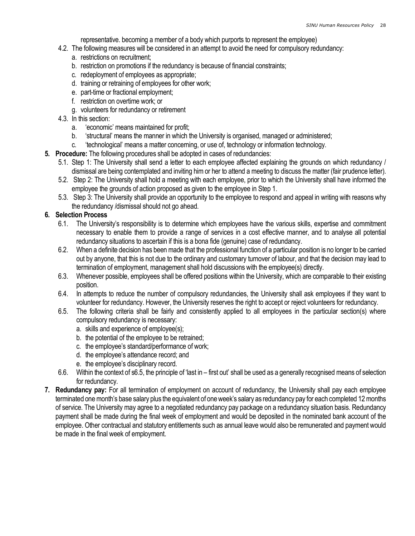representative. becoming a member of a body which purports to represent the employee)

- 4.2. The following measures will be considered in an attempt to avoid the need for compulsory redundancy:
	- a. restrictions on recruitment;
	- b. restriction on promotions if the redundancy is because of financial constraints;
	- c. redeployment of employees as appropriate;
	- d. training or retraining of employees for other work;
	- e. part-time or fractional employment;
	- f. restriction on overtime work; or
	- g. volunteers for redundancy or retirement
- 4.3. In this section:
	- a. 'economic' means maintained for profit;
	- b. 'structural' means the manner in which the University is organised, managed or administered;
	- c. 'technological' means a matter concerning, or use of, technology or information technology.
- 5. Procedure: The following procedures shall be adopted in cases of redundancies:
	- 5.1. Step 1: The University shall send a letter to each employee affected explaining the grounds on which redundancy / dismissal are being contemplated and inviting him or her to attend a meeting to discuss the matter (fair prudence letter).
	- 5.2. Step 2: The University shall hold a meeting with each employee, prior to which the University shall have informed the employee the grounds of action proposed as given to the employee in Step 1.
	- 5.3. Step 3: The University shall provide an opportunity to the employee to respond and appeal in writing with reasons why the redundancy /dismissal should not go ahead.

## 6. Selection Process

- 6.1. The University's responsibility is to determine which employees have the various skills, expertise and commitment necessary to enable them to provide a range of services in a cost effective manner, and to analyse all potential redundancy situations to ascertain if this is a bona fide (genuine) case of redundancy.
- 6.2. When a definite decision has been made that the professional function of a particular position is no longer to be carried out by anyone, that this is not due to the ordinary and customary turnover of labour, and that the decision may lead to termination of employment, management shall hold discussions with the employee(s) directly.
- 6.3. Whenever possible, employees shall be offered positions within the University, which are comparable to their existing position.
- 6.4. In attempts to reduce the number of compulsory redundancies, the University shall ask employees if they want to volunteer for redundancy. However, the University reserves the right to accept or reject volunteers for redundancy.
- 6.5. The following criteria shall be fairly and consistently applied to all employees in the particular section(s) where compulsory redundancy is necessary:
	- a. skills and experience of employee(s);
	- b. the potential of the employee to be retrained;
	- c. the employee's standard/performance of work;
	- d. the employee's attendance record; and
	- e. the employee's disciplinary record.
- 6.6. Within the context of s6.5, the principle of 'last in first out' shall be used as a generally recognised means of selection for redundancy.
- 7. Redundancy pay: For all termination of employment on account of redundancy, the University shall pay each employee terminated one month's base salary plus the equivalent of one week's salary as redundancy pay for each completed 12 months of service. The University may agree to a negotiated redundancy pay package on a redundancy situation basis. Redundancy payment shall be made during the final week of employment and would be deposited in the nominated bank account of the employee. Other contractual and statutory entitlements such as annual leave would also be remunerated and payment would be made in the final week of employment.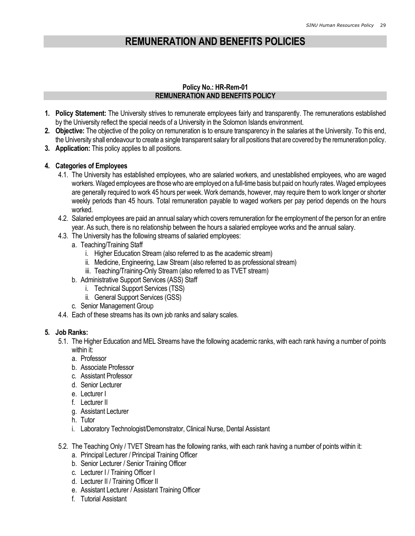## REMUNERATION AND BENEFITS POLICIES

#### Policy No.: HR-Rem-01 REMUNERATION AND BENEFITS POLICY

- 1. Policy Statement: The University strives to remunerate employees fairly and transparently. The remunerations established by the University reflect the special needs of a University in the Solomon Islands environment.
- 2. Objective: The objective of the policy on remuneration is to ensure transparency in the salaries at the University. To this end, the University shall endeavour to create a single transparent salary for all positions that are covered by the remuneration policy.
- 3. Application: This policy applies to all positions.

#### 4. Categories of Employees

- 4.1. The University has established employees, who are salaried workers, and unestablished employees, who are waged workers. Waged employees are those who are employed on a full-time basis but paid on hourly rates. Waged employees are generally required to work 45 hours per week. Work demands, however, may require them to work longer or shorter weekly periods than 45 hours. Total remuneration payable to waged workers per pay period depends on the hours worked.
- 4.2. Salaried employees are paid an annual salary which covers remuneration for the employment of the person for an entire year. As such, there is no relationship between the hours a salaried employee works and the annual salary.
- 4.3. The University has the following streams of salaried employees:
	- a. Teaching/Training Staff
		- i. Higher Education Stream (also referred to as the academic stream)
		- ii. Medicine, Engineering, Law Stream (also referred to as professional stream)
		- iii. Teaching/Training-Only Stream (also referred to as TVET stream)
	- b. Administrative Support Services (ASS) Staff
		- i. Technical Support Services (TSS)
		- ii. General Support Services (GSS)
	- c. Senior Management Group
- 4.4. Each of these streams has its own job ranks and salary scales.

#### 5. Job Ranks:

- 5.1. The Higher Education and MEL Streams have the following academic ranks, with each rank having a number of points within it:
	- a. Professor
	- b. Associate Professor
	- c. Assistant Professor
	- d. Senior Lecturer
	- e. Lecturer I
	- f. Lecturer II
	- g. Assistant Lecturer
	- h. Tutor
	- i. Laboratory Technologist/Demonstrator, Clinical Nurse, Dental Assistant
- 5.2. The Teaching Only / TVET Stream has the following ranks, with each rank having a number of points within it:
	- a. Principal Lecturer / Principal Training Officer
	- b. Senior Lecturer / Senior Training Officer
	- c. Lecturer I / Training Officer I
	- d. Lecturer II / Training Officer II
	- e. Assistant Lecturer / Assistant Training Officer
	- f. Tutorial Assistant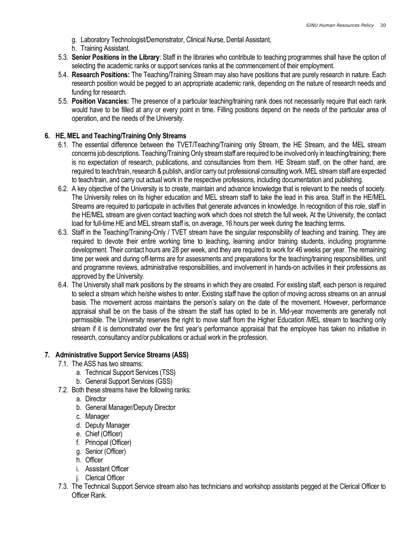- g. Laboratory Technologist/Demonstrator, Clinical Nurse, Dental Assistant,
- h. Training Assistant.
- 5.3. Senior Positions in the Library: Staff in the libraries who contribute to teaching programmes shall have the option of selecting the academic ranks or support services ranks at the commencement of their employment.
- 5.4. Research Positions: The Teaching/Training Stream may also have positions that are purely research in nature. Each research position would be pegged to an appropriate academic rank, depending on the nature of research needs and funding for research.
- 5.5. Position Vacancies: The presence of a particular teaching/training rank does not necessarily require that each rank would have to be filled at any or every point in time. Filling positions depend on the needs of the particular area of operation, and the needs of the University.

## 6. HE, MEL and Teaching/Training Only Streams

- 6.1. The essential difference between the TVET/Teaching/Training only Stream, the HE Stream, and the MEL stream concerns job descriptions. Teaching/Training Only stream staff are required to be involved only in teaching/training; there is no expectation of research, publications, and consultancies from them. HE Stream staff, on the other hand, are required to teach/train, research & publish, and/or carry out professional consulting work. MEL stream staff are expected to teach/train, and carry out actual work in the respective professions, including documentation and publishing.
- 6.2. A key objective of the University is to create, maintain and advance knowledge that is relevant to the needs of society. The University relies on its higher education and MEL stream staff to take the lead in this area. Staff in the HE/MEL Streams are required to participate in activities that generate advances in knowledge. In recognition of this role, staff in the HE/MEL stream are given contact teaching work which does not stretch the full week. At the University, the contact load for full-time HE and MEL stream staff is, on average, 16 hours per week during the teaching terms.
- 6.3. Staff in the Teaching/Training-Only / TVET stream have the singular responsibility of teaching and training. They are required to devote their entire working time to teaching, learning and/or training students, including programme development. Their contact hours are 28 per week, and they are required to work for 46 weeks per year. The remaining time per week and during off-terms are for assessments and preparations for the teaching/training responsibilities, unit and programme reviews, administrative responsibilities, and involvement in hands-on activities in their professions as approved by the University.
- 6.4. The University shall mark positions by the streams in which they are created. For existing staff, each person is required to select a stream which he/she wishes to enter. Existing staff have the option of moving across streams on an annual basis. The movement across maintains the person's salary on the date of the movement. However, performance appraisal shall be on the basis of the stream the staff has opted to be in. Mid-year movements are generally not permissible. The University reserves the right to move staff from the Higher Education /MEL stream to teaching only stream if it is demonstrated over the first year's performance appraisal that the employee has taken no initiative in research, consultancy and/or publications or actual work in the profession.

## 7. Administrative Support Service Streams (ASS)

- 7.1. The ASS has two streams:
	- a. Technical Support Services (TSS)
	- b. General Support Services (GSS)
- 7.2. Both these streams have the following ranks:
	- a. Director
		- b. General Manager/Deputy Director
		- c. Manager
		- d. Deputy Manager
		- e. Chief (Officer)
		- f. Principal (Officer)
		- g. Senior (Officer)
		- h. Officer
		- i. Assistant Officer
	- j. Clerical Officer
- 7.3. The Technical Support Service stream also has technicians and workshop assistants pegged at the Clerical Officer to Officer Rank.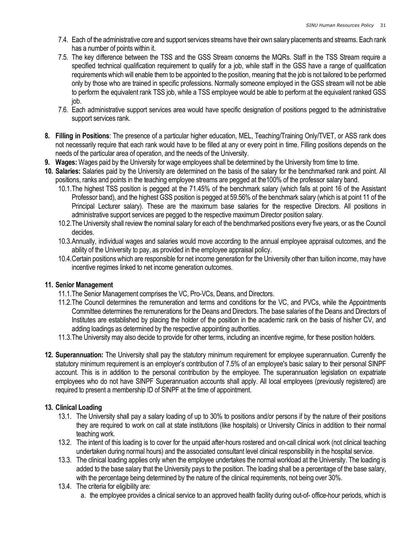- 7.4. Each of the administrative core and support services streams have their own salary placements and streams. Each rank has a number of points within it.
- 7.5. The key difference between the TSS and the GSS Stream concerns the MQRs. Staff in the TSS Stream require a specified technical qualification requirement to qualify for a job, while staff in the GSS have a range of qualification requirements which will enable them to be appointed to the position, meaning that the job is not tailored to be performed only by those who are trained in specific professions. Normally someone employed in the GSS stream will not be able to perform the equivalent rank TSS job, while a TSS employee would be able to perform at the equivalent ranked GSS job.
- 7.6. Each administrative support services area would have specific designation of positions pegged to the administrative support services rank.
- 8. Filling in Positions: The presence of a particular higher education, MEL, Teaching/Training Only/TVET, or ASS rank does not necessarily require that each rank would have to be filled at any or every point in time. Filling positions depends on the needs of the particular area of operation, and the needs of the University.
- 9. Wages: Wages paid by the University for wage employees shall be determined by the University from time to time.
- 10. Salaries: Salaries paid by the University are determined on the basis of the salary for the benchmarked rank and point. All positions, ranks and points in the teaching employee streams are pegged at the100% of the professor salary band.
	- 10.1.The highest TSS position is pegged at the 71.45% of the benchmark salary (which falls at point 16 of the Assistant Professor band), and the highest GSS position is pegged at 59.56% of the benchmark salary (which is at point 11 of the Principal Lecturer salary). These are the maximum base salaries for the respective Directors. All positions in administrative support services are pegged to the respective maximum Director position salary.
	- 10.2.The University shall review the nominal salary for each of the benchmarked positions every five years, or as the Council decides.
	- 10.3.Annually, individual wages and salaries would move according to the annual employee appraisal outcomes, and the ability of the University to pay, as provided in the employee appraisal policy.
	- 10.4.Certain positions which are responsible for net income generation for the University other than tuition income, may have incentive regimes linked to net income generation outcomes.

## 11. Senior Management

- 11.1.The Senior Management comprises the VC, Pro-VCs, Deans, and Directors.
- 11.2.The Council determines the remuneration and terms and conditions for the VC, and PVCs, while the Appointments Committee determines the remunerations for the Deans and Directors. The base salaries of the Deans and Directors of Institutes are established by placing the holder of the position in the academic rank on the basis of his/her CV, and adding loadings as determined by the respective appointing authorities.
- 11.3.The University may also decide to provide for other terms, including an incentive regime, for these position holders.
- 12. Superannuation: The University shall pay the statutory minimum requirement for employee superannuation. Currently the statutory minimum requirement is an employer's contribution of 7.5% of an employee's basic salary to their personal SINPF account. This is in addition to the personal contribution by the employee. The superannuation legislation on expatriate employees who do not have SINPF Superannuation accounts shall apply. All local employees (previously registered) are required to present a membership ID of SINPF at the time of appointment.

## 13. Clinical Loading

- 13.1. The University shall pay a salary loading of up to 30% to positions and/or persons if by the nature of their positions they are required to work on call at state institutions (like hospitals) or University Clinics in addition to their normal teaching work.
- 13.2. The intent of this loading is to cover for the unpaid after-hours rostered and on-call clinical work (not clinical teaching undertaken during normal hours) and the associated consultant level clinical responsibility in the hospital service.
- 13.3. The clinical loading applies only when the employee undertakes the normal workload at the University. The loading is added to the base salary that the University pays to the position. The loading shall be a percentage of the base salary, with the percentage being determined by the nature of the clinical requirements, not being over 30%.
- 13.4. The criteria for eligibility are:
	- a. the employee provides a clinical service to an approved health facility during out-of- office-hour periods, which is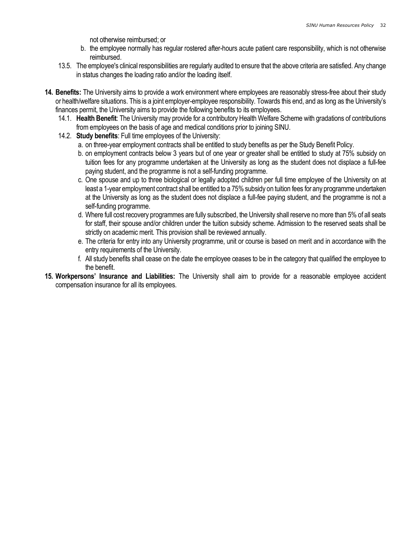not otherwise reimbursed; or

- b. the employee normally has regular rostered after-hours acute patient care responsibility, which is not otherwise reimbursed.
- 13.5. The employee's clinical responsibilities are regularly audited to ensure that the above criteria are satisfied. Any change in status changes the loading ratio and/or the loading itself.
- 14. Benefits: The University aims to provide a work environment where employees are reasonably stress-free about their study or health/welfare situations. This is a joint employer-employee responsibility. Towards this end, and as long as the University's finances permit, the University aims to provide the following benefits to its employees.
	- 14.1. Health Benefit: The University may provide for a contributory Health Welfare Scheme with gradations of contributions from employees on the basis of age and medical conditions prior to joining SINU.
	- 14.2. Study benefits: Full time employees of the University:
		- a. on three-year employment contracts shall be entitled to study benefits as per the Study Benefit Policy.
		- b. on employment contracts below 3 years but of one year or greater shall be entitled to study at 75% subsidy on tuition fees for any programme undertaken at the University as long as the student does not displace a full-fee paying student, and the programme is not a self-funding programme.
		- c. One spouse and up to three biological or legally adopted children per full time employee of the University on at least a 1-year employment contract shall be entitled to a 75% subsidy on tuition fees for any programme undertaken at the University as long as the student does not displace a full-fee paying student, and the programme is not a self-funding programme.
		- d. Where full cost recovery programmes are fully subscribed, the University shall reserve no more than 5% of all seats for staff, their spouse and/or children under the tuition subsidy scheme. Admission to the reserved seats shall be strictly on academic merit. This provision shall be reviewed annually.
		- e. The criteria for entry into any University programme, unit or course is based on merit and in accordance with the entry requirements of the University.
		- f. All study benefits shall cease on the date the employee ceases to be in the category that qualified the employee to the benefit.
- 15. Workpersons' Insurance and Liabilities: The University shall aim to provide for a reasonable employee accident compensation insurance for all its employees.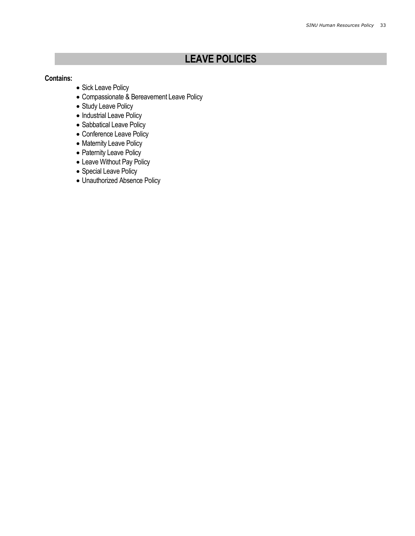# LEAVE POLICIES

## Contains:

- Sick Leave Policy
- Compassionate & Bereavement Leave Policy
- Study Leave Policy
- Industrial Leave Policy
- Sabbatical Leave Policy
- Conference Leave Policy
- Maternity Leave Policy
- Paternity Leave Policy
- Leave Without Pay Policy
- Special Leave Policy
- Unauthorized Absence Policy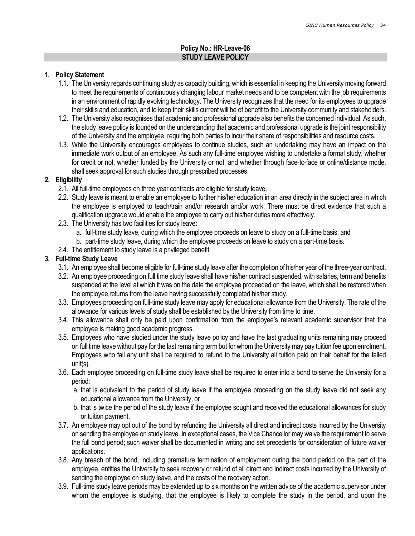## Policy No.: HR-Leave-06 STUDY LEAVE POLICY

#### 1. Policy Statement

- 1.1. The University regards continuing study as capacity building, which is essential in keeping the University moving forward to meet the requirements of continuously changing labour market needs and to be competent with the job requirements in an environment of rapidly evolving technology. The University recognizes that the need for its employees to upgrade their skills and education, and to keep their skills current will be of benefit to the University community and stakeholders.
- 1.2. The University also recognises that academic and professional upgrade also benefits the concerned individual. As such, the study leave policy is founded on the understanding that academic and professional upgrade is the joint responsibility of the University and the employee, requiring both parties to incur their share of responsibilities and resource costs.
- 1.3. While the University encourages employees to continue studies, such an undertaking may have an impact on the immediate work output of an employee. As such any full-time employee wishing to undertake a formal study, whether for credit or not, whether funded by the University or not, and whether through face-to-face or online/distance mode, shall seek approval for such studies through prescribed processes.

#### 2. Eligibility

- 2.1. All full-time employees on three year contracts are eligible for study leave.
- 2.2. Study leave is meant to enable an employee to further his/her education in an area directly in the subject area in which the employee is employed to teach/train and/or research and/or work. There must be direct evidence that such a qualification upgrade would enable the employee to carry out his/her duties more effectively.
- 2.3. The University has two facilities for study leave:
	- a. full-time study leave, during which the employee proceeds on leave to study on a full-time basis, and
	- b. part-time study leave, during which the employee proceeds on leave to study on a part-time basis.
- 2.4. The entitlement to study leave is a privileged benefit.

#### 3. Full-time Study Leave

- 3.1. An employee shall become eligible for full-time study leave after the completion of his/her year of the three-year contract.
- 3.2. An employee proceeding on full time study leave shall have his/her contract suspended, with salaries, term and benefits suspended at the level at which it was on the date the employee proceeded on the leave, which shall be restored when the employee returns from the leave having successfully completed his/her study.
- 3.3. Employees proceeding on full-time study leave may apply for educational allowance from the University. The rate of the allowance for various levels of study shall be established by the University from time to time.
- 3.4. This allowance shall only be paid upon confirmation from the employee's relevant academic supervisor that the employee is making good academic progress.
- 3.5. Employees who have studied under the study leave policy and have the last graduating units remaining may proceed on full time leave without pay for the last remaining term but for whom the University may pay tuition fee upon enrolment. Employees who fail any unit shall be required to refund to the University all tuition paid on their behalf for the failed unit(s).
- 3.6. Each employee proceeding on full-time study leave shall be required to enter into a bond to serve the University for a period:
	- a. that is equivalent to the period of study leave if the employee proceeding on the study leave did not seek any educational allowance from the University, or
	- b. that is twice the period of the study leave if the employee sought and received the educational allowances for study or tuition payment.
- 3.7. An employee may opt out of the bond by refunding the University all direct and indirect costs incurred by the University on sending the employee on study leave. In exceptional cases, the Vice Chancellor may waive the requirement to serve the full bond period; such waiver shall be documented in writing and set precedents for consideration of future waiver applications.
- 3.8. Any breach of the bond, including premature termination of employment during the bond period on the part of the employee, entitles the University to seek recovery or refund of all direct and indirect costs incurred by the University of sending the employee on study leave, and the costs of the recovery action.
- 3.9. Full-time study leave periods may be extended up to six months on the written advice of the academic supervisor under whom the employee is studying, that the employee is likely to complete the study in the period, and upon the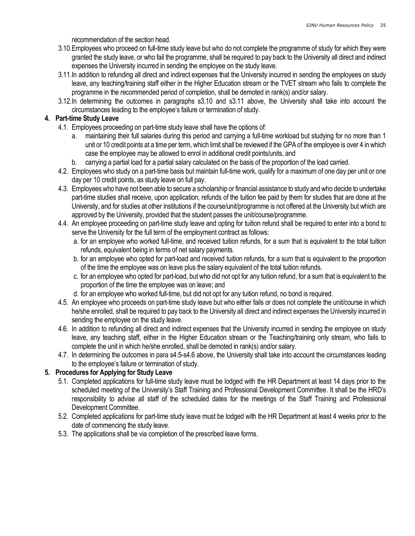recommendation of the section head.

- 3.10.Employees who proceed on full-time study leave but who do not complete the programme of study for which they were granted the study leave, or who fail the programme, shall be required to pay back to the University all direct and indirect expenses the University incurred in sending the employee on the study leave.
- 3.11.In addition to refunding all direct and indirect expenses that the University incurred in sending the employees on study leave, any teaching/training staff either in the Higher Education stream or the TVET stream who fails to complete the programme in the recommended period of completion, shall be demoted in rank(s) and/or salary.
- 3.12.In determining the outcomes in paragraphs s3.10 and s3.11 above, the University shall take into account the circumstances leading to the employee's failure or termination of study.

## 4. Part-time Study Leave

- 4.1. Employees proceeding on part-time study leave shall have the options of:
	- a. maintaining their full salaries during this period and carrying a full-time workload but studying for no more than 1 unit or 10 credit points at a time per term, which limit shall be reviewed if the GPA of the employee is over 4 in which case the employee may be allowed to enrol in additional credit points/units, and
	- b. carrying a partial load for a partial salary calculated on the basis of the proportion of the load carried.
- 4.2. Employees who study on a part-time basis but maintain full-time work, qualify for a maximum of one day per unit or one day per 10 credit points, as study leave on full pay.
- 4.3. Employees who have not been able to secure a scholarship or financial assistance to study and who decide to undertake part-time studies shall receive, upon application, refunds of the tuition fee paid by them for studies that are done at the University, and for studies at other institutions if the course/unit/programme is not offered at the University but which are approved by the University, provided that the student passes the unit/course/programme.
- 4.4. An employee proceeding on part-time study leave and opting for tuition refund shall be required to enter into a bond to serve the University for the full term of the employment contract as follows:
	- a. for an employee who worked full-time, and received tuition refunds, for a sum that is equivalent to the total tuition refunds, equivalent being in terms of net salary payments.
	- b. for an employee who opted for part-load and received tuition refunds, for a sum that is equivalent to the proportion of the time the employee was on leave plus the salary equivalent of the total tuition refunds.
	- c. for an employee who opted for part-load, but who did not opt for any tuition refund, for a sum that is equivalent to the proportion of the time the employee was on leave; and
	- d. for an employee who worked full-time, but did not opt for any tuition refund, no bond is required.
- 4.5. An employee who proceeds on part-time study leave but who either fails or does not complete the unit/course in which he/she enrolled, shall be required to pay back to the University all direct and indirect expenses the University incurred in sending the employee on the study leave.
- 4.6. In addition to refunding all direct and indirect expenses that the University incurred in sending the employee on study leave, any teaching staff, either in the Higher Education stream or the Teaching/training only stream, who fails to complete the unit in which he/she enrolled, shall be demoted in rank(s) and/or salary.
- 4.7. In determining the outcomes in para s4.5-s4.6 above, the University shall take into account the circumstances leading to the employee's failure or termination of study.

## 5. Procedures for Applying for Study Leave

- 5.1. Completed applications for full-time study leave must be lodged with the HR Department at least 14 days prior to the scheduled meeting of the University's Staff Training and Professional Development Committee. It shall be the HRD's responsibility to advise all staff of the scheduled dates for the meetings of the Staff Training and Professional Development Committee.
- 5.2. Completed applications for part-time study leave must be lodged with the HR Department at least 4 weeks prior to the date of commencing the study leave.
- 5.3. The applications shall be via completion of the prescribed leave forms.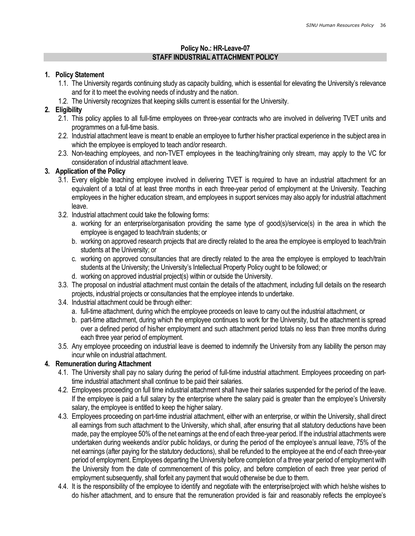## Policy No.: HR-Leave-07 STAFF INDUSTRIAL ATTACHMENT POLICY

## 1. Policy Statement

- 1.1. The University regards continuing study as capacity building, which is essential for elevating the University's relevance and for it to meet the evolving needs of industry and the nation.
- 1.2. The University recognizes that keeping skills current is essential for the University.

## 2. Eligibility

- 2.1. This policy applies to all full-time employees on three-year contracts who are involved in delivering TVET units and programmes on a full-time basis.
- 2.2. Industrial attachment leave is meant to enable an employee to further his/her practical experience in the subject area in which the employee is employed to teach and/or research.
- 2.3. Non-teaching employees, and non-TVET employees in the teaching/training only stream, may apply to the VC for consideration of industrial attachment leave.

## 3. Application of the Policy

- 3.1. Every eligible teaching employee involved in delivering TVET is required to have an industrial attachment for an equivalent of a total of at least three months in each three-year period of employment at the University. Teaching employees in the higher education stream, and employees in support services may also apply for industrial attachment leave.
- 3.2. Industrial attachment could take the following forms:
	- a. working for an enterprise/organisation providing the same type of good(s)/service(s) in the area in which the employee is engaged to teach/train students; or
	- b. working on approved research projects that are directly related to the area the employee is employed to teach/train students at the University; or
	- c. working on approved consultancies that are directly related to the area the employee is employed to teach/train students at the University; the University's Intellectual Property Policy ought to be followed; or
	- d. working on approved industrial project(s) within or outside the University.
- 3.3. The proposal on industrial attachment must contain the details of the attachment, including full details on the research projects, industrial projects or consultancies that the employee intends to undertake.
- 3.4. Industrial attachment could be through either:
	- a. full-time attachment, during which the employee proceeds on leave to carry out the industrial attachment, or
	- b. part-time attachment, during which the employee continues to work for the University, but the attachment is spread over a defined period of his/her employment and such attachment period totals no less than three months during each three year period of employment.
- 3.5. Any employee proceeding on industrial leave is deemed to indemnify the University from any liability the person may incur while on industrial attachment.

## 4. Remuneration during Attachment

- 4.1. The University shall pay no salary during the period of full-time industrial attachment. Employees proceeding on parttime industrial attachment shall continue to be paid their salaries.
- 4.2. Employees proceeding on full time industrial attachment shall have their salaries suspended for the period of the leave. If the employee is paid a full salary by the enterprise where the salary paid is greater than the employee's University salary, the employee is entitled to keep the higher salary.
- 4.3. Employees proceeding on part-time industrial attachment, either with an enterprise, or within the University, shall direct all earnings from such attachment to the University, which shall, after ensuring that all statutory deductions have been made, pay the employee 50% of the net earnings at the end of each three-year period. If the industrial attachments were undertaken during weekends and/or public holidays, or during the period of the employee's annual leave, 75% of the net earnings (after paying for the statutory deductions), shall be refunded to the employee at the end of each three-year period of employment. Employees departing the University before completion of a three year period of employment with the University from the date of commencement of this policy, and before completion of each three year period of employment subsequently, shall forfeit any payment that would otherwise be due to them.
- 4.4. It is the responsibility of the employee to identify and negotiate with the enterprise/project with which he/she wishes to do his/her attachment, and to ensure that the remuneration provided is fair and reasonably reflects the employee's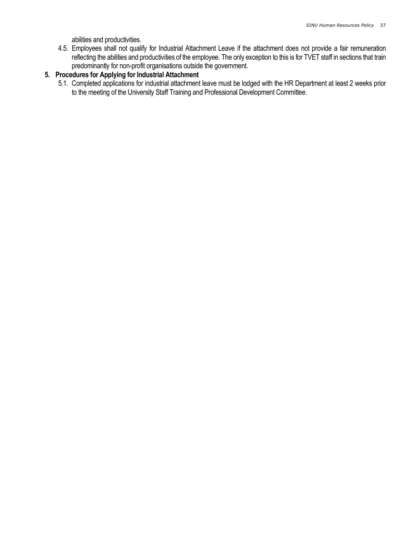abilities and productivities.

4.5. Employees shall not qualify for Industrial Attachment Leave if the attachment does not provide a fair remuneration reflecting the abilities and productivities of the employee. The only exception to this is for TVET staff in sections that train predominantly for non-profit organisations outside the government.

# 5. Procedures for Applying for Industrial Attachment

5.1. Completed applications for industrial attachment leave must be lodged with the HR Department at least 2 weeks prior to the meeting of the University Staff Training and Professional Development Committee.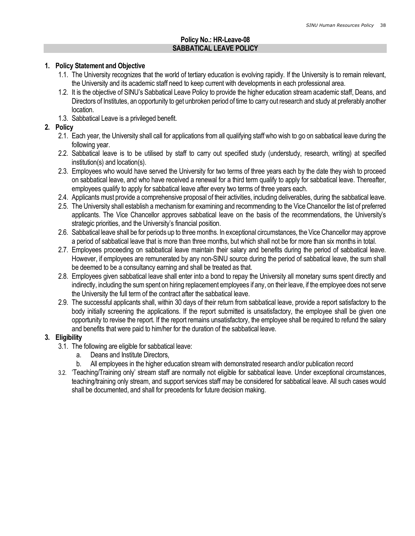### Policy No.: HR-Leave-08 SABBATICAL LEAVE POLICY

#### 1. Policy Statement and Objective

- 1.1. The University recognizes that the world of tertiary education is evolving rapidly. If the University is to remain relevant, the University and its academic staff need to keep current with developments in each professional area.
- 1.2. It is the objective of SINU's Sabbatical Leave Policy to provide the higher education stream academic staff, Deans, and Directors of Institutes, an opportunity to get unbroken period of time to carry out research and study at preferably another location.
- 1.3. Sabbatical Leave is a privileged benefit.

### 2. Policy

- 2.1. Each year, the University shall call for applications from all qualifying staff who wish to go on sabbatical leave during the following year.
- 2.2. Sabbatical leave is to be utilised by staff to carry out specified study (understudy, research, writing) at specified institution(s) and location(s).
- 2.3. Employees who would have served the University for two terms of three years each by the date they wish to proceed on sabbatical leave, and who have received a renewal for a third term qualify to apply for sabbatical leave. Thereafter, employees qualify to apply for sabbatical leave after every two terms of three years each.
- 2.4. Applicants must provide a comprehensive proposal of their activities, including deliverables, during the sabbatical leave.
- 2.5. The University shall establish a mechanism for examining and recommending to the Vice Chancellor the list of preferred applicants. The Vice Chancellor approves sabbatical leave on the basis of the recommendations, the University's strategic priorities, and the University's financial position.
- 2.6. Sabbatical leave shall be for periods up to three months. In exceptional circumstances, the Vice Chancellor may approve a period of sabbatical leave that is more than three months, but which shall not be for more than six months in total.
- 2.7. Employees proceeding on sabbatical leave maintain their salary and benefits during the period of sabbatical leave. However, if employees are remunerated by any non-SINU source during the period of sabbatical leave, the sum shall be deemed to be a consultancy earning and shall be treated as that.
- 2.8. Employees given sabbatical leave shall enter into a bond to repay the University all monetary sums spent directly and indirectly, including the sum spent on hiring replacement employees if any, on their leave, if the employee does not serve the University the full term of the contract after the sabbatical leave.
- 2.9. The successful applicants shall, within 30 days of their return from sabbatical leave, provide a report satisfactory to the body initially screening the applications. If the report submitted is unsatisfactory, the employee shall be given one opportunity to revise the report. If the report remains unsatisfactory, the employee shall be required to refund the salary and benefits that were paid to him/her for the duration of the sabbatical leave.

### 3. Eligibility

- 3.1. The following are eligible for sabbatical leave:
	- a. Deans and Institute Directors,
	- b. All employees in the higher education stream with demonstrated research and/or publication record
- 3.2. 'Teaching/Training only' stream staff are normally not eligible for sabbatical leave. Under exceptional circumstances, teaching/training only stream, and support services staff may be considered for sabbatical leave. All such cases would shall be documented, and shall for precedents for future decision making.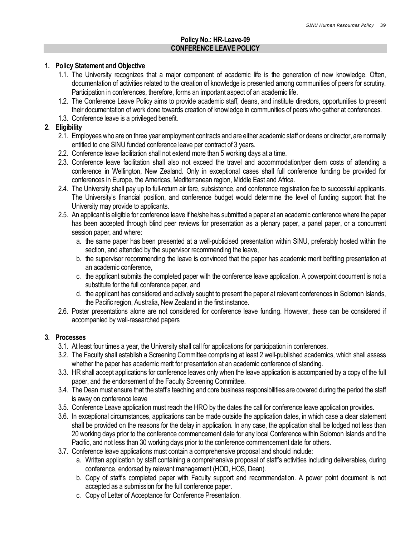### Policy No.: HR-Leave-09 CONFERENCE LEAVE POLICY

#### 1. Policy Statement and Objective

- 1.1. The University recognizes that a major component of academic life is the generation of new knowledge. Often, documentation of activities related to the creation of knowledge is presented among communities of peers for scrutiny. Participation in conferences, therefore, forms an important aspect of an academic life.
- 1.2. The Conference Leave Policy aims to provide academic staff, deans, and institute directors, opportunities to present their documentation of work done towards creation of knowledge in communities of peers who gather at conferences.
- 1.3. Conference leave is a privileged benefit.

## 2. Eligibility

- 2.1. Employees who are on three year employment contracts and are either academic staff or deans or director, are normally entitled to one SINU funded conference leave per contract of 3 years.
- 2.2. Conference leave facilitation shall not extend more than 5 working days at a time.
- 2.3. Conference leave facilitation shall also not exceed the travel and accommodation/per diem costs of attending a conference in Wellington, New Zealand. Only in exceptional cases shall full conference funding be provided for conferences in Europe, the Americas, Mediterranean region, Middle East and Africa.
- 2.4. The University shall pay up to full-return air fare, subsistence, and conference registration fee to successful applicants. The University's financial position, and conference budget would determine the level of funding support that the University may provide to applicants.
- 2.5. An applicant is eligible for conference leave if he/she has submitted a paper at an academic conference where the paper has been accepted through blind peer reviews for presentation as a plenary paper, a panel paper, or a concurrent session paper, and where:
	- a. the same paper has been presented at a well-publicised presentation within SINU, preferably hosted within the section, and attended by the supervisor recommending the leave,
	- b. the supervisor recommending the leave is convinced that the paper has academic merit befitting presentation at an academic conference,
	- c. the applicant submits the completed paper with the conference leave application. A powerpoint document is not a substitute for the full conference paper, and
	- d. the applicant has considered and actively sought to present the paper at relevant conferences in Solomon Islands, the Pacific region, Australia, New Zealand in the first instance.
- 2.6. Poster presentations alone are not considered for conference leave funding. However, these can be considered if accompanied by well-researched papers

### 3. Processes

- 3.1. At least four times a year, the University shall call for applications for participation in conferences.
- 3.2. The Faculty shall establish a Screening Committee comprising at least 2 well-published academics, which shall assess whether the paper has academic merit for presentation at an academic conference of standing.
- 3.3. HR shall accept applications for conference leaves only when the leave application is accompanied by a copy of the full paper, and the endorsement of the Faculty Screening Committee.
- 3.4. The Dean must ensure that the staff's teaching and core business responsibilities are covered during the period the staff is away on conference leave
- 3.5. Conference Leave application must reach the HRO by the dates the call for conference leave application provides.
- 3.6. In exceptional circumstances, applications can be made outside the application dates, in which case a clear statement shall be provided on the reasons for the delay in application. In any case, the application shall be lodged not less than 20 working days prior to the conference commencement date for any local Conference within Solomon Islands and the Pacific, and not less than 30 working days prior to the conference commencement date for others.
- 3.7. Conference leave applications must contain a comprehensive proposal and should include:
	- a. Written application by staff containing a comprehensive proposal of staff's activities including deliverables, during conference, endorsed by relevant management (HOD, HOS, Dean).
	- b. Copy of staff's completed paper with Faculty support and recommendation. A power point document is not accepted as a submission for the full conference paper.
	- c. Copy of Letter of Acceptance for Conference Presentation.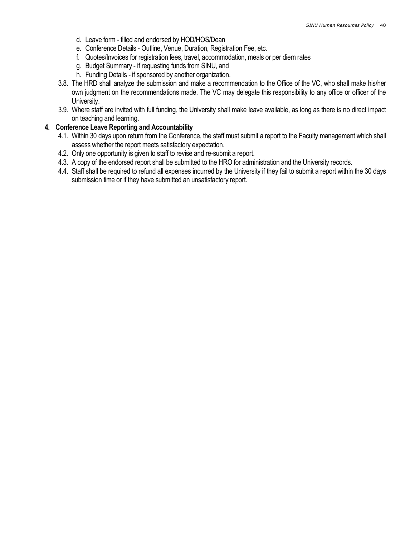- d. Leave form filled and endorsed by HOD/HOS/Dean
- e. Conference Details Outline, Venue, Duration, Registration Fee, etc.
- f. Quotes/Invoices for registration fees, travel, accommodation, meals or per diem rates
- g. Budget Summary if requesting funds from SINU, and
- h. Funding Details if sponsored by another organization.
- 3.8. The HRD shall analyze the submission and make a recommendation to the Office of the VC, who shall make his/her own judgment on the recommendations made. The VC may delegate this responsibility to any office or officer of the University.
- 3.9. Where staff are invited with full funding, the University shall make leave available, as long as there is no direct impact on teaching and learning.

#### 4. Conference Leave Reporting and Accountability

- 4.1. Within 30 days upon return from the Conference, the staff must submit a report to the Faculty management which shall assess whether the report meets satisfactory expectation.
- 4.2. Only one opportunity is given to staff to revise and re-submit a report.
- 4.3. A copy of the endorsed report shall be submitted to the HRO for administration and the University records.
- 4.4. Staff shall be required to refund all expenses incurred by the University if they fail to submit a report within the 30 days submission time or if they have submitted an unsatisfactory report.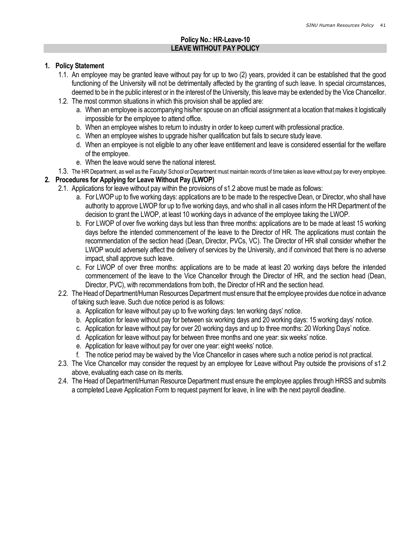### Policy No.: HR-Leave-10 LEAVE WITHOUT PAY POLICY

#### 1. Policy Statement

- 1.1. An employee may be granted leave without pay for up to two (2) years, provided it can be established that the good functioning of the University will not be detrimentally affected by the granting of such leave. In special circumstances, deemed to be in the public interest or in the interest of the University, this leave may be extended by the Vice Chancellor.
- 1.2. The most common situations in which this provision shall be applied are:
	- a. When an employee is accompanying his/her spouse on an official assignment at a location that makes it logistically impossible for the employee to attend office.
	- b. When an employee wishes to return to industry in order to keep current with professional practice.
	- c. When an employee wishes to upgrade his/her qualification but fails to secure study leave.
	- d. When an employee is not eligible to any other leave entitlement and leave is considered essential for the welfare of the employee.
	- e. When the leave would serve the national interest.
- 1.3. The HR Department, as well as the Faculty/ School or Department must maintain records of time taken as leave without pay for every employee.

### 2. Procedures for Applying for Leave Without Pay (LWOP)

- 2.1. Applications for leave without pay within the provisions of s1.2 above must be made as follows:
	- a. For LWOP up to five working days: applications are to be made to the respective Dean, or Director, who shall have authority to approve LWOP for up to five working days, and who shall in all cases inform the HR Department of the decision to grant the LWOP, at least 10 working days in advance of the employee taking the LWOP.
	- b. For LWOP of over five working days but less than three months: applications are to be made at least 15 working days before the intended commencement of the leave to the Director of HR. The applications must contain the recommendation of the section head (Dean, Director, PVCs, VC). The Director of HR shall consider whether the LWOP would adversely affect the delivery of services by the University, and if convinced that there is no adverse impact, shall approve such leave.
	- c. For LWOP of over three months: applications are to be made at least 20 working days before the intended commencement of the leave to the Vice Chancellor through the Director of HR, and the section head (Dean, Director, PVC), with recommendations from both, the Director of HR and the section head.
- 2.2. The Head of Department/Human Resources Department must ensure that the employee provides due notice in advance of taking such leave. Such due notice period is as follows:
	- a. Application for leave without pay up to five working days: ten working days' notice.
	- b. Application for leave without pay for between six working days and 20 working days: 15 working days' notice.
	- c. Application for leave without pay for over 20 working days and up to three months: 20 Working Days' notice.
	- d. Application for leave without pay for between three months and one year: six weeks' notice.
	- e. Application for leave without pay for over one year: eight weeks' notice.
	- f. The notice period may be waived by the Vice Chancellor in cases where such a notice period is not practical.
- 2.3. The Vice Chancellor may consider the request by an employee for Leave without Pay outside the provisions of s1.2 above, evaluating each case on its merits.
- 2.4. The Head of Department/Human Resource Department must ensure the employee applies through HRSS and submits a completed Leave Application Form to request payment for leave, in line with the next payroll deadline.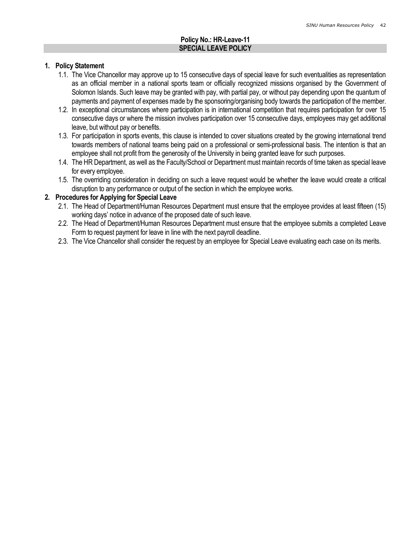#### Policy No.: HR-Leave-11 SPECIAL LEAVE POLICY

#### 1. Policy Statement

- 1.1. The Vice Chancellor may approve up to 15 consecutive days of special leave for such eventualities as representation as an official member in a national sports team or officially recognized missions organised by the Government of Solomon Islands. Such leave may be granted with pay, with partial pay, or without pay depending upon the quantum of payments and payment of expenses made by the sponsoring/organising body towards the participation of the member.
- 1.2. In exceptional circumstances where participation is in international competition that requires participation for over 15 consecutive days or where the mission involves participation over 15 consecutive days, employees may get additional leave, but without pay or benefits.
- 1.3. For participation in sports events, this clause is intended to cover situations created by the growing international trend towards members of national teams being paid on a professional or semi-professional basis. The intention is that an employee shall not profit from the generosity of the University in being granted leave for such purposes.
- 1.4. The HR Department, as well as the Faculty/School or Department must maintain records of time taken as special leave for every employee.
- 1.5. The overriding consideration in deciding on such a leave request would be whether the leave would create a critical disruption to any performance or output of the section in which the employee works.

### 2. Procedures for Applying for Special Leave

- 2.1. The Head of Department/Human Resources Department must ensure that the employee provides at least fifteen (15) working days' notice in advance of the proposed date of such leave.
- 2.2. The Head of Department/Human Resources Department must ensure that the employee submits a completed Leave Form to request payment for leave in line with the next payroll deadline.
- 2.3. The Vice Chancellor shall consider the request by an employee for Special Leave evaluating each case on its merits.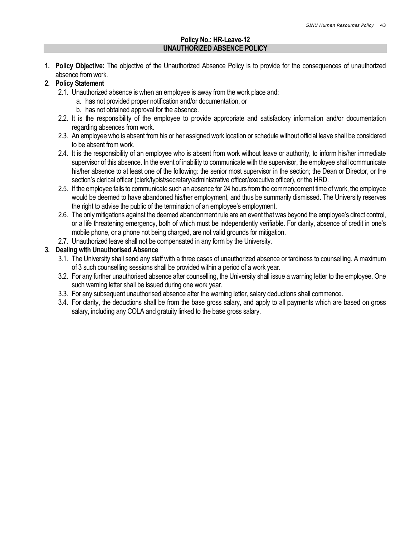#### Policy No.: HR-Leave-12 UNAUTHORIZED ABSENCE POLICY

1. Policy Objective: The objective of the Unauthorized Absence Policy is to provide for the consequences of unauthorized absence from work.

## 2. Policy Statement

- 2.1. Unauthorized absence is when an employee is away from the work place and:
	- a. has not provided proper notification and/or documentation, or
	- b. has not obtained approval for the absence.
- 2.2. It is the responsibility of the employee to provide appropriate and satisfactory information and/or documentation regarding absences from work.
- 2.3. An employee who is absent from his or her assigned work location or schedule without official leave shall be considered to be absent from work.
- 2.4. It is the responsibility of an employee who is absent from work without leave or authority, to inform his/her immediate supervisor of this absence. In the event of inability to communicate with the supervisor, the employee shall communicate his/her absence to at least one of the following: the senior most supervisor in the section; the Dean or Director, or the section's clerical officer (clerk/typist/secretary/administrative officer/executive officer), or the HRD.
- 2.5. If the employee fails to communicate such an absence for 24 hours from the commencement time of work, the employee would be deemed to have abandoned his/her employment, and thus be summarily dismissed. The University reserves the right to advise the public of the termination of an employee's employment.
- 2.6. The only mitigations against the deemed abandonment rule are an event that was beyond the employee's direct control, or a life threatening emergency, both of which must be independently verifiable. For clarity, absence of credit in one's mobile phone, or a phone not being charged, are not valid grounds for mitigation.
- 2.7. Unauthorized leave shall not be compensated in any form by the University.

### 3. Dealing with Unauthorised Absence

- 3.1. The University shall send any staff with a three cases of unauthorized absence or tardiness to counselling. A maximum of 3 such counselling sessions shall be provided within a period of a work year.
- 3.2. For any further unauthorised absence after counselling, the University shall issue a warning letter to the employee. One such warning letter shall be issued during one work year.
- 3.3. For any subsequent unauthorised absence after the warning letter, salary deductions shall commence.
- 3.4. For clarity, the deductions shall be from the base gross salary, and apply to all payments which are based on gross salary, including any COLA and gratuity linked to the base gross salary.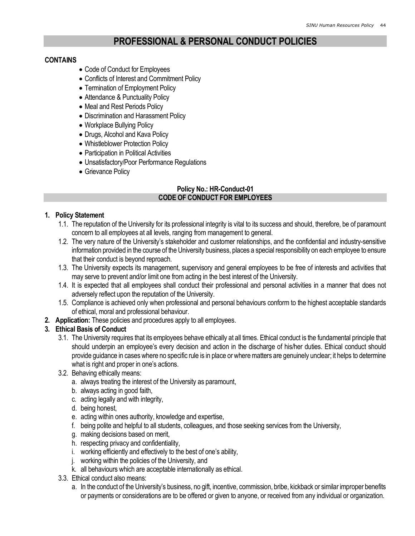# PROFESSIONAL & PERSONAL CONDUCT POLICIES

#### CONTAINS

- Code of Conduct for Employees
- Conflicts of Interest and Commitment Policy
- Termination of Employment Policy
- Attendance & Punctuality Policy
- Meal and Rest Periods Policy
- Discrimination and Harassment Policy
- Workplace Bullying Policy
- Drugs, Alcohol and Kava Policy
- Whistleblower Protection Policy
- Participation in Political Activities
- Unsatisfactory/Poor Performance Regulations
- Grievance Policy

#### Policy No.: HR-Conduct-01 CODE OF CONDUCT FOR EMPLOYEES

### 1. Policy Statement

- 1.1. The reputation of the University for its professional integrity is vital to its success and should, therefore, be of paramount concern to all employees at all levels, ranging from management to general.
- 1.2. The very nature of the University's stakeholder and customer relationships, and the confidential and industry-sensitive information provided in the course of the University business, places a special responsibility on each employee to ensure that their conduct is beyond reproach.
- 1.3. The University expects its management, supervisory and general employees to be free of interests and activities that may serve to prevent and/or limit one from acting in the best interest of the University.
- 1.4. It is expected that all employees shall conduct their professional and personal activities in a manner that does not adversely reflect upon the reputation of the University.
- 1.5. Compliance is achieved only when professional and personal behaviours conform to the highest acceptable standards of ethical, moral and professional behaviour.
- 2. Application: These policies and procedures apply to all employees.

### 3. Ethical Basis of Conduct

- 3.1. The University requires that its employees behave ethically at all times. Ethical conduct is the fundamental principle that should underpin an employee's every decision and action in the discharge of his/her duties. Ethical conduct should provide guidance in cases where no specific rule is in place or where matters are genuinely unclear; it helps to determine what is right and proper in one's actions.
- 3.2. Behaving ethically means:
	- a. always treating the interest of the University as paramount,
	- b. always acting in good faith,
	- c. acting legally and with integrity,
	- d. being honest,
	- e. acting within ones authority, knowledge and expertise,
	- f. being polite and helpful to all students, colleagues, and those seeking services from the University,
	- g. making decisions based on merit,
	- h. respecting privacy and confidentiality,
	- i. working efficiently and effectively to the best of one's ability,
	- j. working within the policies of the University, and
	- k. all behaviours which are acceptable internationally as ethical.
- 3.3. Ethical conduct also means:
	- a. In the conduct of the University's business, no gift, incentive, commission, bribe, kickback or similar improper benefits or payments or considerations are to be offered or given to anyone, or received from any individual or organization.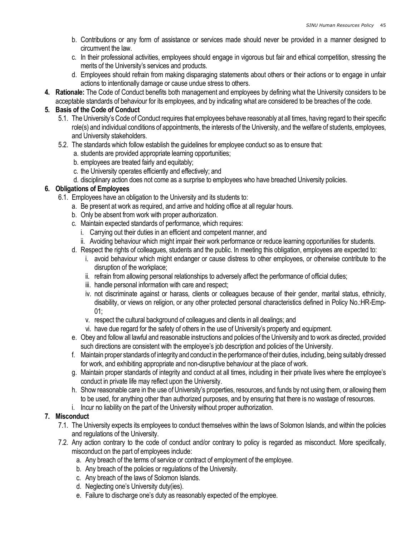- b. Contributions or any form of assistance or services made should never be provided in a manner designed to circumvent the law.
- c. In their professional activities, employees should engage in vigorous but fair and ethical competition, stressing the merits of the University's services and products.
- d. Employees should refrain from making disparaging statements about others or their actions or to engage in unfair actions to intentionally damage or cause undue stress to others.
- 4. Rationale: The Code of Conduct benefits both management and employees by defining what the University considers to be acceptable standards of behaviour for its employees, and by indicating what are considered to be breaches of the code.

### 5. Basis of the Code of Conduct

- 5.1. The University's Code of Conduct requires that employees behave reasonably at all times, having regard to their specific role(s) and individual conditions of appointments, the interests of the University, and the welfare of students, employees, and University stakeholders.
- 5.2. The standards which follow establish the guidelines for employee conduct so as to ensure that:
	- a. students are provided appropriate learning opportunities;
	- b. employees are treated fairly and equitably;
	- c. the University operates efficiently and effectively; and
	- d. disciplinary action does not come as a surprise to employees who have breached University policies.

### 6. Obligations of Employees

- 6.1. Employees have an obligation to the University and its students to:
	- a. Be present at work as required, and arrive and holding office at all regular hours.
	- b. Only be absent from work with proper authorization.
	- c. Maintain expected standards of performance, which requires:
		- i. Carrying out their duties in an efficient and competent manner, and
		- ii. Avoiding behaviour which might impair their work performance or reduce learning opportunities for students.
	- d. Respect the rights of colleagues, students and the public. In meeting this obligation, employees are expected to:
		- i. avoid behaviour which might endanger or cause distress to other employees, or otherwise contribute to the disruption of the workplace;
		- ii. refrain from allowing personal relationships to adversely affect the performance of official duties;
		- iii. handle personal information with care and respect;
		- iv. not discriminate against or harass, clients or colleagues because of their gender, marital status, ethnicity, disability, or views on religion, or any other protected personal characteristics defined in Policy No.:HR-Emp-01;
		- v. respect the cultural background of colleagues and clients in all dealings; and
		- vi. have due regard for the safety of others in the use of University's property and equipment.
	- e. Obey and follow all lawful and reasonable instructions and policies of the University and to work as directed, provided such directions are consistent with the employee's job description and policies of the University.
	- f. Maintain proper standards of integrity and conduct in the performance of their duties, including, being suitably dressed for work, and exhibiting appropriate and non-disruptive behaviour at the place of work.
	- g. Maintain proper standards of integrity and conduct at all times, including in their private lives where the employee's conduct in private life may reflect upon the University.
	- h. Show reasonable care in the use of University's properties, resources, and funds by not using them, or allowing them to be used, for anything other than authorized purposes, and by ensuring that there is no wastage of resources.
	- i. Incur no liability on the part of the University without proper authorization.

### 7. Misconduct

- 7.1. The University expects its employees to conduct themselves within the laws of Solomon Islands, and within the policies and regulations of the University.
- 7.2. Any action contrary to the code of conduct and/or contrary to policy is regarded as misconduct. More specifically, misconduct on the part of employees include:
	- a. Any breach of the terms of service or contract of employment of the employee.
	- b. Any breach of the policies or regulations of the University.
	- c. Any breach of the laws of Solomon Islands.
	- d. Neglecting one's University duty(ies).
	- e. Failure to discharge one's duty as reasonably expected of the employee.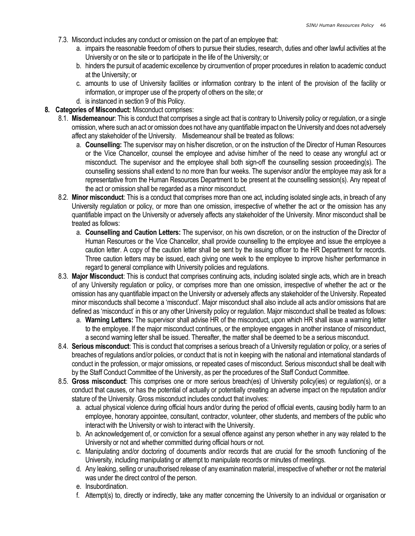- 7.3. Misconduct includes any conduct or omission on the part of an employee that:
	- a. impairs the reasonable freedom of others to pursue their studies, research, duties and other lawful activities at the University or on the site or to participate in the life of the University; or
	- b. hinders the pursuit of academic excellence by circumvention of proper procedures in relation to academic conduct at the University; or
	- c. amounts to use of University facilities or information contrary to the intent of the provision of the facility or information, or improper use of the property of others on the site; or
	- d. is instanced in section 9 of this Policy.
- 8. Categories of Misconduct: Misconduct comprises:
	- 8.1. Misdemeanour: This is conduct that comprises a single act that is contrary to University policy or regulation, or a single omission, where such an act or omission does not have any quantifiable impact on the University and does not adversely affect any stakeholder of the University. Misdemeanour shall be treated as follows:
		- a. Counselling: The supervisor may on his/her discretion, or on the instruction of the Director of Human Resources or the Vice Chancellor, counsel the employee and advise him/her of the need to cease any wrongful act or misconduct. The supervisor and the employee shall both sign-off the counselling session proceeding(s). The counselling sessions shall extend to no more than four weeks. The supervisor and/or the employee may ask for a representative from the Human Resources Department to be present at the counselling session(s). Any repeat of the act or omission shall be regarded as a minor misconduct.
	- 8.2. Minor misconduct: This is a conduct that comprises more than one act, including isolated single acts, in breach of any University regulation or policy, or more than one omission, irrespective of whether the act or the omission has any quantifiable impact on the University or adversely affects any stakeholder of the University. Minor misconduct shall be treated as follows:
		- a. Counselling and Caution Letters: The supervisor, on his own discretion, or on the instruction of the Director of Human Resources or the Vice Chancellor, shall provide counselling to the employee and issue the employee a caution letter. A copy of the caution letter shall be sent by the issuing officer to the HR Department for records. Three caution letters may be issued, each giving one week to the employee to improve his/her performance in regard to general compliance with University policies and regulations.
	- 8.3. Major Misconduct: This is conduct that comprises continuing acts, including isolated single acts, which are in breach of any University regulation or policy, or comprises more than one omission, irrespective of whether the act or the omission has any quantifiable impact on the University or adversely affects any stakeholder of the University. Repeated minor misconducts shall become a 'misconduct'. Major misconduct shall also include all acts and/or omissions that are defined as 'misconduct' in this or any other University policy or regulation. Major misconduct shall be treated as follows:
		- a. Warning Letters: The supervisor shall advise HR of the misconduct, upon which HR shall issue a warning letter to the employee. If the major misconduct continues, or the employee engages in another instance of misconduct, a second warning letter shall be issued. Thereafter, the matter shall be deemed to be a serious misconduct.
	- 8.4. Serious misconduct: This is conduct that comprises a serious breach of a University regulation or policy, or a series of breaches of regulations and/or policies, or conduct that is not in keeping with the national and international standards of conduct in the profession, or major omissions, or repeated cases of misconduct. Serious misconduct shall be dealt with by the Staff Conduct Committee of the University, as per the procedures of the Staff Conduct Committee.
	- 8.5. Gross misconduct: This comprises one or more serious breach(es) of University policy(ies) or regulation(s), or a conduct that causes, or has the potential of actually or potentially creating an adverse impact on the reputation and/or stature of the University. Gross misconduct includes conduct that involves:
		- a. actual physical violence during official hours and/or during the period of official events, causing bodily harm to an employee, honorary appointee, consultant, contractor, volunteer, other students, and members of the public who interact with the University or wish to interact with the University.
		- b. An acknowledgement of, or conviction for a sexual offence against any person whether in any way related to the University or not and whether committed during official hours or not.
		- c. Manipulating and/or doctoring of documents and/or records that are crucial for the smooth functioning of the University, including manipulating or attempt to manipulate records or minutes of meetings.
		- d. Any leaking, selling or unauthorised release of any examination material, irrespective of whether or not the material was under the direct control of the person.
		- e. Insubordination.
		- f. Attempt(s) to, directly or indirectly, take any matter concerning the University to an individual or organisation or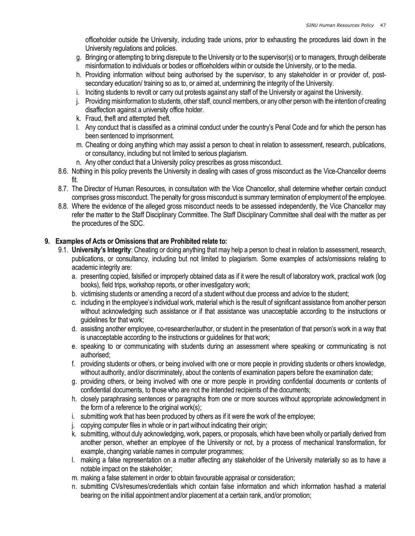officeholder outside the University, including trade unions, prior to exhausting the procedures laid down in the University regulations and policies.

- g. Bringing or attempting to bring disrepute to the University or to the supervisor(s) or to managers, through deliberate misinformation to individuals or bodies or officeholders within or outside the University, or to the media.
- h. Providing information without being authorised by the supervisor, to any stakeholder in or provider of, postsecondary education/ training so as to, or aimed at, undermining the integrity of the University.
- i. Inciting students to revolt or carry out protests against any staff of the University or against the University.
- j. Providing misinformation to students, other staff, council members, or any other person with the intention of creating disaffection against a university office holder.
- k. Fraud, theft and attempted theft.
- l. Any conduct that is classified as a criminal conduct under the country's Penal Code and for which the person has been sentenced to imprisonment.
- m. Cheating or doing anything which may assist a person to cheat in relation to assessment, research, publications, or consultancy, including but not limited to serious plagiarism.
- n. Any other conduct that a University policy prescribes as gross misconduct.
- 8.6. Nothing in this policy prevents the University in dealing with cases of gross misconduct as the Vice-Chancellor deems fit.
- 8.7. The Director of Human Resources, in consultation with the Vice Chancellor, shall determine whether certain conduct comprises gross misconduct. The penalty for gross misconduct is summary termination of employment of the employee.
- 8.8. Where the evidence of the alleged gross misconduct needs to be assessed independently, the Vice Chancellor may refer the matter to the Staff Disciplinary Committee. The Staff Disciplinary Committee shall deal with the matter as per the procedures of the SDC.

### 9. Examples of Acts or Omissions that are Prohibited relate to:

- 9.1. University's Integrity: Cheating or doing anything that may help a person to cheat in relation to assessment, research, publications, or consultancy, including but not limited to plagiarism. Some examples of acts/omissions relating to academic integrity are:
	- a. presenting copied, falsified or improperly obtained data as if it were the result of laboratory work, practical work (log books), field trips, workshop reports, or other investigatory work;
	- b. victimising students or amending a record of a student without due process and advice to the student;
	- c. including in the employee's individual work, material which is the result of significant assistance from another person without acknowledging such assistance or if that assistance was unacceptable according to the instructions or guidelines for that work;
	- d. assisting another employee, co-researcher/author, or student in the presentation of that person's work in a way that is unacceptable according to the instructions or guidelines for that work;
	- e. speaking to or communicating with students during an assessment where speaking or communicating is not authorised;
	- f. providing students or others, or being involved with one or more people in providing students or others knowledge, without authority, and/or discriminately, about the contents of examination papers before the examination date;
	- g. providing others, or being involved with one or more people in providing confidential documents or contents of confidential documents, to those who are not the intended recipients of the documents;
	- h. closely paraphrasing sentences or paragraphs from one or more sources without appropriate acknowledgment in the form of a reference to the original work(s);
	- i. submitting work that has been produced by others as if it were the work of the employee;
	- j. copying computer files in whole or in part without indicating their origin;
	- k. submitting, without duly acknowledging, work, papers, or proposals, which have been wholly or partially derived from another person, whether an employee of the University or not, by a process of mechanical transformation, for example, changing variable names in computer programmes;
	- l. making a false representation on a matter affecting any stakeholder of the University materially so as to have a notable impact on the stakeholder;
	- m. making a false statement in order to obtain favourable appraisal or consideration;
	- n. submitting CVs/resumes/credentials which contain false information and which information has/had a material bearing on the initial appointment and/or placement at a certain rank, and/or promotion;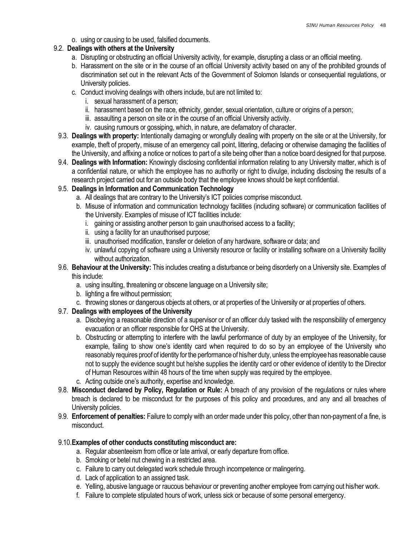o. using or causing to be used, falsified documents.

### 9.2. Dealings with others at the University

- a. Disrupting or obstructing an official University activity, for example, disrupting a class or an official meeting.
- b. Harassment on the site or in the course of an official University activity based on any of the prohibited grounds of discrimination set out in the relevant Acts of the Government of Solomon Islands or consequential regulations, or University policies.
- c. Conduct involving dealings with others include, but are not limited to:
	- i. sexual harassment of a person;
	- ii. harassment based on the race, ethnicity, gender, sexual orientation, culture or origins of a person;
	- iii. assaulting a person on site or in the course of an official University activity.
	- iv. causing rumours or gossiping, which, in nature, are defamatory of character.
- 9.3. Dealings with property: Intentionally damaging or wrongfully dealing with property on the site or at the University, for example, theft of property, misuse of an emergency call point, littering, defacing or otherwise damaging the facilities of the University, and affixing a notice or notices to part of a site being other than a notice board designed for that purpose.
- 9.4. Dealings with Information: Knowingly disclosing confidential information relating to any University matter, which is of a confidential nature, or which the employee has no authority or right to divulge, including disclosing the results of a research project carried out for an outside body that the employee knows should be kept confidential.

# 9.5. Dealings in Information and Communication Technology

- a. All dealings that are contrary to the University's ICT policies comprise misconduct.
- b. Misuse of information and communication technology facilities (including software) or communication facilities of the University. Examples of misuse of ICT facilities include:
	- i. gaining or assisting another person to gain unauthorised access to a facility;
	- ii. using a facility for an unauthorised purpose;
	- iii. unauthorised modification, transfer or deletion of any hardware, software or data; and
	- iv. unlawful copying of software using a University resource or facility or installing software on a University facility without authorization.
- 9.6. Behaviour at the University: This includes creating a disturbance or being disorderly on a University site. Examples of this include:
	- a. using insulting, threatening or obscene language on a University site;
	- b. lighting a fire without permission;
	- c. throwing stones or dangerous objects at others, or at properties of the University or at properties of others.

# 9.7. Dealings with employees of the University

- a. Disobeying a reasonable direction of a supervisor or of an officer duly tasked with the responsibility of emergency evacuation or an officer responsible for OHS at the University.
- b. Obstructing or attempting to interfere with the lawful performance of duty by an employee of the University, for example, failing to show one's identity card when required to do so by an employee of the University who reasonably requires proof of identity for the performance of his/her duty, unless the employee has reasonable cause not to supply the evidence sought but he/she supplies the identity card or other evidence of identity to the Director of Human Resources within 48 hours of the time when supply was required by the employee.
- c. Acting outside one's authority, expertise and knowledge.
- 9.8. Misconduct declared by Policy, Regulation or Rule: A breach of any provision of the regulations or rules where breach is declared to be misconduct for the purposes of this policy and procedures, and any and all breaches of University policies.
- 9.9. **Enforcement of penalties:** Failure to comply with an order made under this policy, other than non-payment of a fine, is misconduct.

# 9.10.Examples of other conducts constituting misconduct are:

- a. Regular absenteeism from office or late arrival, or early departure from office.
- b. Smoking or betel nut chewing in a restricted area.
- c. Failure to carry out delegated work schedule through incompetence or malingering.
- d. Lack of application to an assigned task.
- e. Yelling, abusive language or raucous behaviour or preventing another employee from carrying out his/her work.
- f. Failure to complete stipulated hours of work, unless sick or because of some personal emergency.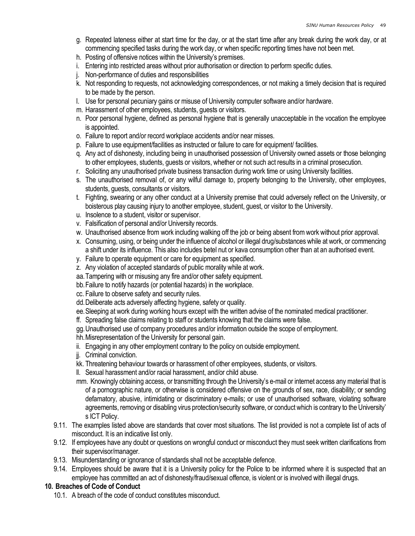- g. Repeated lateness either at start time for the day, or at the start time after any break during the work day, or at commencing specified tasks during the work day, or when specific reporting times have not been met.
- h. Posting of offensive notices within the University's premises.
- i. Entering into restricted areas without prior authorisation or direction to perform specific duties.
- j. Non-performance of duties and responsibilities
- k. Not responding to requests, not acknowledging correspondences, or not making a timely decision that is required to be made by the person.
- l. Use for personal pecuniary gains or misuse of University computer software and/or hardware.
- m. Harassment of other employees, students, guests or visitors.
- n. Poor personal hygiene, defined as personal hygiene that is generally unacceptable in the vocation the employee is appointed.
- o. Failure to report and/or record workplace accidents and/or near misses.
- p. Failure to use equipment/facilities as instructed or failure to care for equipment/ facilities.
- q. Any act of dishonesty, including being in unauthorised possession of University owned assets or those belonging to other employees, students, guests or visitors, whether or not such act results in a criminal prosecution.
- r. Soliciting any unauthorised private business transaction during work time or using University facilities.
- s. The unauthorised removal of, or any wilful damage to, property belonging to the University, other employees, students, guests, consultants or visitors.
- t. Fighting, swearing or any other conduct at a University premise that could adversely reflect on the University, or boisterous play causing injury to another employee, student, guest, or visitor to the University.
- u. Insolence to a student, visitor or supervisor.
- v. Falsification of personal and/or University records.
- w. Unauthorised absence from work including walking off the job or being absent from work without prior approval.
- x. Consuming, using, or being under the influence of alcohol or illegal drug/substances while at work, or commencing a shift under its influence. This also includes betel nut or kava consumption other than at an authorised event.
- y. Failure to operate equipment or care for equipment as specified.
- z. Any violation of accepted standards of public morality while at work.
- aa.Tampering with or misusing any fire and/or other safety equipment.
- bb.Failure to notify hazards (or potential hazards) in the workplace.
- cc. Failure to observe safety and security rules.
- dd.Deliberate acts adversely affecting hygiene, safety or quality.
- ee.Sleeping at work during working hours except with the written advise of the nominated medical practitioner.
- ff. Spreading false claims relating to staff or students knowing that the claims were false.
- gg.Unauthorised use of company procedures and/or information outside the scope of employment.
- hh.Misrepresentation of the University for personal gain.
- ii. Engaging in any other employment contrary to the policy on outside employment.
- ji. Criminal conviction.
- kk. Threatening behaviour towards or harassment of other employees, students, or visitors.
- ll. Sexual harassment and/or racial harassment, and/or child abuse.
- mm. Knowingly obtaining access, or transmitting through the University's e-mail or internet access any material that is of a pornographic nature, or otherwise is considered offensive on the grounds of sex, race, disability; or sending defamatory, abusive, intimidating or discriminatory e-mails; or use of unauthorised software, violating software agreements, removing or disabling virus protection/security software, or conduct which is contrary to the University' s ICT Policy.
- 9.11. The examples listed above are standards that cover most situations. The list provided is not a complete list of acts of misconduct. It is an indicative list only.
- 9.12. If employees have any doubt or questions on wrongful conduct or misconduct they must seek written clarifications from their supervisor/manager.
- 9.13. Misunderstanding or ignorance of standards shall not be acceptable defence.
- 9.14. Employees should be aware that it is a University policy for the Police to be informed where it is suspected that an employee has committed an act of dishonesty/fraud/sexual offence, is violent or is involved with illegal drugs.

### 10. Breaches of Code of Conduct

10.1. A breach of the code of conduct constitutes misconduct.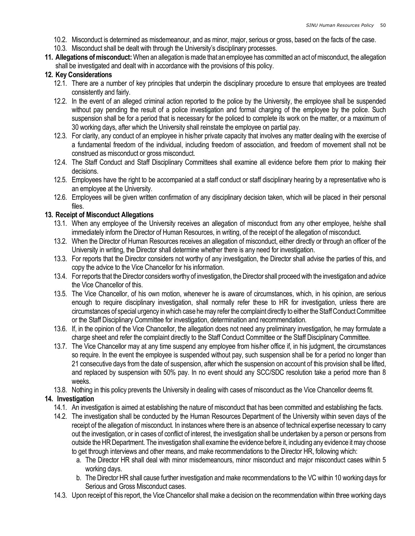- 10.2. Misconduct is determined as misdemeanour, and as minor, major, serious or gross, based on the facts of the case.
- 10.3. Misconduct shall be dealt with through the University's disciplinary processes.
- 11. Allegations of misconduct: When an allegation is made that an employee has committed an act of misconduct, the allegation shall be investigated and dealt with in accordance with the provisions of this policy.

### 12. Key Considerations

- 12.1. There are a number of key principles that underpin the disciplinary procedure to ensure that employees are treated consistently and fairly.
- 12.2. In the event of an alleged criminal action reported to the police by the University, the employee shall be suspended without pay pending the result of a police investigation and formal charging of the employee by the police. Such suspension shall be for a period that is necessary for the policed to complete its work on the matter, or a maximum of 30 working days, after which the University shall reinstate the employee on partial pay.
- 12.3. For clarity, any conduct of an employee in his/her private capacity that involves any matter dealing with the exercise of a fundamental freedom of the individual, including freedom of association, and freedom of movement shall not be construed as misconduct or gross misconduct.
- 12.4. The Staff Conduct and Staff Disciplinary Committees shall examine all evidence before them prior to making their decisions.
- 12.5. Employees have the right to be accompanied at a staff conduct or staff disciplinary hearing by a representative who is an employee at the University.
- 12.6. Employees will be given written confirmation of any disciplinary decision taken, which will be placed in their personal files.

### 13. Receipt of Misconduct Allegations

- 13.1. When any employee of the University receives an allegation of misconduct from any other employee, he/she shall immediately inform the Director of Human Resources, in writing, of the receipt of the allegation of misconduct.
- 13.2. When the Director of Human Resources receives an allegation of misconduct, either directly or through an officer of the University in writing, the Director shall determine whether there is any need for investigation.
- 13.3. For reports that the Director considers not worthy of any investigation, the Director shall advise the parties of this, and copy the advice to the Vice Chancellor for his information.
- 13.4. For reports that the Director considers worthy of investigation, the Director shall proceed with the investigation and advice the Vice Chancellor of this.
- 13.5. The Vice Chancellor, of his own motion, whenever he is aware of circumstances, which, in his opinion, are serious enough to require disciplinary investigation, shall normally refer these to HR for investigation, unless there are circumstances of special urgency in which case he may refer the complaint directly to either the Staff Conduct Committee or the Staff Disciplinary Committee for investigation, determination and recommendation.
- 13.6. If, in the opinion of the Vice Chancellor, the allegation does not need any preliminary investigation, he may formulate a charge sheet and refer the complaint directly to the Staff Conduct Committee or the Staff Disciplinary Committee.
- 13.7. The Vice Chancellor may at any time suspend any employee from his/her office if, in his judgment, the circumstances so require. In the event the employee is suspended without pay, such suspension shall be for a period no longer than 21 consecutive days from the date of suspension, after which the suspension on account of this provision shall be lifted, and replaced by suspension with 50% pay. In no event should any SCC/SDC resolution take a period more than 8 weeks.
- 13.8. Nothing in this policy prevents the University in dealing with cases of misconduct as the Vice Chancellor deems fit.

### 14. Investigation

- 14.1. An investigation is aimed at establishing the nature of misconduct that has been committed and establishing the facts.
- 14.2. The investigation shall be conducted by the Human Resources Department of the University within seven days of the receipt of the allegation of misconduct. In instances where there is an absence of technical expertise necessary to carry out the investigation, or in cases of conflict of interest, the investigation shall be undertaken by a person or persons from outside the HR Department. The investigation shall examine the evidence before it, including any evidence it may choose to get through interviews and other means, and make recommendations to the Director HR, following which:
	- a. The Director HR shall deal with minor misdemeanours, minor misconduct and major misconduct cases within 5 working days.
	- b. The Director HR shall cause further investigation and make recommendations to the VC within 10 working days for Serious and Gross Misconduct cases.
- 14.3. Upon receipt of this report, the Vice Chancellor shall make a decision on the recommendation within three working days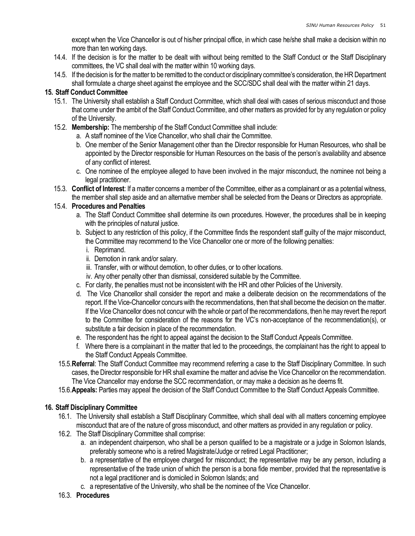except when the Vice Chancellor is out of his/her principal office, in which case he/she shall make a decision within no more than ten working days.

- 14.4. If the decision is for the matter to be dealt with without being remitted to the Staff Conduct or the Staff Disciplinary committees, the VC shall deal with the matter within 10 working days.
- 14.5. If the decision is for the matter to be remitted to the conduct or disciplinary committee's consideration, the HR Department shall formulate a charge sheet against the employee and the SCC/SDC shall deal with the matter within 21 days.

### 15. Staff Conduct Committee

- 15.1. The University shall establish a Staff Conduct Committee, which shall deal with cases of serious misconduct and those that come under the ambit of the Staff Conduct Committee, and other matters as provided for by any regulation or policy of the University.
- 15.2. Membership: The membership of the Staff Conduct Committee shall include:
	- a. A staff nominee of the Vice Chancellor, who shall chair the Committee.
	- b. One member of the Senior Management other than the Director responsible for Human Resources, who shall be appointed by the Director responsible for Human Resources on the basis of the person's availability and absence of any conflict of interest.
	- c. One nominee of the employee alleged to have been involved in the major misconduct, the nominee not being a legal practitioner.
- 15.3. Conflict of Interest: If a matter concerns a member of the Committee, either as a complainant or as a potential witness, the member shall step aside and an alternative member shall be selected from the Deans or Directors as appropriate.

# 15.4. Procedures and Penalties

- a. The Staff Conduct Committee shall determine its own procedures. However, the procedures shall be in keeping with the principles of natural justice.
- b. Subject to any restriction of this policy, if the Committee finds the respondent staff guilty of the major misconduct, the Committee may recommend to the Vice Chancellor one or more of the following penalties:
	- i. Reprimand.
	- ii. Demotion in rank and/or salary.
	- iii. Transfer, with or without demotion, to other duties, or to other locations.
	- iv. Any other penalty other than dismissal, considered suitable by the Committee.
- c. For clarity, the penalties must not be inconsistent with the HR and other Policies of the University.
- d. The Vice Chancellor shall consider the report and make a deliberate decision on the recommendations of the report. If the Vice-Chancellor concurs with the recommendations, then that shall become the decision on the matter. If the Vice Chancellor does not concur with the whole or part of the recommendations, then he may revert the report to the Committee for consideration of the reasons for the VC's non-acceptance of the recommendation(s), or substitute a fair decision in place of the recommendation.
- e. The respondent has the right to appeal against the decision to the Staff Conduct Appeals Committee.
- f. Where there is a complainant in the matter that led to the proceedings, the complainant has the right to appeal to the Staff Conduct Appeals Committee.
- 15.5. Referral: The Staff Conduct Committee may recommend referring a case to the Staff Disciplinary Committee. In such cases, the Director responsible for HR shall examine the matter and advise the Vice Chancellor on the recommendation. The Vice Chancellor may endorse the SCC recommendation, or may make a decision as he deems fit.
- 15.6.Appeals: Parties may appeal the decision of the Staff Conduct Committee to the Staff Conduct Appeals Committee.

# 16. Staff Disciplinary Committee

- 16.1. The University shall establish a Staff Disciplinary Committee, which shall deal with all matters concerning employee misconduct that are of the nature of gross misconduct, and other matters as provided in any regulation or policy.
- 16.2. The Staff Disciplinary Committee shall comprise:
	- a. an independent chairperson, who shall be a person qualified to be a magistrate or a judge in Solomon Islands, preferably someone who is a retired Magistrate/Judge or retired Legal Practitioner;
	- b. a representative of the employee charged for misconduct; the representative may be any person, including a representative of the trade union of which the person is a bona fide member, provided that the representative is not a legal practitioner and is domiciled in Solomon Islands; and
	- c. a representative of the University, who shall be the nominee of the Vice Chancellor.
- 16.3. Procedures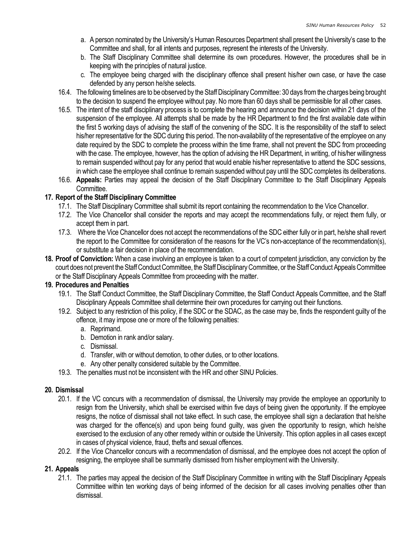- a. A person nominated by the University's Human Resources Department shall present the University's case to the Committee and shall, for all intents and purposes, represent the interests of the University.
- b. The Staff Disciplinary Committee shall determine its own procedures. However, the procedures shall be in keeping with the principles of natural justice.
- c. The employee being charged with the disciplinary offence shall present his/her own case, or have the case defended by any person he/she selects.
- 16.4. The following timelines are to be observed by the Staff Disciplinary Committee: 30 days from the charges being brought to the decision to suspend the employee without pay. No more than 60 days shall be permissible for all other cases.
- 16.5. The intent of the staff disciplinary process is to complete the hearing and announce the decision within 21 days of the suspension of the employee. All attempts shall be made by the HR Department to find the first available date within the first 5 working days of advising the staff of the convening of the SDC. It is the responsibility of the staff to select his/her representative for the SDC during this period. The non-availability of the representative of the employee on any date required by the SDC to complete the process within the time frame, shall not prevent the SDC from proceeding with the case. The employee, however, has the option of advising the HR Department, in writing, of his/her willingness to remain suspended without pay for any period that would enable his/her representative to attend the SDC sessions, in which case the employee shall continue to remain suspended without pay until the SDC completes its deliberations.
- 16.6. Appeals: Parties may appeal the decision of the Staff Disciplinary Committee to the Staff Disciplinary Appeals Committee.

### 17. Report of the Staff Disciplinary Committee

- 17.1. The Staff Disciplinary Committee shall submit its report containing the recommendation to the Vice Chancellor.
- 17.2. The Vice Chancellor shall consider the reports and may accept the recommendations fully, or reject them fully, or accept them in part.
- 17.3. Where the Vice Chancellor does not accept the recommendations of the SDC either fully or in part, he/she shall revert the report to the Committee for consideration of the reasons for the VC's non-acceptance of the recommendation(s), or substitute a fair decision in place of the recommendation.
- 18. Proof of Conviction: When a case involving an employee is taken to a court of competent jurisdiction, any conviction by the court does not prevent the Staff Conduct Committee, the Staff Disciplinary Committee, or the Staff Conduct Appeals Committee or the Staff Disciplinary Appeals Committee from proceeding with the matter.

### 19. Procedures and Penalties

- 19.1. The Staff Conduct Committee, the Staff Disciplinary Committee, the Staff Conduct Appeals Committee, and the Staff Disciplinary Appeals Committee shall determine their own procedures for carrying out their functions.
- 19.2. Subject to any restriction of this policy, if the SDC or the SDAC, as the case may be, finds the respondent guilty of the offence, it may impose one or more of the following penalties:
	- a. Reprimand.
	- b. Demotion in rank and/or salary.
	- c. Dismissal.
	- d. Transfer, with or without demotion, to other duties, or to other locations.
	- e. Any other penalty considered suitable by the Committee.
- 19.3. The penalties must not be inconsistent with the HR and other SINU Policies.

#### 20. Dismissal

- 20.1. If the VC concurs with a recommendation of dismissal, the University may provide the employee an opportunity to resign from the University, which shall be exercised within five days of being given the opportunity. If the employee resigns, the notice of dismissal shall not take effect. In such case, the employee shall sign a declaration that he/she was charged for the offence(s) and upon being found guilty, was given the opportunity to resign, which he/she exercised to the exclusion of any other remedy within or outside the University. This option applies in all cases except in cases of physical violence, fraud, thefts and sexual offences.
- 20.2. If the Vice Chancellor concurs with a recommendation of dismissal, and the employee does not accept the option of resigning, the employee shall be summarily dismissed from his/her employment with the University.

#### 21. Appeals

21.1. The parties may appeal the decision of the Staff Disciplinary Committee in writing with the Staff Disciplinary Appeals Committee within ten working days of being informed of the decision for all cases involving penalties other than dismissal.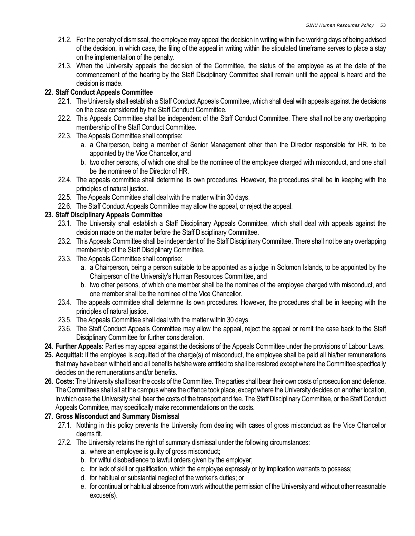- 21.2. For the penalty of dismissal, the employee may appeal the decision in writing within five working days of being advised of the decision, in which case, the filing of the appeal in writing within the stipulated timeframe serves to place a stay on the implementation of the penalty.
- 21.3. When the University appeals the decision of the Committee, the status of the employee as at the date of the commencement of the hearing by the Staff Disciplinary Committee shall remain until the appeal is heard and the decision is made.

# 22. Staff Conduct Appeals Committee

- 22.1. The University shall establish a Staff Conduct Appeals Committee, which shall deal with appeals against the decisions on the case considered by the Staff Conduct Committee.
- 22.2. This Appeals Committee shall be independent of the Staff Conduct Committee. There shall not be any overlapping membership of the Staff Conduct Committee.
- 22.3. The Appeals Committee shall comprise:
	- a. a Chairperson, being a member of Senior Management other than the Director responsible for HR, to be appointed by the Vice Chancellor, and
	- b. two other persons, of which one shall be the nominee of the employee charged with misconduct, and one shall be the nominee of the Director of HR.
- 22.4. The appeals committee shall determine its own procedures. However, the procedures shall be in keeping with the principles of natural justice.
- 22.5. The Appeals Committee shall deal with the matter within 30 days.
- 22.6. The Staff Conduct Appeals Committee may allow the appeal, or reject the appeal.

### 23. Staff Disciplinary Appeals Committee

- 23.1. The University shall establish a Staff Disciplinary Appeals Committee, which shall deal with appeals against the decision made on the matter before the Staff Disciplinary Committee.
- 23.2. This Appeals Committee shall be independent of the Staff Disciplinary Committee. There shall not be any overlapping membership of the Staff Disciplinary Committee.
- 23.3. The Appeals Committee shall comprise:
	- a. a Chairperson, being a person suitable to be appointed as a judge in Solomon Islands, to be appointed by the Chairperson of the University's Human Resources Committee, and
	- b. two other persons, of which one member shall be the nominee of the employee charged with misconduct, and one member shall be the nominee of the Vice Chancellor.
- 23.4. The appeals committee shall determine its own procedures. However, the procedures shall be in keeping with the principles of natural justice.
- 23.5. The Appeals Committee shall deal with the matter within 30 days.
- 23.6. The Staff Conduct Appeals Committee may allow the appeal, reject the appeal or remit the case back to the Staff Disciplinary Committee for further consideration.
- 24. Further Appeals: Parties may appeal against the decisions of the Appeals Committee under the provisions of Labour Laws.
- 25. Acquittal: If the employee is acquitted of the charge(s) of misconduct, the employee shall be paid all his/her remunerations that may have been withheld and all benefits he/she were entitled to shall be restored except where the Committee specifically decides on the remunerations and/or benefits.
- 26. Costs: The University shall bear the costs of the Committee. The parties shall bear their own costs of prosecution and defence. The Committees shall sit at the campus where the offence took place, except where the University decides on another location, in which case the University shall bear the costs of the transport and fee. The Staff Disciplinary Committee, or the Staff Conduct Appeals Committee, may specifically make recommendations on the costs.

### 27. Gross Misconduct and Summary Dismissal

- 27.1. Nothing in this policy prevents the University from dealing with cases of gross misconduct as the Vice Chancellor deems fit.
- 27.2. The University retains the right of summary dismissal under the following circumstances:
	- a. where an employee is guilty of gross misconduct;
	- b. for wilful disobedience to lawful orders given by the employer;
	- c. for lack of skill or qualification, which the employee expressly or by implication warrants to possess;
	- d. for habitual or substantial neglect of the worker's duties; or
	- e. for continual or habitual absence from work without the permission of the University and without other reasonable excuse(s).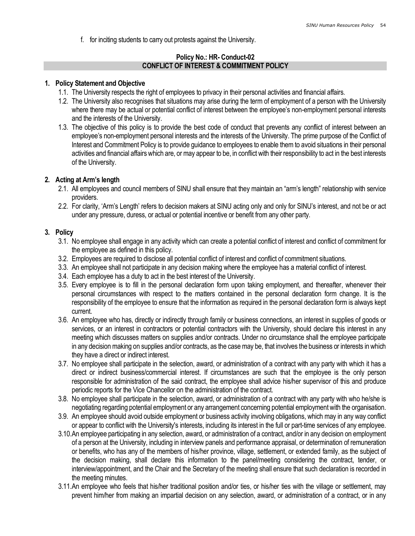f. for inciting students to carry out protests against the University.

#### Policy No.: HR- Conduct-02 CONFLICT OF INTEREST & COMMITMENT POLICY

#### 1. Policy Statement and Objective

- 1.1. The University respects the right of employees to privacy in their personal activities and financial affairs.
- 1.2. The University also recognises that situations may arise during the term of employment of a person with the University where there may be actual or potential conflict of interest between the employee's non-employment personal interests and the interests of the University.
- 1.3. The objective of this policy is to provide the best code of conduct that prevents any conflict of interest between an employee's non-employment personal interests and the interests of the University. The prime purpose of the Conflict of Interest and Commitment Policy is to provide guidance to employees to enable them to avoid situations in their personal activities and financial affairs which are, or may appear to be, in conflict with their responsibility to act in the best interests of the University.

#### 2. Acting at Arm's length

- 2.1. All employees and council members of SINU shall ensure that they maintain an "arm's length" relationship with service providers.
- 2.2. For clarity, 'Arm's Length' refers to decision makers at SINU acting only and only for SINU's interest, and not be or act under any pressure, duress, or actual or potential incentive or benefit from any other party.

#### 3. Policy

- 3.1. No employee shall engage in any activity which can create a potential conflict of interest and conflict of commitment for the employee as defined in this policy.
- 3.2. Employees are required to disclose all potential conflict of interest and conflict of commitment situations.
- 3.3. An employee shall not participate in any decision making where the employee has a material conflict of interest.
- 3.4. Each employee has a duty to act in the best interest of the University.
- 3.5. Every employee is to fill in the personal declaration form upon taking employment, and thereafter, whenever their personal circumstances with respect to the matters contained in the personal declaration form change. It is the responsibility of the employee to ensure that the information as required in the personal declaration form is always kept current.
- 3.6. An employee who has, directly or indirectly through family or business connections, an interest in supplies of goods or services, or an interest in contractors or potential contractors with the University, should declare this interest in any meeting which discusses matters on supplies and/or contracts. Under no circumstance shall the employee participate in any decision making on supplies and/or contracts, as the case may be, that involves the business or interests in which they have a direct or indirect interest.
- 3.7. No employee shall participate in the selection, award, or administration of a contract with any party with which it has a direct or indirect business/commercial interest. If circumstances are such that the employee is the only person responsible for administration of the said contract, the employee shall advice his/her supervisor of this and produce periodic reports for the Vice Chancellor on the administration of the contract.
- 3.8. No employee shall participate in the selection, award, or administration of a contract with any party with who he/she is negotiating regarding potential employment or any arrangement concerning potential employment with the organisation.
- 3.9. An employee should avoid outside employment or business activity involving obligations, which may in any way conflict or appear to conflict with the University's interests, including its interest in the full or part-time services of any employee.
- 3.10.An employee participating in any selection, award, or administration of a contract, and/or in any decision on employment of a person at the University, including in interview panels and performance appraisal, or determination of remuneration or benefits, who has any of the members of his/her province, village, settlement, or extended family, as the subject of the decision making, shall declare this information to the panel/meeting considering the contract, tender, or interview/appointment, and the Chair and the Secretary of the meeting shall ensure that such declaration is recorded in the meeting minutes.
- 3.11.An employee who feels that his/her traditional position and/or ties, or his/her ties with the village or settlement, may prevent him/her from making an impartial decision on any selection, award, or administration of a contract, or in any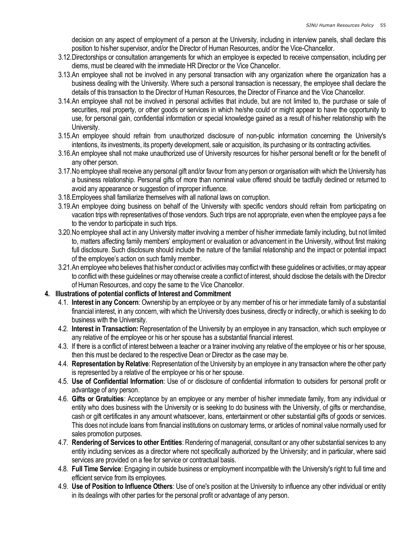decision on any aspect of employment of a person at the University, including in interview panels, shall declare this position to his/her supervisor, and/or the Director of Human Resources, and/or the Vice-Chancellor.

- 3.12.Directorships or consultation arrangements for which an employee is expected to receive compensation, including per diems, must be cleared with the immediate HR Director or the Vice Chancellor.
- 3.13.An employee shall not be involved in any personal transaction with any organization where the organization has a business dealing with the University. Where such a personal transaction is necessary, the employee shall declare the details of this transaction to the Director of Human Resources, the Director of Finance and the Vice Chancellor.
- 3.14.An employee shall not be involved in personal activities that include, but are not limited to, the purchase or sale of securities, real property, or other goods or services in which he/she could or might appear to have the opportunity to use, for personal gain, confidential information or special knowledge gained as a result of his/her relationship with the University.
- 3.15.An employee should refrain from unauthorized disclosure of non-public information concerning the University's intentions, its investments, its property development, sale or acquisition, its purchasing or its contracting activities.
- 3.16.An employee shall not make unauthorized use of University resources for his/her personal benefit or for the benefit of any other person.
- 3.17.No employee shall receive any personal gift and/or favour from any person or organisation with which the University has a business relationship. Personal gifts of more than nominal value offered should be tactfully declined or returned to avoid any appearance or suggestion of improper influence.
- 3.18.Employees shall familiarize themselves with all national laws on corruption.
- 3.19.An employee doing business on behalf of the University with specific vendors should refrain from participating on vacation trips with representatives of those vendors. Such trips are not appropriate, even when the employee pays a fee to the vendor to participate in such trips.
- 3.20.No employee shall act in any University matter involving a member of his/her immediate family including, but not limited to, matters affecting family members' employment or evaluation or advancement in the University, without first making full disclosure. Such disclosure should include the nature of the familial relationship and the impact or potential impact of the employee's action on such family member.
- 3.21.An employee who believes that his/her conduct or activities may conflict with these guidelines or activities, or may appear to conflict with these guidelines or may otherwise create a conflict of interest, should disclose the details with the Director of Human Resources, and copy the same to the Vice Chancellor.

### 4. Illustrations of potential conflicts of Interest and Commitment

- 4.1. Interest in any Concern: Ownership by an employee or by any member of his or her immediate family of a substantial financial interest, in any concern, with which the University does business, directly or indirectly, or which is seeking to do business with the University.
- 4.2. Interest in Transaction: Representation of the University by an employee in any transaction, which such employee or any relative of the employee or his or her spouse has a substantial financial interest.
- 4.3. If there is a conflict of interest between a teacher or a trainer involving any relative of the employee or his or her spouse, then this must be declared to the respective Dean or Director as the case may be.
- 4.4. Representation by Relative: Representation of the University by an employee in any transaction where the other party is represented by a relative of the employee or his or her spouse.
- 4.5. Use of Confidential Information: Use of or disclosure of confidential information to outsiders for personal profit or advantage of any person.
- 4.6. Gifts or Gratuities: Acceptance by an employee or any member of his/her immediate family, from any individual or entity who does business with the University or is seeking to do business with the University, of gifts or merchandise, cash or gift certificates in any amount whatsoever, loans, entertainment or other substantial gifts of goods or services. This does not include loans from financial institutions on customary terms, or articles of nominal value normally used for sales promotion purposes.
- 4.7. Rendering of Services to other Entities: Rendering of managerial, consultant or any other substantial services to any entity including services as a director where not specifically authorized by the University; and in particular, where said services are provided on a fee for service or contractual basis.
- 4.8. Full Time Service: Engaging in outside business or employment incompatible with the University's right to full time and efficient service from its employees.
- 4.9. Use of Position to Influence Others: Use of one's position at the University to influence any other individual or entity in its dealings with other parties for the personal profit or advantage of any person.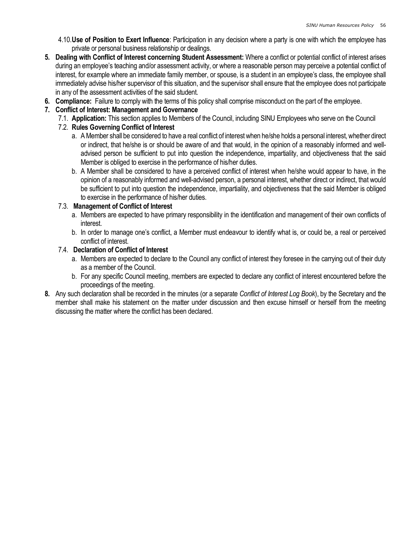- 4.10.Use of Position to Exert Influence: Participation in any decision where a party is one with which the employee has private or personal business relationship or dealings.
- 5. Dealing with Conflict of Interest concerning Student Assessment: Where a conflict or potential conflict of interest arises during an employee's teaching and/or assessment activity, or where a reasonable person may perceive a potential conflict of interest, for example where an immediate family member, or spouse, is a student in an employee's class, the employee shall immediately advise his/her supervisor of this situation, and the supervisor shall ensure that the employee does not participate in any of the assessment activities of the said student.
- 6. Compliance: Failure to comply with the terms of this policy shall comprise misconduct on the part of the employee.

# 7. Conflict of Interest: Management and Governance

7.1. Application: This section applies to Members of the Council, including SINU Employees who serve on the Council

# 7.2. Rules Governing Conflict of Interest

- a. A Member shall be considered to have a real conflict of interest when he/she holds a personal interest, whether direct or indirect, that he/she is or should be aware of and that would, in the opinion of a reasonably informed and welladvised person be sufficient to put into question the independence, impartiality, and objectiveness that the said Member is obliged to exercise in the performance of his/her duties.
- b. A Member shall be considered to have a perceived conflict of interest when he/she would appear to have, in the opinion of a reasonably informed and well-advised person, a personal interest, whether direct or indirect, that would be sufficient to put into question the independence, impartiality, and objectiveness that the said Member is obliged to exercise in the performance of his/her duties.

# 7.3. Management of Conflict of Interest

- a. Members are expected to have primary responsibility in the identification and management of their own conflicts of interest.
- b. In order to manage one's conflict, a Member must endeavour to identify what is, or could be, a real or perceived conflict of interest.

# 7.4. Declaration of Conflict of Interest

- a. Members are expected to declare to the Council any conflict of interest they foresee in the carrying out of their duty as a member of the Council.
- b. For any specific Council meeting, members are expected to declare any conflict of interest encountered before the proceedings of the meeting.
- 8. Any such declaration shall be recorded in the minutes (or a separate Conflict of Interest Log Book), by the Secretary and the member shall make his statement on the matter under discussion and then excuse himself or herself from the meeting discussing the matter where the conflict has been declared.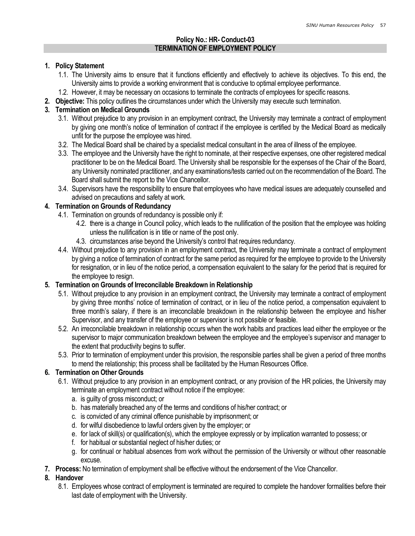### Policy No.: HR- Conduct-03 TERMINATION OF EMPLOYMENT POLICY

#### 1. Policy Statement

- 1.1. The University aims to ensure that it functions efficiently and effectively to achieve its objectives. To this end, the University aims to provide a working environment that is conducive to optimal employee performance.
- 1.2. However, it may be necessary on occasions to terminate the contracts of employees for specific reasons.
- 2. Objective: This policy outlines the circumstances under which the University may execute such termination.

## 3. Termination on Medical Grounds

- 3.1. Without prejudice to any provision in an employment contract, the University may terminate a contract of employment by giving one month's notice of termination of contract if the employee is certified by the Medical Board as medically unfit for the purpose the employee was hired.
- 3.2. The Medical Board shall be chaired by a specialist medical consultant in the area of illness of the employee.
- 3.3. The employee and the University have the right to nominate, at their respective expenses, one other registered medical practitioner to be on the Medical Board. The University shall be responsible for the expenses of the Chair of the Board, any University nominated practitioner, and any examinations/tests carried out on the recommendation of the Board. The Board shall submit the report to the Vice Chancellor.
- 3.4. Supervisors have the responsibility to ensure that employees who have medical issues are adequately counselled and advised on precautions and safety at work.

### 4. Termination on Grounds of Redundancy

- 4.1. Termination on grounds of redundancy is possible only if:
	- 4.2. there is a change in Council policy, which leads to the nullification of the position that the employee was holding unless the nullification is in title or name of the post only.
	- 4.3. circumstances arise beyond the University's control that requires redundancy.
- 4.4. Without prejudice to any provision in an employment contract, the University may terminate a contract of employment by giving a notice of termination of contract for the same period as required for the employee to provide to the University for resignation, or in lieu of the notice period, a compensation equivalent to the salary for the period that is required for the employee to resign.

### 5. Termination on Grounds of Irreconcilable Breakdown in Relationship

- 5.1. Without prejudice to any provision in an employment contract, the University may terminate a contract of employment by giving three months' notice of termination of contract, or in lieu of the notice period, a compensation equivalent to three month's salary, if there is an irreconcilable breakdown in the relationship between the employee and his/her Supervisor, and any transfer of the employee or supervisor is not possible or feasible.
- 5.2. An irreconcilable breakdown in relationship occurs when the work habits and practices lead either the employee or the supervisor to major communication breakdown between the employee and the employee's supervisor and manager to the extent that productivity begins to suffer.
- 5.3. Prior to termination of employment under this provision, the responsible parties shall be given a period of three months to mend the relationship; this process shall be facilitated by the Human Resources Office.

### 6. Termination on Other Grounds

- 6.1. Without prejudice to any provision in an employment contract, or any provision of the HR policies, the University may terminate an employment contract without notice if the employee:
	- a. is guilty of gross misconduct; or
	- b. has materially breached any of the terms and conditions of his/her contract; or
	- c. is convicted of any criminal offence punishable by imprisonment; or
	- d. for wilful disobedience to lawful orders given by the employer; or
	- e. for lack of skill(s) or qualification(s), which the employee expressly or by implication warranted to possess; or
	- f. for habitual or substantial neglect of his/her duties; or
	- g. for continual or habitual absences from work without the permission of the University or without other reasonable excuse.
- 7. Process: No termination of employment shall be effective without the endorsement of the Vice Chancellor.

### 8. Handover

8.1. Employees whose contract of employment is terminated are required to complete the handover formalities before their last date of employment with the University.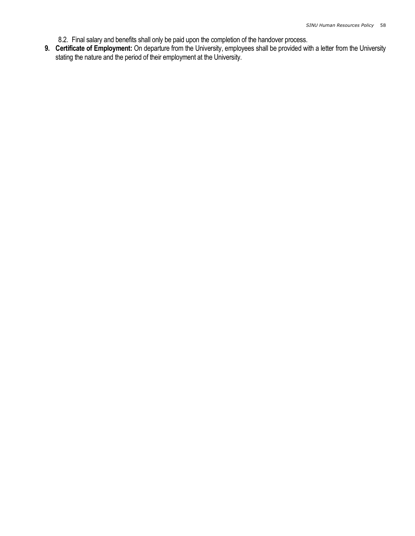- 8.2. Final salary and benefits shall only be paid upon the completion of the handover process.
- 9. Certificate of Employment: On departure from the University, employees shall be provided with a letter from the University stating the nature and the period of their employment at the University.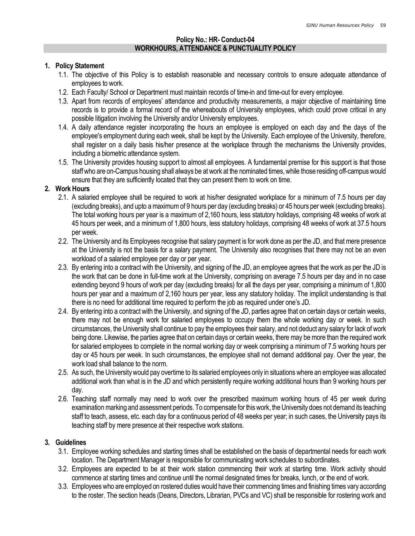#### Policy No.: HR- Conduct-04 WORKHOURS, ATTENDANCE & PUNCTUALITY POLICY

#### 1. Policy Statement

- 1.1. The objective of this Policy is to establish reasonable and necessary controls to ensure adequate attendance of employees to work.
- 1.2. Each Faculty/ School or Department must maintain records of time-in and time-out for every employee.
- 1.3. Apart from records of employees' attendance and productivity measurements, a major objective of maintaining time records is to provide a formal record of the whereabouts of University employees, which could prove critical in any possible litigation involving the University and/or University employees.
- 1.4. A daily attendance register incorporating the hours an employee is employed on each day and the days of the employee's employment during each week, shall be kept by the University. Each employee of the University, therefore, shall register on a daily basis his/her presence at the workplace through the mechanisms the University provides, including a biometric attendance system.
- 1.5. The University provides housing support to almost all employees. A fundamental premise for this support is that those staff who are on-Campus housing shall always be at work at the nominated times, while those residing off-campus would ensure that they are sufficiently located that they can present them to work on time.

#### 2. Work Hours

- 2.1. A salaried employee shall be required to work at his/her designated workplace for a minimum of 7.5 hours per day (excluding breaks), and upto a maximum of 9 hours per day (excluding breaks) or 45 hours per week (excluding breaks). The total working hours per year is a maximum of 2,160 hours, less statutory holidays, comprising 48 weeks of work at 45 hours per week, and a minimum of 1,800 hours, less statutory holidays, comprising 48 weeks of work at 37.5 hours per week.
- 2.2. The University and its Employees recognise that salary payment is for work done as per the JD, and that mere presence at the University is not the basis for a salary payment. The University also recognises that there may not be an even workload of a salaried employee per day or per year.
- 2.3. By entering into a contract with the University, and signing of the JD, an employee agrees that the work as per the JD is the work that can be done in full-time work at the University, comprising on average 7.5 hours per day and in no case extending beyond 9 hours of work per day (excluding breaks) for all the days per year, comprising a minimum of 1,800 hours per year and a maximum of 2,160 hours per year, less any statutory holiday. The implicit understanding is that there is no need for additional time required to perform the job as required under one's JD.
- 2.4. By entering into a contract with the University, and signing of the JD, parties agree that on certain days or certain weeks, there may not be enough work for salaried employees to occupy them the whole working day or week. In such circumstances, the University shall continue to pay the employees their salary, and not deduct any salary for lack of work being done. Likewise, the parties agree that on certain days or certain weeks, there may be more than the required work for salaried employees to complete in the normal working day or week comprising a minimum of 7.5 working hours per day or 45 hours per week. In such circumstances, the employee shall not demand additional pay. Over the year, the work load shall balance to the norm.
- 2.5. As such, the University would pay overtime to its salaried employees only in situations where an employee was allocated additional work than what is in the JD and which persistently require working additional hours than 9 working hours per day.
- 2.6. Teaching staff normally may need to work over the prescribed maximum working hours of 45 per week during examination marking and assessment periods. To compensate for this work, the University does not demand its teaching staff to teach, assess, etc. each day for a continuous period of 48 weeks per year; in such cases, the University pays its teaching staff by mere presence at their respective work stations.

#### 3. Guidelines

- 3.1. Employee working schedules and starting times shall be established on the basis of departmental needs for each work location. The Department Manager is responsible for communicating work schedules to subordinates.
- 3.2. Employees are expected to be at their work station commencing their work at starting time. Work activity should commence at starting times and continue until the normal designated times for breaks, lunch, or the end of work.
- 3.3. Employees who are employed on rostered duties would have their commencing times and finishing times vary according to the roster. The section heads (Deans, Directors, Librarian, PVCs and VC) shall be responsible for rostering work and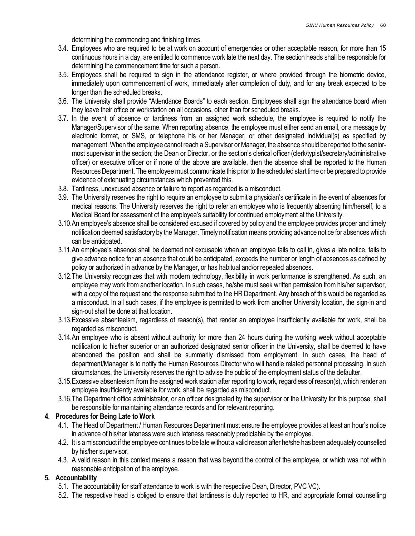determining the commencing and finishing times.

- 3.4. Employees who are required to be at work on account of emergencies or other acceptable reason, for more than 15 continuous hours in a day, are entitled to commence work late the next day. The section heads shall be responsible for determining the commencement time for such a person.
- 3.5. Employees shall be required to sign in the attendance register, or where provided through the biometric device, immediately upon commencement of work, immediately after completion of duty, and for any break expected to be longer than the scheduled breaks.
- 3.6. The University shall provide "Attendance Boards" to each section. Employees shall sign the attendance board when they leave their office or workstation on all occasions, other than for scheduled breaks.
- 3.7. In the event of absence or tardiness from an assigned work schedule, the employee is required to notify the Manager/Supervisor of the same. When reporting absence, the employee must either send an email, or a message by electronic format, or SMS, or telephone his or her Manager, or other designated individual(s) as specified by management. When the employee cannot reach a Supervisor or Manager, the absence should be reported to the seniormost supervisor in the section; the Dean or Director, or the section's clerical officer (clerk/typist/secretary/administrative officer) or executive officer or if none of the above are available, then the absence shall be reported to the Human Resources Department. The employee must communicate this prior to the scheduled start time or be prepared to provide evidence of extenuating circumstances which prevented this.
- 3.8. Tardiness, unexcused absence or failure to report as regarded is a misconduct.
- 3.9. The University reserves the right to require an employee to submit a physician's certificate in the event of absences for medical reasons. The University reserves the right to refer an employee who is frequently absenting him/herself, to a Medical Board for assessment of the employee's suitability for continued employment at the University.
- 3.10.An employee's absence shall be considered excused if covered by policy and the employee provides proper and timely notification deemed satisfactory by the Manager. Timely notification means providing advance notice for absences which can be anticipated.
- 3.11.An employee's absence shall be deemed not excusable when an employee fails to call in, gives a late notice, fails to give advance notice for an absence that could be anticipated, exceeds the number or length of absences as defined by policy or authorized in advance by the Manager, or has habitual and/or repeated absences.
- 3.12.The University recognizes that with modern technology, flexibility in work performance is strengthened. As such, an employee may work from another location. In such cases, he/she must seek written permission from his/her supervisor, with a copy of the request and the response submitted to the HR Department. Any breach of this would be regarded as a misconduct. In all such cases, if the employee is permitted to work from another University location, the sign-in and sign-out shall be done at that location.
- 3.13.Excessive absenteeism, regardless of reason(s), that render an employee insufficiently available for work, shall be regarded as misconduct.
- 3.14.An employee who is absent without authority for more than 24 hours during the working week without acceptable notification to his/her superior or an authorized designated senior officer in the University, shall be deemed to have abandoned the position and shall be summarily dismissed from employment. In such cases, the head of department/Manager is to notify the Human Resources Director who will handle related personnel processing. In such circumstances, the University reserves the right to advise the public of the employment status of the defaulter.
- 3.15.Excessive absenteeism from the assigned work station after reporting to work, regardless of reason(s), which render an employee insufficiently available for work, shall be regarded as misconduct.
- 3.16.The Department office administrator, or an officer designated by the supervisor or the University for this purpose, shall be responsible for maintaining attendance records and for relevant reporting.

#### 4. Procedures for Being Late to Work

- 4.1. The Head of Department / Human Resources Department must ensure the employee provides at least an hour's notice in advance of his/her lateness were such lateness reasonably predictable by the employee.
- 4.2. It is a misconduct if the employee continues to be late without a valid reason after he/she has been adequately counselled by his/her supervisor.
- 4.3. A valid reason in this context means a reason that was beyond the control of the employee, or which was not within reasonable anticipation of the employee.

#### 5. Accountability

- 5.1. The accountability for staff attendance to work is with the respective Dean, Director, PVC VC).
- 5.2. The respective head is obliged to ensure that tardiness is duly reported to HR, and appropriate formal counselling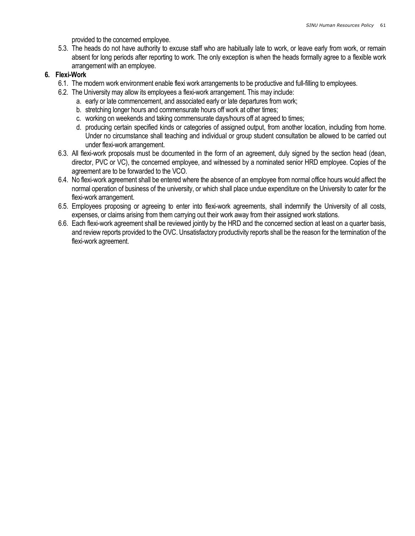provided to the concerned employee.

5.3. The heads do not have authority to excuse staff who are habitually late to work, or leave early from work, or remain absent for long periods after reporting to work. The only exception is when the heads formally agree to a flexible work arrangement with an employee.

### 6. Flexi-Work

- 6.1. The modern work environment enable flexi work arrangements to be productive and full-filling to employees.
- 6.2. The University may allow its employees a flexi-work arrangement. This may include:
	- a. early or late commencement, and associated early or late departures from work;
	- b. stretching longer hours and commensurate hours off work at other times;
	- c. working on weekends and taking commensurate days/hours off at agreed to times;
	- d. producing certain specified kinds or categories of assigned output, from another location, including from home. Under no circumstance shall teaching and individual or group student consultation be allowed to be carried out under flexi-work arrangement.
- 6.3. All flexi-work proposals must be documented in the form of an agreement, duly signed by the section head (dean, director, PVC or VC), the concerned employee, and witnessed by a nominated senior HRD employee. Copies of the agreement are to be forwarded to the VCO.
- 6.4. No flexi-work agreement shall be entered where the absence of an employee from normal office hours would affect the normal operation of business of the university, or which shall place undue expenditure on the University to cater for the flexi-work arrangement.
- 6.5. Employees proposing or agreeing to enter into flexi-work agreements, shall indemnify the University of all costs, expenses, or claims arising from them carrying out their work away from their assigned work stations.
- 6.6. Each flexi-work agreement shall be reviewed jointly by the HRD and the concerned section at least on a quarter basis, and review reports provided to the OVC. Unsatisfactory productivity reports shall be the reason for the termination of the flexi-work agreement.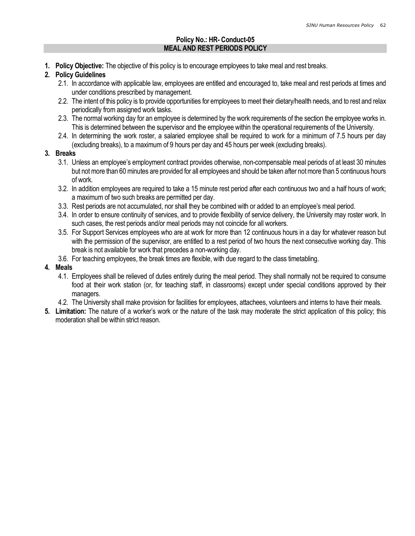### Policy No.: HR- Conduct-05 MEAL AND REST PERIODS POLICY

1. Policy Objective: The objective of this policy is to encourage employees to take meal and rest breaks.

### 2. Policy Guidelines

- 2.1. In accordance with applicable law, employees are entitled and encouraged to, take meal and rest periods at times and under conditions prescribed by management.
- 2.2. The intent of this policy is to provide opportunities for employees to meet their dietary/health needs, and to rest and relax periodically from assigned work tasks.
- 2.3. The normal working day for an employee is determined by the work requirements of the section the employee works in. This is determined between the supervisor and the employee within the operational requirements of the University.
- 2.4. In determining the work roster, a salaried employee shall be required to work for a minimum of 7.5 hours per day (excluding breaks), to a maximum of 9 hours per day and 45 hours per week (excluding breaks).

### 3. Breaks

- 3.1. Unless an employee's employment contract provides otherwise, non-compensable meal periods of at least 30 minutes but not more than 60 minutes are provided for all employees and should be taken after not more than 5 continuous hours of work.
- 3.2. In addition employees are required to take a 15 minute rest period after each continuous two and a half hours of work; a maximum of two such breaks are permitted per day.
- 3.3. Rest periods are not accumulated, nor shall they be combined with or added to an employee's meal period.
- 3.4. In order to ensure continuity of services, and to provide flexibility of service delivery, the University may roster work. In such cases, the rest periods and/or meal periods may not coincide for all workers.
- 3.5. For Support Services employees who are at work for more than 12 continuous hours in a day for whatever reason but with the permission of the supervisor, are entitled to a rest period of two hours the next consecutive working day. This break is not available for work that precedes a non-working day.
- 3.6. For teaching employees, the break times are flexible, with due regard to the class timetabling.

### 4. Meals

- 4.1. Employees shall be relieved of duties entirely during the meal period. They shall normally not be required to consume food at their work station (or, for teaching staff, in classrooms) except under special conditions approved by their managers.
- 4.2. The University shall make provision for facilities for employees, attachees, volunteers and interns to have their meals.
- 5. Limitation: The nature of a worker's work or the nature of the task may moderate the strict application of this policy; this moderation shall be within strict reason.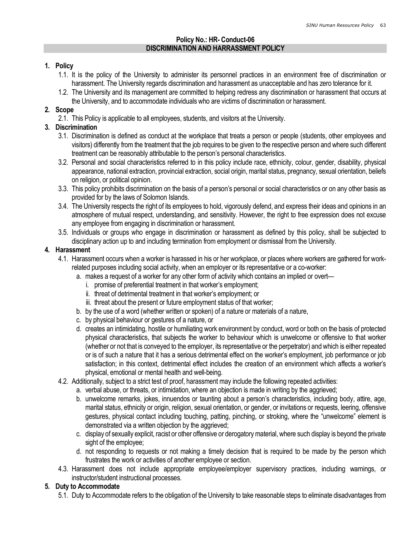#### Policy No.: HR- Conduct-06 DISCRIMINATION AND HARRASSMENT POLICY

#### 1. Policy

- 1.1. It is the policy of the University to administer its personnel practices in an environment free of discrimination or harassment. The University regards discrimination and harassment as unacceptable and has zero tolerance for it.
- 1.2. The University and its management are committed to helping redress any discrimination or harassment that occurs at the University, and to accommodate individuals who are victims of discrimination or harassment.

# 2. Scope

2.1. This Policy is applicable to all employees, students, and visitors at the University.

### 3. Discrimination

- 3.1. Discrimination is defined as conduct at the workplace that treats a person or people (students, other employees and visitors) differently from the treatment that the job requires to be given to the respective person and where such different treatment can be reasonably attributable to the person's personal characteristics.
- 3.2. Personal and social characteristics referred to in this policy include race, ethnicity, colour, gender, disability, physical appearance, national extraction, provincial extraction, social origin, marital status, pregnancy, sexual orientation, beliefs on religion, or political opinion.
- 3.3. This policy prohibits discrimination on the basis of a person's personal or social characteristics or on any other basis as provided for by the laws of Solomon Islands.
- 3.4. The University respects the right of its employees to hold, vigorously defend, and express their ideas and opinions in an atmosphere of mutual respect, understanding, and sensitivity. However, the right to free expression does not excuse any employee from engaging in discrimination or harassment.
- 3.5. Individuals or groups who engage in discrimination or harassment as defined by this policy, shall be subjected to disciplinary action up to and including termination from employment or dismissal from the University.

### 4. Harassment

- 4.1. Harassment occurs when a worker is harassed in his or her workplace, or places where workers are gathered for workrelated purposes including social activity, when an employer or its representative or a co-worker:
	- a. makes a request of a worker for any other form of activity which contains an implied or overt
		- i. promise of preferential treatment in that worker's employment;
		- ii. threat of detrimental treatment in that worker's employment; or
		- iii. threat about the present or future employment status of that worker;
	- b. by the use of a word (whether written or spoken) of a nature or materials of a nature,
	- c. by physical behaviour or gestures of a nature, or
	- d. creates an intimidating, hostile or humiliating work environment by conduct, word or both on the basis of protected physical characteristics, that subjects the worker to behaviour which is unwelcome or offensive to that worker (whether or not that is conveyed to the employer, its representative or the perpetrator) and which is either repeated or is of such a nature that it has a serious detrimental effect on the worker's employment, job performance or job satisfaction; in this context, detrimental effect includes the creation of an environment which affects a worker's physical, emotional or mental health and well-being.
- 4.2. Additionally, subject to a strict test of proof, harassment may include the following repeated activities:
	- a. verbal abuse, or threats, or intimidation, where an objection is made in writing by the aggrieved;
	- b. unwelcome remarks, jokes, innuendos or taunting about a person's characteristics, including body, attire, age, marital status, ethnicity or origin, religion, sexual orientation, or gender, or invitations or requests, leering, offensive gestures, physical contact including touching, patting, pinching, or stroking, where the "unwelcome" element is demonstrated via a written objection by the aggrieved;
	- c. display of sexually explicit, racist or other offensive or derogatory material, where such display is beyond the private sight of the employee;
	- d. not responding to requests or not making a timely decision that is required to be made by the person which frustrates the work or activities of another employee or section.
- 4.3. Harassment does not include appropriate employee/employer supervisory practices, including warnings, or instructor/student instructional processes.

#### 5. Duty to Accommodate

5.1. Duty to Accommodate refers to the obligation of the University to take reasonable steps to eliminate disadvantages from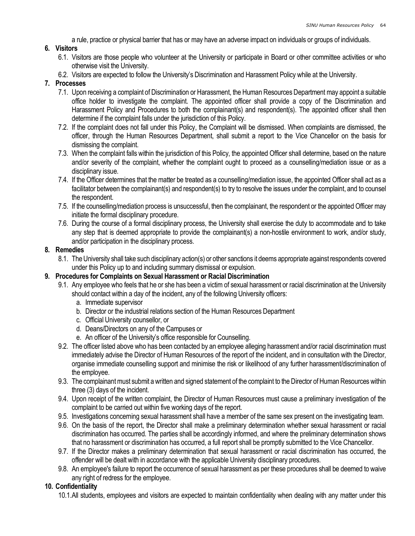a rule, practice or physical barrier that has or may have an adverse impact on individuals or groups of individuals.

### 6. Visitors

- 6.1. Visitors are those people who volunteer at the University or participate in Board or other committee activities or who otherwise visit the University.
- 6.2. Visitors are expected to follow the University's Discrimination and Harassment Policy while at the University.

### 7. Processes

- 7.1. Upon receiving a complaint of Discrimination or Harassment, the Human Resources Department may appoint a suitable office holder to investigate the complaint. The appointed officer shall provide a copy of the Discrimination and Harassment Policy and Procedures to both the complainant(s) and respondent(s). The appointed officer shall then determine if the complaint falls under the jurisdiction of this Policy.
- 7.2. If the complaint does not fall under this Policy, the Complaint will be dismissed. When complaints are dismissed, the officer, through the Human Resources Department, shall submit a report to the Vice Chancellor on the basis for dismissing the complaint.
- 7.3. When the complaint falls within the jurisdiction of this Policy, the appointed Officer shall determine, based on the nature and/or severity of the complaint, whether the complaint ought to proceed as a counselling/mediation issue or as a disciplinary issue.
- 7.4. If the Officer determines that the matter be treated as a counselling/mediation issue, the appointed Officer shall act as a facilitator between the complainant(s) and respondent(s) to try to resolve the issues under the complaint, and to counsel the respondent.
- 7.5. If the counselling/mediation process is unsuccessful, then the complainant, the respondent or the appointed Officer may initiate the formal disciplinary procedure.
- 7.6. During the course of a formal disciplinary process, the University shall exercise the duty to accommodate and to take any step that is deemed appropriate to provide the complainant(s) a non-hostile environment to work, and/or study, and/or participation in the disciplinary process.

### 8. Remedies

8.1. The University shall take such disciplinary action(s) or other sanctions it deems appropriate against respondents covered under this Policy up to and including summary dismissal or expulsion.

### 9. Procedures for Complaints on Sexual Harassment or Racial Discrimination

- 9.1. Any employee who feels that he or she has been a victim of sexual harassment or racial discrimination at the University should contact within a day of the incident, any of the following University officers:
	- a. Immediate supervisor
	- b. Director or the industrial relations section of the Human Resources Department
	- c. Official University counsellor, or
	- d. Deans/Directors on any of the Campuses or
	- e. An officer of the University's office responsible for Counselling.
- 9.2. The officer listed above who has been contacted by an employee alleging harassment and/or racial discrimination must immediately advise the Director of Human Resources of the report of the incident, and in consultation with the Director, organise immediate counselling support and minimise the risk or likelihood of any further harassment/discrimination of the employee.
- 9.3. The complainant must submit a written and signed statement of the complaint to the Director of Human Resources within three (3) days of the incident.
- 9.4. Upon receipt of the written complaint, the Director of Human Resources must cause a preliminary investigation of the complaint to be carried out within five working days of the report.
- 9.5. Investigations concerning sexual harassment shall have a member of the same sex present on the investigating team.
- 9.6. On the basis of the report, the Director shall make a preliminary determination whether sexual harassment or racial discrimination has occurred. The parties shall be accordingly informed, and where the preliminary determination shows that no harassment or discrimination has occurred, a full report shall be promptly submitted to the Vice Chancellor.
- 9.7. If the Director makes a preliminary determination that sexual harassment or racial discrimination has occurred, the offender will be dealt with in accordance with the applicable University disciplinary procedures.
- 9.8. An employee's failure to report the occurrence of sexual harassment as per these procedures shall be deemed to waive any right of redress for the employee.

### 10. Confidentiality

10.1.All students, employees and visitors are expected to maintain confidentiality when dealing with any matter under this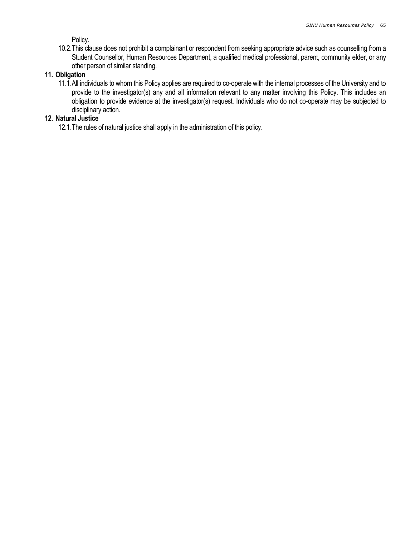Policy.

10.2.This clause does not prohibit a complainant or respondent from seeking appropriate advice such as counselling from a Student Counsellor, Human Resources Department, a qualified medical professional, parent, community elder, or any other person of similar standing.

#### 11. Obligation

11.1.All individuals to whom this Policy applies are required to co-operate with the internal processes of the University and to provide to the investigator(s) any and all information relevant to any matter involving this Policy. This includes an obligation to provide evidence at the investigator(s) request. Individuals who do not co-operate may be subjected to disciplinary action.

#### 12. Natural Justice

12.1.The rules of natural justice shall apply in the administration of this policy.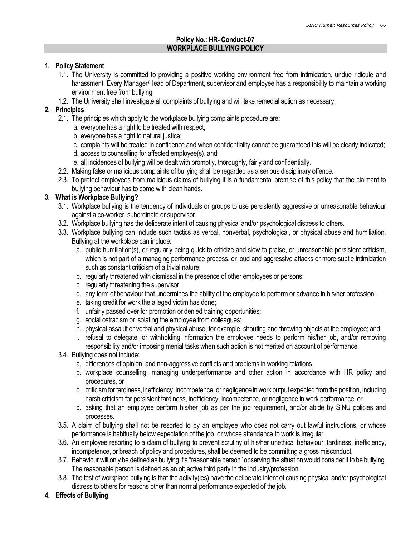### Policy No.: HR- Conduct-07 WORKPLACE BULLYING POLICY

#### 1. Policy Statement

- 1.1. The University is committed to providing a positive working environment free from intimidation, undue ridicule and harassment. Every Manager/Head of Department, supervisor and employee has a responsibility to maintain a working environment free from bullying.
- 1.2. The University shall investigate all complaints of bullying and will take remedial action as necessary.

### 2. Principles

- 2.1. The principles which apply to the workplace bullying complaints procedure are:
	- a. everyone has a right to be treated with respect;
	- b. everyone has a right to natural justice;
	- c. complaints will be treated in confidence and when confidentiality cannot be guaranteed this will be clearly indicated;
	- d. access to counselling for affected employee(s), and
	- e. all incidences of bullying will be dealt with promptly, thoroughly, fairly and confidentially.
- 2.2. Making false or malicious complaints of bullying shall be regarded as a serious disciplinary offence.
- 2.3. To protect employees from malicious claims of bullying it is a fundamental premise of this policy that the claimant to bullying behaviour has to come with clean hands.

### 3. What is Workplace Bullying?

- 3.1. Workplace bullying is the tendency of individuals or groups to use persistently aggressive or unreasonable behaviour against a co-worker, subordinate or supervisor.
- 3.2. Workplace bullying has the deliberate intent of causing physical and/or psychological distress to others.
- 3.3. Workplace bullying can include such tactics as verbal, nonverbal, psychological, or physical abuse and humiliation. Bullying at the workplace can include:
	- a. public humiliation(s), or regularly being quick to criticize and slow to praise, or unreasonable persistent criticism, which is not part of a managing performance process, or loud and aggressive attacks or more subtle intimidation such as constant criticism of a trivial nature;
	- b. regularly threatened with dismissal in the presence of other employees or persons;
	- c. regularly threatening the supervisor;
	- d. any form of behaviour that undermines the ability of the employee to perform or advance in his/her profession;
	- e. taking credit for work the alleged victim has done;
	- f. unfairly passed over for promotion or denied training opportunities;
	- g. social ostracism or isolating the employee from colleagues;
	- h. physical assault or verbal and physical abuse, for example, shouting and throwing objects at the employee; and
	- i. refusal to delegate, or withholding information the employee needs to perform his/her job, and/or removing responsibility and/or imposing menial tasks when such action is not merited on account of performance.
- 3.4. Bullying does not include:
	- a. differences of opinion, and non-aggressive conflicts and problems in working relations,
	- b. workplace counselling, managing underperformance and other action in accordance with HR policy and procedures, or
	- c. criticism for tardiness, inefficiency, incompetence, or negligence in work output expected from the position, including harsh criticism for persistent tardiness, inefficiency, incompetence, or negligence in work performance, or
	- d. asking that an employee perform his/her job as per the job requirement, and/or abide by SINU policies and processes.
- 3.5. A claim of bullying shall not be resorted to by an employee who does not carry out lawful instructions, or whose performance is habitually below expectation of the job, or whose attendance to work is irregular.
- 3.6. An employee resorting to a claim of bullying to prevent scrutiny of his/her unethical behaviour, tardiness, inefficiency, incompetence, or breach of policy and procedures, shall be deemed to be committing a gross misconduct.
- 3.7. Behaviour will only be defined as bullying if a "reasonable person" observing the situation would consider it to be bullying. The reasonable person is defined as an objective third party in the industry/profession.
- 3.8. The test of workplace bullying is that the activity(ies) have the deliberate intent of causing physical and/or psychological distress to others for reasons other than normal performance expected of the job.
- 4. Effects of Bullying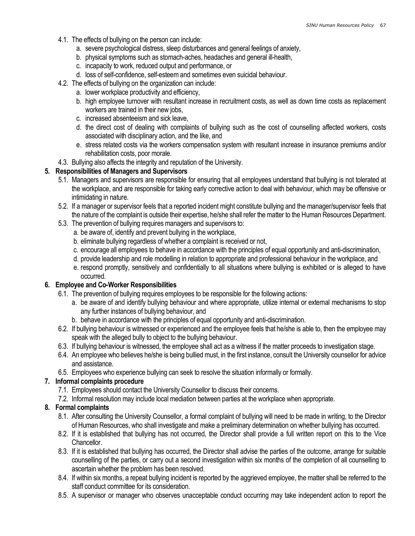- 4.1. The effects of bullying on the person can include:
	- a. severe psychological distress, sleep disturbances and general feelings of anxiety,
	- b. physical symptoms such as stomach-aches, headaches and general ill-health,
	- c. incapacity to work, reduced output and performance, or
	- d. loss of self-confidence, self-esteem and sometimes even suicidal behaviour.
- 4.2. The effects of bullying on the organization can include:
	- a. lower workplace productivity and efficiency,
	- b. high employee turnover with resultant increase in recruitment costs, as well as down time costs as replacement workers are trained in their new jobs,
	- c. increased absenteeism and sick leave,
	- d. the direct cost of dealing with complaints of bullying such as the cost of counselling affected workers, costs associated with disciplinary action, and the like, and
	- e. stress related costs via the workers compensation system with resultant increase in insurance premiums and/or rehabilitation costs, poor morale.
- 4.3. Bullying also affects the integrity and reputation of the University.

### 5. Responsibilities of Managers and Supervisors

- 5.1. Managers and supervisors are responsible for ensuring that all employees understand that bullying is not tolerated at the workplace, and are responsible for taking early corrective action to deal with behaviour, which may be offensive or intimidating in nature.
- 5.2. If a manager or supervisor feels that a reported incident might constitute bullying and the manager/supervisor feels that the nature of the complaint is outside their expertise, he/she shall refer the matter to the Human Resources Department.
- 5.3. The prevention of bullying requires managers and supervisors to:
	- a. be aware of, identify and prevent bullying in the workplace,
	- b. eliminate bullying regardless of whether a complaint is received or not,
	- c. encourage all employees to behave in accordance with the principles of equal opportunity and anti-discrimination,
	- d. provide leadership and role modelling in relation to appropriate and professional behaviour in the workplace, and
	- e. respond promptly, sensitively and confidentially to all situations where bullying is exhibited or is alleged to have occurred.

### 6. Employee and Co-Worker Responsibilities

- 6.1. The prevention of bullying requires employees to be responsible for the following actions:
	- a. be aware of and identify bullying behaviour and where appropriate, utilize internal or external mechanisms to stop any further instances of bullying behaviour, and
	- b. behave in accordance with the principles of equal opportunity and anti-discrimination.
- 6.2. If bullying behaviour is witnessed or experienced and the employee feels that he/she is able to, then the employee may speak with the alleged bully to object to the bullying behaviour.
- 6.3. If bullying behaviour is witnessed, the employee shall act as a witness if the matter proceeds to investigation stage.
- 6.4. An employee who believes he/she is being bullied must, in the first instance, consult the University counsellor for advice and assistance.
- 6.5. Employees who experience bullying can seek to resolve the situation informally or formally.

### 7. Informal complaints procedure

- 7.1. Employees should contact the University Counsellor to discuss their concerns.
- 7.2. Informal resolution may include local mediation between parties at the workplace when appropriate.

### 8. Formal complaints

- 8.1. After consulting the University Counsellor, a formal complaint of bullying will need to be made in writing, to the Director of Human Resources, who shall investigate and make a preliminary determination on whether bullying has occurred.
- 8.2. If it is established that bullying has not occurred, the Director shall provide a full written report on this to the Vice Chancellor.
- 8.3. If it is established that bullying has occurred, the Director shall advise the parties of the outcome, arrange for suitable counselling of the parties, or carry out a second investigation within six months of the completion of all counselling to ascertain whether the problem has been resolved.
- 8.4. If within six months, a repeat bullying incident is reported by the aggrieved employee, the matter shall be referred to the staff conduct committee for its consideration.
- 8.5. A supervisor or manager who observes unacceptable conduct occurring may take independent action to report the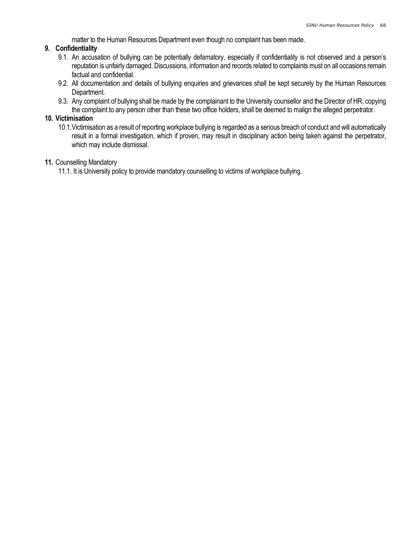matter to the Human Resources Department even though no complaint has been made.

### 9. Confidentiality

- 9.1. An accusation of bullying can be potentially defamatory, especially if confidentiality is not observed and a person's reputation is unfairly damaged. Discussions, information and records related to complaints must on all occasions remain factual and confidential.
- 9.2. All documentation and details of bullying enquiries and grievances shall be kept securely by the Human Resources Department.
- 9.3. Any complaint of bullying shall be made by the complainant to the University counsellor and the Director of HR; copying the complaint to any person other than these two office holders, shall be deemed to malign the alleged perpetrator.

#### 10. Victimisation

10.1.Victimisation as a result of reporting workplace bullying is regarded as a serious breach of conduct and will automatically result in a formal investigation, which if proven, may result in disciplinary action being taken against the perpetrator, which may include dismissal.

#### 11. Counselling Mandatory

11.1. It is University policy to provide mandatory counselling to victims of workplace bullying.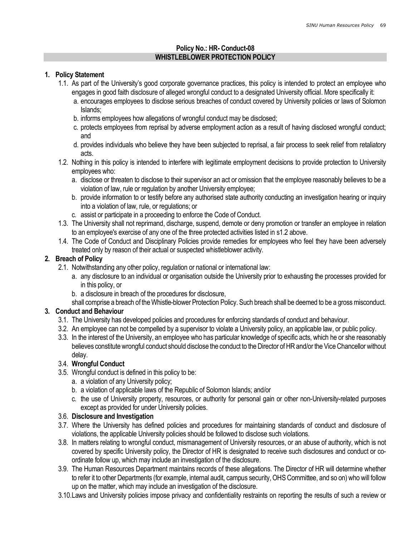### Policy No.: HR- Conduct-08 WHISTLEBLOWER PROTECTION POLICY

### 1. Policy Statement

- 1.1. As part of the University's good corporate governance practices, this policy is intended to protect an employee who engages in good faith disclosure of alleged wrongful conduct to a designated University official. More specifically it:
	- a. encourages employees to disclose serious breaches of conduct covered by University policies or laws of Solomon Islands;
	- b. informs employees how allegations of wrongful conduct may be disclosed;
	- c. protects employees from reprisal by adverse employment action as a result of having disclosed wrongful conduct; and
	- d. provides individuals who believe they have been subjected to reprisal, a fair process to seek relief from retaliatory acts.
- 1.2. Nothing in this policy is intended to interfere with legitimate employment decisions to provide protection to University employees who:
	- a. disclose or threaten to disclose to their supervisor an act or omission that the employee reasonably believes to be a violation of law, rule or regulation by another University employee;
	- b. provide information to or testify before any authorised state authority conducting an investigation hearing or inquiry into a violation of law, rule, or regulations; or
	- c. assist or participate in a proceeding to enforce the Code of Conduct.
- 1.3. The University shall not reprimand, discharge, suspend, demote or deny promotion or transfer an employee in relation to an employee's exercise of any one of the three protected activities listed in s1.2 above.
- 1.4. The Code of Conduct and Disciplinary Policies provide remedies for employees who feel they have been adversely treated only by reason of their actual or suspected whistleblower activity.

### 2. Breach of Policy

- 2.1. Notwithstanding any other policy, regulation or national or international law:
	- a. any disclosure to an individual or organisation outside the University prior to exhausting the processes provided for in this policy, or
	- b. a disclosure in breach of the procedures for disclosure,
	- shall comprise a breach of the Whistle-blower Protection Policy. Such breach shall be deemed to be a gross misconduct.

# 3. Conduct and Behaviour

- 3.1. The University has developed policies and procedures for enforcing standards of conduct and behaviour.
- 3.2. An employee can not be compelled by a supervisor to violate a University policy, an applicable law, or public policy.
- 3.3. In the interest of the University, an employee who has particular knowledge of specific acts, which he or she reasonably believes constitute wrongful conduct should disclose the conduct to the Director of HR and/or the Vice Chancellor without delay.

### 3.4. Wrongful Conduct

- 3.5. Wrongful conduct is defined in this policy to be:
	- a. a violation of any University policy;
	- b. a violation of applicable laws of the Republic of Solomon Islands; and/or
	- c. the use of University property, resources, or authority for personal gain or other non-University-related purposes except as provided for under University policies.

### 3.6. Disclosure and Investigation

- 3.7. Where the University has defined policies and procedures for maintaining standards of conduct and disclosure of violations, the applicable University policies should be followed to disclose such violations.
- 3.8. In matters relating to wrongful conduct, mismanagement of University resources, or an abuse of authority, which is not covered by specific University policy, the Director of HR is designated to receive such disclosures and conduct or coordinate follow up, which may include an investigation of the disclosure.
- 3.9. The Human Resources Department maintains records of these allegations. The Director of HR will determine whether to refer it to other Departments (for example, internal audit, campus security, OHS Committee, and so on) who will follow up on the matter, which may include an investigation of the disclosure.
- 3.10.Laws and University policies impose privacy and confidentiality restraints on reporting the results of such a review or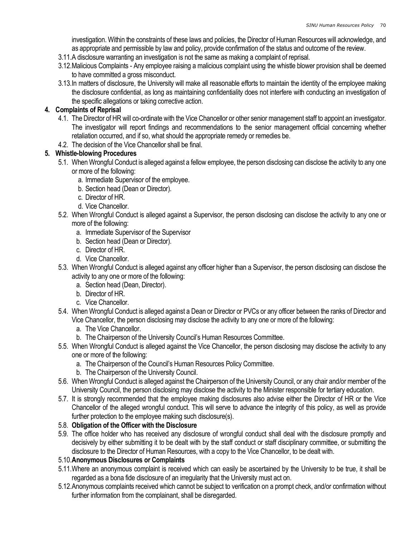investigation. Within the constraints of these laws and policies, the Director of Human Resources will acknowledge, and as appropriate and permissible by law and policy, provide confirmation of the status and outcome of the review.

- 3.11.A disclosure warranting an investigation is not the same as making a complaint of reprisal.
- 3.12.Malicious Complaints Any employee raising a malicious complaint using the whistle blower provision shall be deemed to have committed a gross misconduct.
- 3.13.In matters of disclosure, the University will make all reasonable efforts to maintain the identity of the employee making the disclosure confidential, as long as maintaining confidentiality does not interfere with conducting an investigation of the specific allegations or taking corrective action.

## 4. Complaints of Reprisal

- 4.1. The Director of HR will co-ordinate with the Vice Chancellor or other senior management staff to appoint an investigator. The investigator will report findings and recommendations to the senior management official concerning whether retaliation occurred, and if so, what should the appropriate remedy or remedies be.
- 4.2. The decision of the Vice Chancellor shall be final.

# 5. Whistle-blowing Procedures

- 5.1. When Wrongful Conduct is alleged against a fellow employee, the person disclosing can disclose the activity to any one or more of the following:
	- a. Immediate Supervisor of the employee.
	- b. Section head (Dean or Director).
	- c. Director of HR.
	- d. Vice Chancellor.
- 5.2. When Wrongful Conduct is alleged against a Supervisor, the person disclosing can disclose the activity to any one or more of the following:
	- a. Immediate Supervisor of the Supervisor
	- b. Section head (Dean or Director).
	- c. Director of HR.
	- d. Vice Chancellor.
- 5.3. When Wrongful Conduct is alleged against any officer higher than a Supervisor, the person disclosing can disclose the activity to any one or more of the following:
	- a. Section head (Dean, Director).
	- b. Director of HR.
	- c. Vice Chancellor.
- 5.4. When Wrongful Conduct is alleged against a Dean or Director or PVCs or any officer between the ranks of Director and Vice Chancellor, the person disclosing may disclose the activity to any one or more of the following:
	- a. The Vice Chancellor.
	- b. The Chairperson of the University Council's Human Resources Committee.
- 5.5. When Wrongful Conduct is alleged against the Vice Chancellor, the person disclosing may disclose the activity to any one or more of the following:
	- a. The Chairperson of the Council's Human Resources Policy Committee.
	- b. The Chairperson of the University Council.
- 5.6. When Wrongful Conduct is alleged against the Chairperson of the University Council, or any chair and/or member of the University Council, the person disclosing may disclose the activity to the Minister responsible for tertiary education.
- 5.7. It is strongly recommended that the employee making disclosures also advise either the Director of HR or the Vice Chancellor of the alleged wrongful conduct. This will serve to advance the integrity of this policy, as well as provide further protection to the employee making such disclosure(s).

### 5.8. Obligation of the Officer with the Disclosure

5.9. The office holder who has received any disclosure of wrongful conduct shall deal with the disclosure promptly and decisively by either submitting it to be dealt with by the staff conduct or staff disciplinary committee, or submitting the disclosure to the Director of Human Resources, with a copy to the Vice Chancellor, to be dealt with.

### 5.10.Anonymous Disclosures or Complaints

- 5.11.Where an anonymous complaint is received which can easily be ascertained by the University to be true, it shall be regarded as a bona fide disclosure of an irregularity that the University must act on.
- 5.12.Anonymous complaints received which cannot be subject to verification on a prompt check, and/or confirmation without further information from the complainant, shall be disregarded.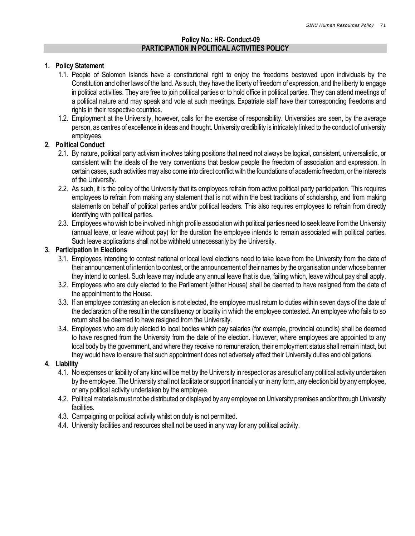#### Policy No.: HR- Conduct-09 PARTICIPATION IN POLITICAL ACTIVITIES POLICY

#### 1. Policy Statement

- 1.1. People of Solomon Islands have a constitutional right to enjoy the freedoms bestowed upon individuals by the Constitution and other laws of the land. As such, they have the liberty of freedom of expression, and the liberty to engage in political activities. They are free to join political parties or to hold office in political parties. They can attend meetings of a political nature and may speak and vote at such meetings. Expatriate staff have their corresponding freedoms and rights in their respective countries.
- 1.2. Employment at the University, however, calls for the exercise of responsibility. Universities are seen, by the average person, as centres of excellence in ideas and thought. University credibility is intricately linked to the conduct of university employees.

#### 2. Political Conduct

- 2.1. By nature, political party activism involves taking positions that need not always be logical, consistent, universalistic, or consistent with the ideals of the very conventions that bestow people the freedom of association and expression. In certain cases, such activities may also come into direct conflict with the foundations of academic freedom, or the interests of the University.
- 2.2. As such, it is the policy of the University that its employees refrain from active political party participation. This requires employees to refrain from making any statement that is not within the best traditions of scholarship, and from making statements on behalf of political parties and/or political leaders. This also requires employees to refrain from directly identifying with political parties.
- 2.3. Employees who wish to be involved in high profile association with political parties need to seek leave from the University (annual leave, or leave without pay) for the duration the employee intends to remain associated with political parties. Such leave applications shall not be withheld unnecessarily by the University.

### 3. Participation in Elections

- 3.1. Employees intending to contest national or local level elections need to take leave from the University from the date of their announcement of intention to contest, or the announcement of their names by the organisation under whose banner they intend to contest. Such leave may include any annual leave that is due, failing which, leave without pay shall apply.
- 3.2. Employees who are duly elected to the Parliament (either House) shall be deemed to have resigned from the date of the appointment to the House.
- 3.3. If an employee contesting an election is not elected, the employee must return to duties within seven days of the date of the declaration of the result in the constituency or locality in which the employee contested. An employee who fails to so return shall be deemed to have resigned from the University.
- 3.4. Employees who are duly elected to local bodies which pay salaries (for example, provincial councils) shall be deemed to have resigned from the University from the date of the election. However, where employees are appointed to any local body by the government, and where they receive no remuneration, their employment status shall remain intact, but they would have to ensure that such appointment does not adversely affect their University duties and obligations.

#### 4. Liability

- 4.1. No expenses or liability of any kind will be met by the University in respect or as a result of any political activity undertaken by the employee. The University shall not facilitate or support financially or in any form, any election bid by any employee, or any political activity undertaken by the employee.
- 4.2. Political materials must not be distributed or displayed by any employee on University premises and/or through University facilities.
- 4.3. Campaigning or political activity whilst on duty is not permitted.
- 4.4. University facilities and resources shall not be used in any way for any political activity.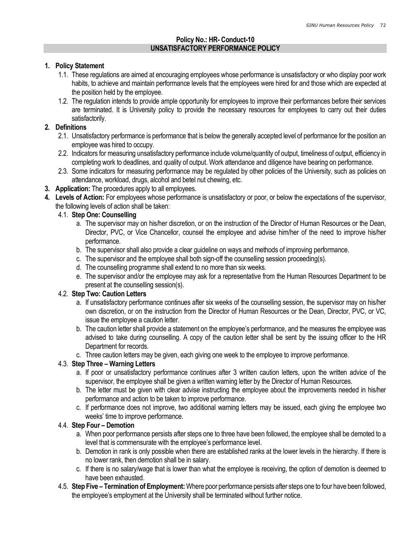### Policy No.: HR- Conduct-10 UNSATISFACTORY PERFORMANCE POLICY

#### 1. Policy Statement

- 1.1. These regulations are aimed at encouraging employees whose performance is unsatisfactory or who display poor work habits, to achieve and maintain performance levels that the employees were hired for and those which are expected at the position held by the employee.
- 1.2. The regulation intends to provide ample opportunity for employees to improve their performances before their services are terminated. It is University policy to provide the necessary resources for employees to carry out their duties satisfactorily.

#### 2. Definitions

- 2.1. Unsatisfactory performance is performance that is below the generally accepted level of performance for the position an employee was hired to occupy.
- 2.2. Indicators for measuring unsatisfactory performance include volume/quantity of output, timeliness of output, efficiency in completing work to deadlines, and quality of output. Work attendance and diligence have bearing on performance.
- 2.3. Some indicators for measuring performance may be regulated by other policies of the University, such as policies on attendance, workload, drugs, alcohol and betel nut chewing, etc.
- 3. Application: The procedures apply to all employees.
- 4. Levels of Action: For employees whose performance is unsatisfactory or poor, or below the expectations of the supervisor, the following levels of action shall be taken:

### 4.1. Step One: Counselling

- a. The supervisor may on his/her discretion, or on the instruction of the Director of Human Resources or the Dean, Director, PVC, or Vice Chancellor, counsel the employee and advise him/her of the need to improve his/her performance.
- b. The supervisor shall also provide a clear guideline on ways and methods of improving performance.
- c. The supervisor and the employee shall both sign-off the counselling session proceeding(s).
- d. The counselling programme shall extend to no more than six weeks.
- e. The supervisor and/or the employee may ask for a representative from the Human Resources Department to be present at the counselling session(s).

#### 4.2. Step Two: Caution Letters

- a. If unsatisfactory performance continues after six weeks of the counselling session, the supervisor may on his/her own discretion, or on the instruction from the Director of Human Resources or the Dean, Director, PVC, or VC, issue the employee a caution letter.
- b. The caution letter shall provide a statement on the employee's performance, and the measures the employee was advised to take during counselling. A copy of the caution letter shall be sent by the issuing officer to the HR Department for records.
- c. Three caution letters may be given, each giving one week to the employee to improve performance.

### 4.3. Step Three – Warning Letters

- a. If poor or unsatisfactory performance continues after 3 written caution letters, upon the written advice of the supervisor, the employee shall be given a written warning letter by the Director of Human Resources.
- b. The letter must be given with clear advise instructing the employee about the improvements needed in his/her performance and action to be taken to improve performance.
- c. If performance does not improve, two additional warning letters may be issued, each giving the employee two weeks' time to improve performance.

#### 4.4. Step Four – Demotion

- a. When poor performance persists after steps one to three have been followed, the employee shall be demoted to a level that is commensurate with the employee's performance level.
- b. Demotion in rank is only possible when there are established ranks at the lower levels in the hierarchy. If there is no lower rank, then demotion shall be in salary.
- c. If there is no salary/wage that is lower than what the employee is receiving, the option of demotion is deemed to have been exhausted.
- 4.5. Step Five Termination of Employment: Where poor performance persists after steps one to four have been followed, the employee's employment at the University shall be terminated without further notice.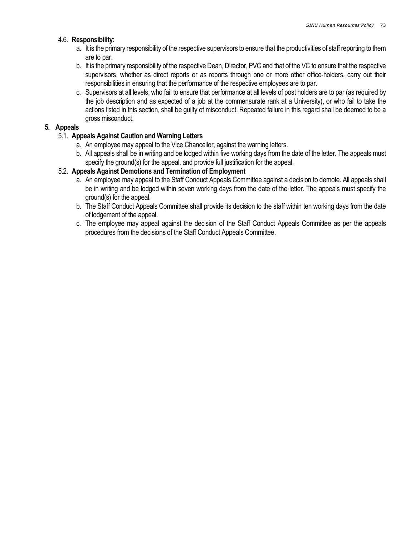### 4.6. Responsibility:

- a. It is the primary responsibility of the respective supervisors to ensure that the productivities of staff reporting to them are to par.
- b. It is the primary responsibility of the respective Dean, Director, PVC and that of the VC to ensure that the respective supervisors, whether as direct reports or as reports through one or more other office-holders, carry out their responsibilities in ensuring that the performance of the respective employees are to par.
- c. Supervisors at all levels, who fail to ensure that performance at all levels of post holders are to par (as required by the job description and as expected of a job at the commensurate rank at a University), or who fail to take the actions listed in this section, shall be guilty of misconduct. Repeated failure in this regard shall be deemed to be a gross misconduct.

### 5. Appeals

### 5.1. Appeals Against Caution and Warning Letters

- a. An employee may appeal to the Vice Chancellor, against the warning letters.
- b. All appeals shall be in writing and be lodged within five working days from the date of the letter. The appeals must specify the ground(s) for the appeal, and provide full justification for the appeal.

### 5.2. Appeals Against Demotions and Termination of Employment

- a. An employee may appeal to the Staff Conduct Appeals Committee against a decision to demote. All appeals shall be in writing and be lodged within seven working days from the date of the letter. The appeals must specify the ground(s) for the appeal.
- b. The Staff Conduct Appeals Committee shall provide its decision to the staff within ten working days from the date of lodgement of the appeal.
- c. The employee may appeal against the decision of the Staff Conduct Appeals Committee as per the appeals procedures from the decisions of the Staff Conduct Appeals Committee.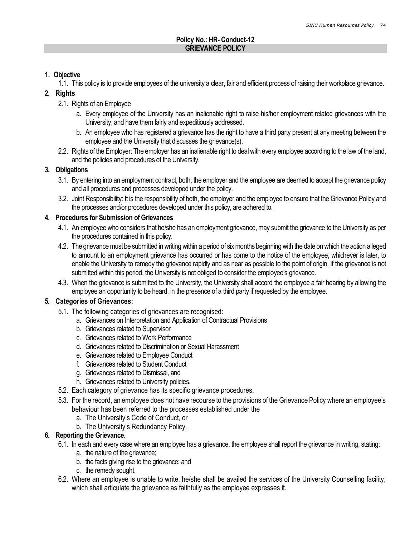### Policy No.: HR- Conduct-12 GRIEVANCE POLICY

# 1. Objective

1.1. This policy is to provide employees of the university a clear, fair and efficient process of raising their workplace grievance.

# 2. Rights

- 2.1. Rights of an Employee
	- a. Every employee of the University has an inalienable right to raise his/her employment related grievances with the University, and have them fairly and expeditiously addressed.
	- b. An employee who has registered a grievance has the right to have a third party present at any meeting between the employee and the University that discusses the grievance(s).
- 2.2. Rights of the Employer: The employer has an inalienable right to deal with every employee according to the law of the land, and the policies and procedures of the University.

# 3. Obligations

- 3.1. By entering into an employment contract, both, the employer and the employee are deemed to accept the grievance policy and all procedures and processes developed under the policy.
- 3.2. Joint Responsibility: It is the responsibility of both, the employer and the employee to ensure that the Grievance Policy and the processes and/or procedures developed under this policy, are adhered to.

# 4. Procedures for Submission of Grievances

- 4.1. An employee who considers that he/she has an employment grievance, may submit the grievance to the University as per the procedures contained in this policy.
- 4.2. The grievance must be submitted in writing within a period of six months beginning with the date on which the action alleged to amount to an employment grievance has occurred or has come to the notice of the employee, whichever is later, to enable the University to remedy the grievance rapidly and as near as possible to the point of origin. If the grievance is not submitted within this period, the University is not obliged to consider the employee's grievance.
- 4.3. When the grievance is submitted to the University, the University shall accord the employee a fair hearing by allowing the employee an opportunity to be heard, in the presence of a third party if requested by the employee.

# 5. Categories of Grievances:

- 5.1. The following categories of grievances are recognised:
	- a. Grievances on Interpretation and Application of Contractual Provisions
	- b. Grievances related to Supervisor
	- c. Grievances related to Work Performance
	- d. Grievances related to Discrimination or Sexual Harassment
	- e. Grievances related to Employee Conduct
	- f. Grievances related to Student Conduct
	- g. Grievances related to Dismissal, and
	- h. Grievances related to University policies.
- 5.2. Each category of grievance has its specific grievance procedures.
- 5.3. For the record, an employee does not have recourse to the provisions of the Grievance Policy where an employee's behaviour has been referred to the processes established under the
	- a. The University's Code of Conduct, or
	- b. The University's Redundancy Policy.

# 6. Reporting the Grievance.

- 6.1. In each and every case where an employee has a grievance, the employee shall report the grievance in writing, stating:
	- a. the nature of the grievance;
	- b. the facts giving rise to the grievance; and
	- c. the remedy sought.
- 6.2. Where an employee is unable to write, he/she shall be availed the services of the University Counselling facility, which shall articulate the grievance as faithfully as the employee expresses it.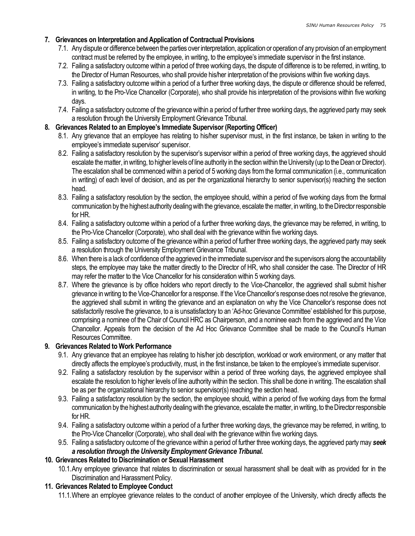# 7. Grievances on Interpretation and Application of Contractual Provisions

- 7.1. Any dispute or difference between the parties over interpretation, application or operation of any provision of an employment contract must be referred by the employee, in writing, to the employee's immediate supervisor in the first instance.
- 7.2. Failing a satisfactory outcome within a period of three working days, the dispute of difference is to be referred, in writing, to the Director of Human Resources, who shall provide his/her interpretation of the provisions within five working days.
- 7.3. Failing a satisfactory outcome within a period of a further three working days, the dispute or difference should be referred, in writing, to the Pro-Vice Chancellor (Corporate), who shall provide his interpretation of the provisions within five working days.
- 7.4. Failing a satisfactory outcome of the grievance within a period of further three working days, the aggrieved party may seek a resolution through the University Employment Grievance Tribunal.

# 8. Grievances Related to an Employee's Immediate Supervisor (Reporting Officer)

- 8.1. Any grievance that an employee has relating to his/her supervisor must, in the first instance, be taken in writing to the employee's immediate supervisor' supervisor.
- 8.2. Failing a satisfactory resolution by the supervisor's supervisor within a period of three working days, the aggrieved should escalate the matter, in writing, to higher levels of line authority in the section within the University (up to the Dean or Director). The escalation shall be commenced within a period of 5 working days from the formal communication (i.e., communication in writing) of each level of decision, and as per the organizational hierarchy to senior supervisor(s) reaching the section head.
- 8.3. Failing a satisfactory resolution by the section, the employee should, within a period of five working days from the formal communication by the highest authority dealing with the grievance, escalate the matter, in writing, to the Director responsible for HR.
- 8.4. Failing a satisfactory outcome within a period of a further three working days, the grievance may be referred, in writing, to the Pro-Vice Chancellor (Corporate), who shall deal with the grievance within five working days.
- 8.5. Failing a satisfactory outcome of the grievance within a period of further three working days, the aggrieved party may seek a resolution through the University Employment Grievance Tribunal.
- 8.6. When there is a lack of confidence of the aggrieved in the immediate supervisor and the supervisors along the accountability steps, the employee may take the matter directly to the Director of HR, who shall consider the case. The Director of HR may refer the matter to the Vice Chancellor for his consideration within 5 working days.
- 8.7. Where the grievance is by office holders who report directly to the Vice-Chancellor, the aggrieved shall submit his/her grievance in writing to the Vice-Chancellor for a response. If the Vice Chancellor's response does not resolve the grievance, the aggrieved shall submit in writing the grievance and an explanation on why the Vice Chancellor's response does not satisfactorily resolve the grievance, to a is unsatisfactory to an 'Ad-hoc Grievance Committee' established for this purpose, comprising a nominee of the Chair of Council HRC as Chairperson, and a nominee each from the aggrieved and the Vice Chancellor. Appeals from the decision of the Ad Hoc Grievance Committee shall be made to the Council's Human Resources Committee.

# 9. Grievances Related to Work Performance

- 9.1. Any grievance that an employee has relating to his/her job description, workload or work environment, or any matter that directly affects the employee's productivity, must, in the first instance, be taken to the employee's immediate supervisor.
- 9.2. Failing a satisfactory resolution by the supervisor within a period of three working days, the aggrieved employee shall escalate the resolution to higher levels of line authority within the section. This shall be done in writing. The escalation shall be as per the organizational hierarchy to senior supervisor(s) reaching the section head.
- 9.3. Failing a satisfactory resolution by the section, the employee should, within a period of five working days from the formal communication by the highest authority dealing with the grievance, escalate the matter, in writing, to the Director responsible for HR.
- 9.4. Failing a satisfactory outcome within a period of a further three working days, the grievance may be referred, in writing, to the Pro-Vice Chancellor (Corporate), who shall deal with the grievance within five working days.
- 9.5. Failing a satisfactory outcome of the grievance within a period of further three working days, the aggrieved party may seek a resolution through the University Employment Grievance Tribunal.

# 10. Grievances Related to Discrimination or Sexual Harassment

10.1.Any employee grievance that relates to discrimination or sexual harassment shall be dealt with as provided for in the Discrimination and Harassment Policy.

# 11. Grievances Related to Employee Conduct

11.1.Where an employee grievance relates to the conduct of another employee of the University, which directly affects the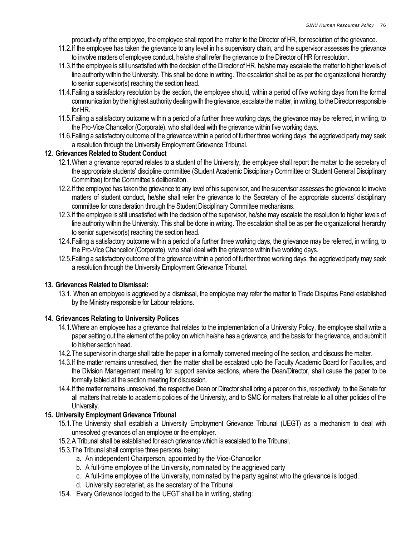productivity of the employee, the employee shall report the matter to the Director of HR, for resolution of the grievance.

- 11.2.If the employee has taken the grievance to any level in his supervisory chain, and the supervisor assesses the grievance to involve matters of employee conduct, he/she shall refer the grievance to the Director of HR for resolution.
- 11.3.If the employee is still unsatisfied with the decision of the Director of HR, he/she may escalate the matter to higher levels of line authority within the University. This shall be done in writing. The escalation shall be as per the organizational hierarchy to senior supervisor(s) reaching the section head.
- 11.4.Failing a satisfactory resolution by the section, the employee should, within a period of five working days from the formal communication by the highest authority dealing with the grievance, escalate the matter, in writing, to the Director responsible for HR.
- 11.5.Failing a satisfactory outcome within a period of a further three working days, the grievance may be referred, in writing, to the Pro-Vice Chancellor (Corporate), who shall deal with the grievance within five working days.
- 11.6.Failing a satisfactory outcome of the grievance within a period of further three working days, the aggrieved party may seek a resolution through the University Employment Grievance Tribunal.

### 12. Grievances Related to Student Conduct

- 12.1.When a grievance reported relates to a student of the University, the employee shall report the matter to the secretary of the appropriate students' discipline committee (Student Academic Disciplinary Committee or Student General Disciplinary Committee) for the Committee's deliberation.
- 12.2.If the employee has taken the grievance to any level of his supervisor, and the supervisor assesses the grievance to involve matters of student conduct, he/she shall refer the grievance to the Secretary of the appropriate students' disciplinary committee for consideration through the Student Disciplinary Committee mechanisms.
- 12.3.If the employee is still unsatisfied with the decision of the supervisor, he/she may escalate the resolution to higher levels of line authority within the University. This shall be done in writing. The escalation shall be as per the organizational hierarchy to senior supervisor(s) reaching the section head.
- 12.4.Failing a satisfactory outcome within a period of a further three working days, the grievance may be referred, in writing, to the Pro-Vice Chancellor (Corporate), who shall deal with the grievance within five working days.
- 12.5.Failing a satisfactory outcome of the grievance within a period of further three working days, the aggrieved party may seek a resolution through the University Employment Grievance Tribunal.

# 13. Grievances Related to Dismissal:

13.1. When an employee is aggrieved by a dismissal, the employee may refer the matter to Trade Disputes Panel established by the Ministry responsible for Labour relations.

# 14. Grievances Relating to University Polices

- 14.1.Where an employee has a grievance that relates to the implementation of a University Policy, the employee shall write a paper setting out the element of the policy on which he/she has a grievance, and the basis for the grievance, and submit it to his/her section head.
- 14.2.The supervisor in charge shall table the paper in a formally convened meeting of the section, and discuss the matter.
- 14.3.If the matter remains unresolved, then the matter shall be escalated upto the Faculty Academic Board for Faculties, and the Division Management meeting for support service sections, where the Dean/Director, shall cause the paper to be formally tabled at the section meeting for discussion.
- 14.4.If the matter remains unresolved, the respective Dean or Director shall bring a paper on this, respectively, to the Senate for all matters that relate to academic policies of the University, and to SMC for matters that relate to all other policies of the University.

# 15. University Employment Grievance Tribunal

- 15.1.The University shall establish a University Employment Grievance Tribunal (UEGT) as a mechanism to deal with unresolved grievances of an employee or the employer.
- 15.2.A Tribunal shall be established for each grievance which is escalated to the Tribunal.
- 15.3.The Tribunal shall comprise three persons, being:
	- a. An independent Chairperson, appointed by the Vice-Chancellor
	- b. A full-time employee of the University, nominated by the aggrieved party
	- c. A full-time employee of the University, nominated by the party against who the grievance is lodged.
	- d. University secretariat, as the secretary of the Tribunal
- 15.4. Every Grievance lodged to the UEGT shall be in writing, stating: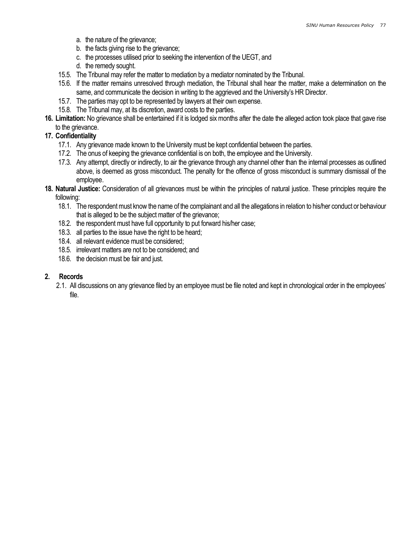- a. the nature of the grievance;
- b. the facts giving rise to the grievance;
- c. the processes utilised prior to seeking the intervention of the UEGT, and
- d. the remedy sought.
- 15.5. The Tribunal may refer the matter to mediation by a mediator nominated by the Tribunal.
- 15.6. If the matter remains unresolved through mediation, the Tribunal shall hear the matter, make a determination on the same, and communicate the decision in writing to the aggrieved and the University's HR Director.
- 15.7. The parties may opt to be represented by lawyers at their own expense.
- 15.8. The Tribunal may, at its discretion, award costs to the parties.
- 16. Limitation: No grievance shall be entertained if it is lodged six months after the date the alleged action took place that gave rise to the grievance.

### 17. Confidentiality

- 17.1. Any grievance made known to the University must be kept confidential between the parties.
- 17.2. The onus of keeping the grievance confidential is on both, the employee and the University.
- 17.3. Any attempt, directly or indirectly, to air the grievance through any channel other than the internal processes as outlined above, is deemed as gross misconduct. The penalty for the offence of gross misconduct is summary dismissal of the employee.
- 18. Natural Justice: Consideration of all grievances must be within the principles of natural justice. These principles require the following:
	- 18.1. The respondent must know the name of the complainant and all the allegations in relation to his/her conduct or behaviour that is alleged to be the subject matter of the grievance;
	- 18.2. the respondent must have full opportunity to put forward his/her case;
	- 18.3. all parties to the issue have the right to be heard;
	- 18.4. all relevant evidence must be considered;
	- 18.5. irrelevant matters are not to be considered; and
	- 18.6. the decision must be fair and just.

### 2. Records

2.1. All discussions on any grievance filed by an employee must be file noted and kept in chronological order in the employees' file.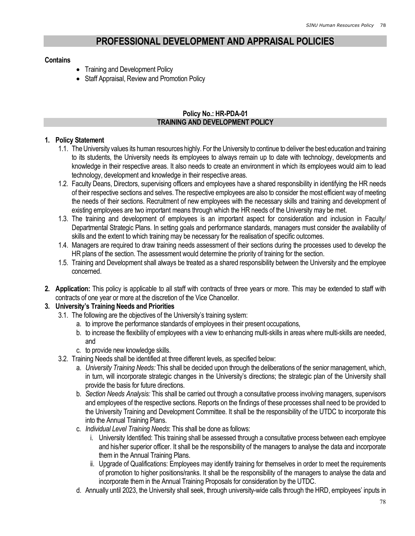# PROFESSIONAL DEVELOPMENT AND APPRAISAL POLICIES

### **Contains**

- Training and Development Policy
- Staff Appraisal, Review and Promotion Policy

### Policy No.: HR-PDA-01 TRAINING AND DEVELOPMENT POLICY

### 1. Policy Statement

- 1.1. The University values its human resources highly. For the University to continue to deliver the best education and training to its students, the University needs its employees to always remain up to date with technology, developments and knowledge in their respective areas. It also needs to create an environment in which its employees would aim to lead technology, development and knowledge in their respective areas.
- 1.2. Faculty Deans, Directors, supervising officers and employees have a shared responsibility in identifying the HR needs of their respective sections and selves. The respective employees are also to consider the most efficient way of meeting the needs of their sections. Recruitment of new employees with the necessary skills and training and development of existing employees are two important means through which the HR needs of the University may be met.
- 1.3. The training and development of employees is an important aspect for consideration and inclusion in Faculty/ Departmental Strategic Plans. In setting goals and performance standards, managers must consider the availability of skills and the extent to which training may be necessary for the realisation of specific outcomes.
- 1.4. Managers are required to draw training needs assessment of their sections during the processes used to develop the HR plans of the section. The assessment would determine the priority of training for the section.
- 1.5. Training and Development shall always be treated as a shared responsibility between the University and the employee concerned.
- 2. Application: This policy is applicable to all staff with contracts of three years or more. This may be extended to staff with contracts of one year or more at the discretion of the Vice Chancellor.

# 3. University's Training Needs and Priorities

- 3.1. The following are the objectives of the University's training system:
	- a. to improve the performance standards of employees in their present occupations,
	- b. to increase the flexibility of employees with a view to enhancing multi-skills in areas where multi-skills are needed, and
	- c. to provide new knowledge skills.
- 3.2. Training Needs shall be identified at three different levels, as specified below:
	- a. University Training Needs: This shall be decided upon through the deliberations of the senior management, which, in turn, will incorporate strategic changes in the University's directions; the strategic plan of the University shall provide the basis for future directions.
	- b. Section Needs Analysis: This shall be carried out through a consultative process involving managers, supervisors and employees of the respective sections. Reports on the findings of these processes shall need to be provided to the University Training and Development Committee. It shall be the responsibility of the UTDC to incorporate this into the Annual Training Plans.
	- c. Individual Level Training Needs: This shall be done as follows:
		- i. University Identified: This training shall be assessed through a consultative process between each employee and his/her superior officer. It shall be the responsibility of the managers to analyse the data and incorporate them in the Annual Training Plans.
		- ii. Upgrade of Qualifications: Employees may identify training for themselves in order to meet the requirements of promotion to higher positions/ranks. It shall be the responsibility of the managers to analyse the data and incorporate them in the Annual Training Proposals for consideration by the UTDC.
	- d. Annually until 2023, the University shall seek, through university-wide calls through the HRD, employees' inputs in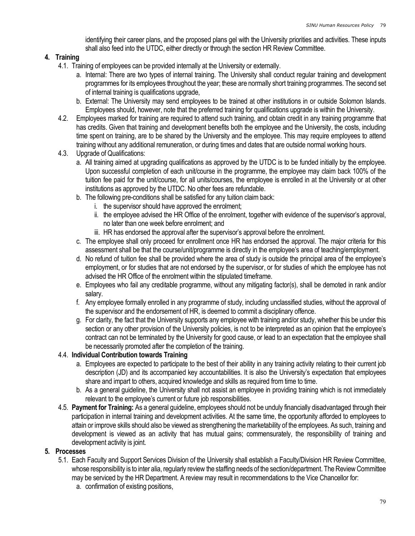identifying their career plans, and the proposed plans gel with the University priorities and activities. These inputs shall also feed into the UTDC, either directly or through the section HR Review Committee.

# 4. Training

- 4.1. Training of employees can be provided internally at the University or externally.
	- a. Internal: There are two types of internal training. The University shall conduct regular training and development programmes for its employees throughout the year; these are normally short training programmes. The second set of internal training is qualifications upgrade,
	- b. External: The University may send employees to be trained at other institutions in or outside Solomon Islands. Employees should, however, note that the preferred training for qualifications upgrade is within the University.
- 4.2. Employees marked for training are required to attend such training, and obtain credit in any training programme that has credits. Given that training and development benefits both the employee and the University, the costs, including time spent on training, are to be shared by the University and the employee. This may require employees to attend training without any additional remuneration, or during times and dates that are outside normal working hours.
- 4.3. Upgrade of Qualifications:
	- a. All training aimed at upgrading qualifications as approved by the UTDC is to be funded initially by the employee. Upon successful completion of each unit/course in the programme, the employee may claim back 100% of the tuition fee paid for the unit/course, for all units/courses, the employee is enrolled in at the University or at other institutions as approved by the UTDC. No other fees are refundable.
	- b. The following pre-conditions shall be satisfied for any tuition claim back:
		- i. the supervisor should have approved the enrolment;
		- ii. the employee advised the HR Office of the enrolment, together with evidence of the supervisor's approval, no later than one week before enrolment; and
		- iii. HR has endorsed the approval after the supervisor's approval before the enrolment.
	- c. The employee shall only proceed for enrollment once HR has endorsed the approval. The major criteria for this assessment shall be that the course/unit/programme is directly in the employee's area of teaching/employment.
	- d. No refund of tuition fee shall be provided where the area of study is outside the principal area of the employee's employment, or for studies that are not endorsed by the supervisor, or for studies of which the employee has not advised the HR Office of the enrolment within the stipulated timeframe.
	- e. Employees who fail any creditable programme, without any mitigating factor(s), shall be demoted in rank and/or salary.
	- f. Any employee formally enrolled in any programme of study, including unclassified studies, without the approval of the supervisor and the endorsement of HR, is deemed to commit a disciplinary offence.
	- g. For clarity, the fact that the University supports any employee with training and/or study, whether this be under this section or any other provision of the University policies, is not to be interpreted as an opinion that the employee's contract can not be terminated by the University for good cause, or lead to an expectation that the employee shall be necessarily promoted after the completion of the training.

# 4.4. Individual Contribution towards Training

- a. Employees are expected to participate to the best of their ability in any training activity relating to their current job description (JD) and its accompanied key accountabilities. It is also the University's expectation that employees share and impart to others, acquired knowledge and skills as required from time to time.
- b. As a general guideline, the University shall not assist an employee in providing training which is not immediately relevant to the employee's current or future job responsibilities.
- 4.5. Payment for Training: As a general guideline, employees should not be unduly financially disadvantaged through their participation in internal training and development activities. At the same time, the opportunity afforded to employees to attain or improve skills should also be viewed as strengthening the marketability of the employees. As such, training and development is viewed as an activity that has mutual gains; commensurately, the responsibility of training and development activity is joint.

# 5. Processes

- 5.1. Each Faculty and Support Services Division of the University shall establish a Faculty/Division HR Review Committee, whose responsibility is to inter alia, regularly review the staffing needs of the section/department. The Review Committee may be serviced by the HR Department. A review may result in recommendations to the Vice Chancellor for:
	- a. confirmation of existing positions,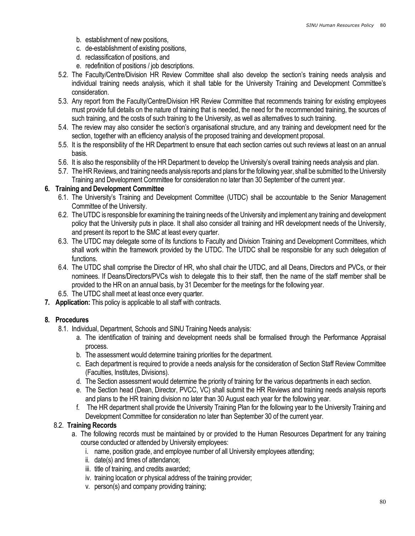- b. establishment of new positions,
- c. de-establishment of existing positions,
- d. reclassification of positions, and
- e. redefinition of positions / job descriptions.
- 5.2. The Faculty/Centre/Division HR Review Committee shall also develop the section's training needs analysis and individual training needs analysis, which it shall table for the University Training and Development Committee's consideration.
- 5.3. Any report from the Faculty/Centre/Division HR Review Committee that recommends training for existing employees must provide full details on the nature of training that is needed, the need for the recommended training, the sources of such training, and the costs of such training to the University, as well as alternatives to such training.
- 5.4. The review may also consider the section's organisational structure, and any training and development need for the section, together with an efficiency analysis of the proposed training and development proposal.
- 5.5. It is the responsibility of the HR Department to ensure that each section carries out such reviews at least on an annual basis.
- 5.6. It is also the responsibility of the HR Department to develop the University's overall training needs analysis and plan.
- 5.7. The HR Reviews, and training needs analysis reports and plans for the following year, shall be submitted to the University Training and Development Committee for consideration no later than 30 September of the current year.

# 6. Training and Development Committee

- 6.1. The University's Training and Development Committee (UTDC) shall be accountable to the Senior Management Committee of the University.
- 6.2. The UTDC is responsible for examining the training needs of the University and implement any training and development policy that the University puts in place. It shall also consider all training and HR development needs of the University, and present its report to the SMC at least every quarter.
- 6.3. The UTDC may delegate some of its functions to Faculty and Division Training and Development Committees, which shall work within the framework provided by the UTDC. The UTDC shall be responsible for any such delegation of functions.
- 6.4. The UTDC shall comprise the Director of HR, who shall chair the UTDC, and all Deans, Directors and PVCs, or their nominees. If Deans/Directors/PVCs wish to delegate this to their staff, then the name of the staff member shall be provided to the HR on an annual basis, by 31 December for the meetings for the following year.
- 6.5. The UTDC shall meet at least once every quarter.
- 7. Application: This policy is applicable to all staff with contracts.

# 8. Procedures

- 8.1. Individual, Department, Schools and SINU Training Needs analysis:
	- a. The identification of training and development needs shall be formalised through the Performance Appraisal process.
	- b. The assessment would determine training priorities for the department.
	- c. Each department is required to provide a needs analysis for the consideration of Section Staff Review Committee (Faculties, Institutes, Divisions).
	- d. The Section assessment would determine the priority of training for the various departments in each section.
	- e. The Section head (Dean, Director, PVCC, VC) shall submit the HR Reviews and training needs analysis reports and plans to the HR training division no later than 30 August each year for the following year.
	- f. The HR department shall provide the University Training Plan for the following year to the University Training and Development Committee for consideration no later than September 30 of the current year.

# 8.2. Training Records

- a. The following records must be maintained by or provided to the Human Resources Department for any training course conducted or attended by University employees:
	- i. name, position grade, and employee number of all University employees attending;
	- ii. date(s) and times of attendance;
	- iii. title of training, and credits awarded;
	- iv. training location or physical address of the training provider;
	- v. person(s) and company providing training;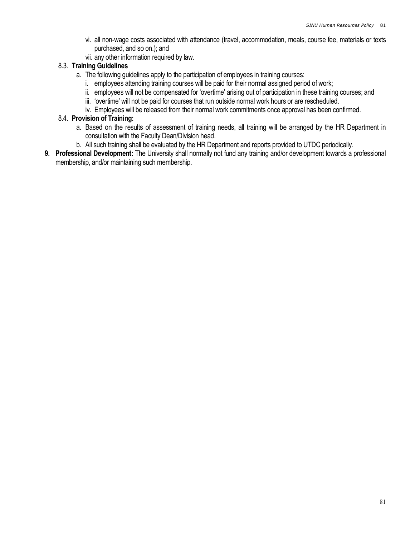- vi. all non-wage costs associated with attendance (travel, accommodation, meals, course fee, materials or texts purchased, and so on.); and
- vii. any other information required by law.

# 8.3. Training Guidelines

- a. The following guidelines apply to the participation of employees in training courses:
	- i. employees attending training courses will be paid for their normal assigned period of work;
	- ii. employees will not be compensated for 'overtime' arising out of participation in these training courses; and
	- iii. 'overtime' will not be paid for courses that run outside normal work hours or are rescheduled.
	- iv. Employees will be released from their normal work commitments once approval has been confirmed.

### 8.4. Provision of Training:

- a. Based on the results of assessment of training needs, all training will be arranged by the HR Department in consultation with the Faculty Dean/Division head.
- b. All such training shall be evaluated by the HR Department and reports provided to UTDC periodically.
- 9. Professional Development: The University shall normally not fund any training and/or development towards a professional membership, and/or maintaining such membership.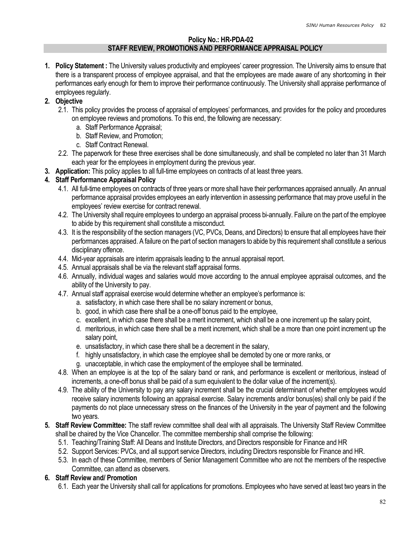#### Policy No.: HR-PDA-02 STAFF REVIEW, PROMOTIONS AND PERFORMANCE APPRAISAL POLICY

1. Policy Statement: The University values productivity and employees' career progression. The University aims to ensure that there is a transparent process of employee appraisal, and that the employees are made aware of any shortcoming in their performances early enough for them to improve their performance continuously. The University shall appraise performance of employees regularly.

# 2. Objective

- 2.1. This policy provides the process of appraisal of employees' performances, and provides for the policy and procedures on employee reviews and promotions. To this end, the following are necessary:
	- a. Staff Performance Appraisal;
	- b. Staff Review, and Promotion;
	- c. Staff Contract Renewal.
- 2.2. The paperwork for these three exercises shall be done simultaneously, and shall be completed no later than 31 March each year for the employees in employment during the previous year.
- 3. Application: This policy applies to all full-time employees on contracts of at least three years.

# 4. Staff Performance Appraisal Policy

- 4.1. All full-time employees on contracts of three years or more shall have their performances appraised annually. An annual performance appraisal provides employees an early intervention in assessing performance that may prove useful in the employees' review exercise for contract renewal.
- 4.2. The University shall require employees to undergo an appraisal process bi-annually. Failure on the part of the employee to abide by this requirement shall constitute a misconduct.
- 4.3. It is the responsibility of the section managers (VC, PVCs, Deans, and Directors) to ensure that all employees have their performances appraised. A failure on the part of section managers to abide by this requirement shall constitute a serious disciplinary offence.
- 4.4. Mid-year appraisals are interim appraisals leading to the annual appraisal report.
- 4.5. Annual appraisals shall be via the relevant staff appraisal forms.
- 4.6. Annually, individual wages and salaries would move according to the annual employee appraisal outcomes, and the ability of the University to pay.
- 4.7. Annual staff appraisal exercise would determine whether an employee's performance is:
	- a. satisfactory, in which case there shall be no salary increment or bonus,
	- b. good, in which case there shall be a one-off bonus paid to the employee,
	- c. excellent, in which case there shall be a merit increment, which shall be a one increment up the salary point,
	- d. meritorious, in which case there shall be a merit increment, which shall be a more than one point increment up the salary point,
	- e. unsatisfactory, in which case there shall be a decrement in the salary,
	- f. highly unsatisfactory, in which case the employee shall be demoted by one or more ranks, or
	- g. unacceptable, in which case the employment of the employee shall be terminated.
- 4.8. When an employee is at the top of the salary band or rank, and performance is excellent or meritorious, instead of increments, a one-off bonus shall be paid of a sum equivalent to the dollar value of the increment(s).
- 4.9. The ability of the University to pay any salary increment shall be the crucial determinant of whether employees would receive salary increments following an appraisal exercise. Salary increments and/or bonus(es) shall only be paid if the payments do not place unnecessary stress on the finances of the University in the year of payment and the following two years.
- 5. Staff Review Committee: The staff review committee shall deal with all appraisals. The University Staff Review Committee shall be chaired by the Vice Chancellor. The committee membership shall comprise the following:
	- 5.1. Teaching/Training Staff: All Deans and Institute Directors, and Directors responsible for Finance and HR
	- 5.2. Support Services: PVCs, and all support service Directors, including Directors responsible for Finance and HR.
	- 5.3. In each of these Committee, members of Senior Management Committee who are not the members of the respective Committee, can attend as observers.

# 6. Staff Review and/ Promotion

6.1. Each year the University shall call for applications for promotions. Employees who have served at least two years in the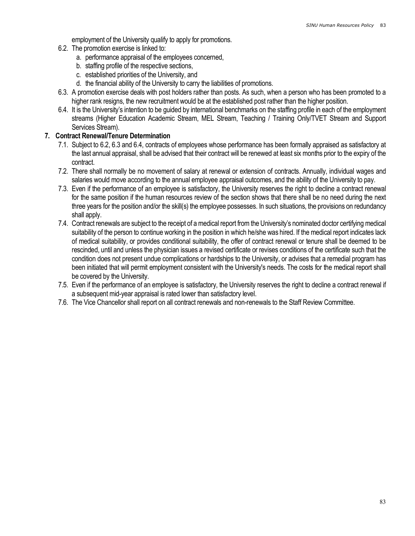employment of the University qualify to apply for promotions.

- 6.2. The promotion exercise is linked to:
	- a. performance appraisal of the employees concerned,
	- b. staffing profile of the respective sections,
	- c. established priorities of the University, and
	- d. the financial ability of the University to carry the liabilities of promotions.
- 6.3. A promotion exercise deals with post holders rather than posts. As such, when a person who has been promoted to a higher rank resigns, the new recruitment would be at the established post rather than the higher position.
- 6.4. It is the University's intention to be guided by international benchmarks on the staffing profile in each of the employment streams (Higher Education Academic Stream, MEL Stream, Teaching / Training Only/TVET Stream and Support Services Stream).

### 7. Contract Renewal/Tenure Determination

- 7.1. Subject to 6.2, 6.3 and 6.4, contracts of employees whose performance has been formally appraised as satisfactory at the last annual appraisal, shall be advised that their contract will be renewed at least six months prior to the expiry of the contract.
- 7.2. There shall normally be no movement of salary at renewal or extension of contracts. Annually, individual wages and salaries would move according to the annual employee appraisal outcomes, and the ability of the University to pay.
- 7.3. Even if the performance of an employee is satisfactory, the University reserves the right to decline a contract renewal for the same position if the human resources review of the section shows that there shall be no need during the next three years for the position and/or the skill(s) the employee possesses. In such situations, the provisions on redundancy shall apply.
- 7.4. Contract renewals are subject to the receipt of a medical report from the University's nominated doctor certifying medical suitability of the person to continue working in the position in which he/she was hired. If the medical report indicates lack of medical suitability, or provides conditional suitability, the offer of contract renewal or tenure shall be deemed to be rescinded, until and unless the physician issues a revised certificate or revises conditions of the certificate such that the condition does not present undue complications or hardships to the University, or advises that a remedial program has been initiated that will permit employment consistent with the University's needs. The costs for the medical report shall be covered by the University.
- 7.5. Even if the performance of an employee is satisfactory, the University reserves the right to decline a contract renewal if a subsequent mid-year appraisal is rated lower than satisfactory level.
- 7.6. The Vice Chancellor shall report on all contract renewals and non-renewals to the Staff Review Committee.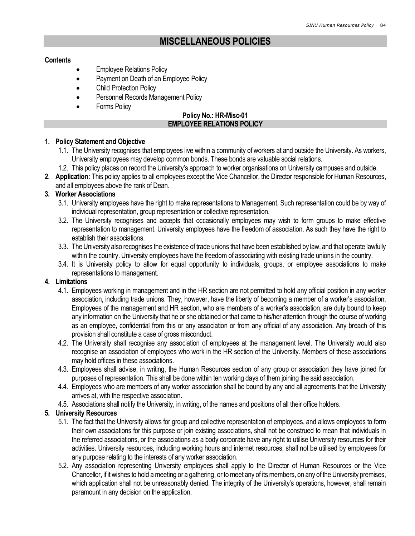# MISCELLANEOUS POLICIES

#### **Contents**

- Employee Relations Policy
- Payment on Death of an Employee Policy
- Child Protection Policy
- Personnel Records Management Policy
- Forms Policy

### Policy No.: HR-Misc-01 EMPLOYEE RELATIONS POLICY

### 1. Policy Statement and Objective

- 1.1. The University recognises that employees live within a community of workers at and outside the University. As workers, University employees may develop common bonds. These bonds are valuable social relations.
- 1.2. This policy places on record the University's approach to worker organisations on University campuses and outside.
- 2. Application: This policy applies to all employees except the Vice Chancellor, the Director responsible for Human Resources, and all employees above the rank of Dean.

### 3. Worker Associations

- 3.1. University employees have the right to make representations to Management. Such representation could be by way of individual representation, group representation or collective representation.
- 3.2. The University recognises and accepts that occasionally employees may wish to form groups to make effective representation to management. University employees have the freedom of association. As such they have the right to establish their associations.
- 3.3. The University also recognises the existence of trade unions that have been established by law, and that operate lawfully within the country. University employees have the freedom of associating with existing trade unions in the country.
- 3.4. It is University policy to allow for equal opportunity to individuals, groups, or employee associations to make representations to management.

### 4. Limitations

- 4.1. Employees working in management and in the HR section are not permitted to hold any official position in any worker association, including trade unions. They, however, have the liberty of becoming a member of a worker's association. Employees of the management and HR section, who are members of a worker's association, are duty bound to keep any information on the University that he or she obtained or that came to his/her attention through the course of working as an employee, confidential from this or any association or from any official of any association. Any breach of this provision shall constitute a case of gross misconduct.
- 4.2. The University shall recognise any association of employees at the management level. The University would also recognise an association of employees who work in the HR section of the University. Members of these associations may hold offices in these associations.
- 4.3. Employees shall advise, in writing, the Human Resources section of any group or association they have joined for purposes of representation. This shall be done within ten working days of them joining the said association.
- 4.4. Employees who are members of any worker association shall be bound by any and all agreements that the University arrives at, with the respective association.
- 4.5. Associations shall notify the University, in writing, of the names and positions of all their office holders.

### 5. University Resources

- 5.1. The fact that the University allows for group and collective representation of employees, and allows employees to form their own associations for this purpose or join existing associations, shall not be construed to mean that individuals in the referred associations, or the associations as a body corporate have any right to utilise University resources for their activities. University resources, including working hours and internet resources, shall not be utilised by employees for any purpose relating to the interests of any worker association.
- 5.2. Any association representing University employees shall apply to the Director of Human Resources or the Vice Chancellor, if it wishes to hold a meeting or a gathering, or to meet any of its members, on any of the University premises, which application shall not be unreasonably denied. The integrity of the University's operations, however, shall remain paramount in any decision on the application.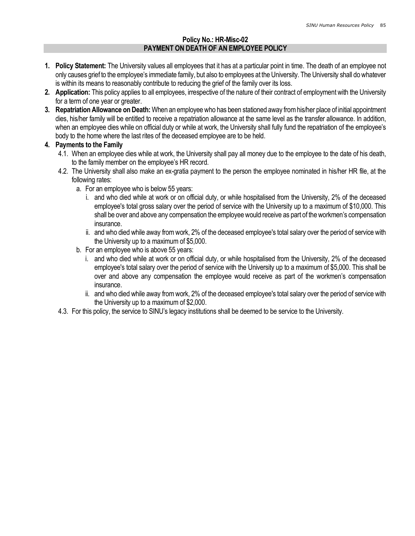### Policy No.: HR-Misc-02 PAYMENT ON DEATH OF AN EMPLOYEE POLICY

- 1. Policy Statement: The University values all employees that it has at a particular point in time. The death of an employee not only causes grief to the employee's immediate family, but also to employees at the University. The University shall do whatever is within its means to reasonably contribute to reducing the grief of the family over its loss.
- 2. Application: This policy applies to all employees, irrespective of the nature of their contract of employment with the University for a term of one year or greater.
- 3. Repatriation Allowance on Death: When an employee who has been stationed away from his/her place of initial appointment dies, his/her family will be entitled to receive a repatriation allowance at the same level as the transfer allowance. In addition, when an employee dies while on official duty or while at work, the University shall fully fund the repatriation of the employee's body to the home where the last rites of the deceased employee are to be held.

### 4. Payments to the Family

- 4.1. When an employee dies while at work, the University shall pay all money due to the employee to the date of his death, to the family member on the employee's HR record.
- 4.2. The University shall also make an ex-gratia payment to the person the employee nominated in his/her HR file, at the following rates:
	- a. For an employee who is below 55 years:
		- i. and who died while at work or on official duty, or while hospitalised from the University, 2% of the deceased employee's total gross salary over the period of service with the University up to a maximum of \$10,000. This shall be over and above any compensation the employee would receive as part of the workmen's compensation insurance.
		- ii. and who died while away from work, 2% of the deceased employee's total salary over the period of service with the University up to a maximum of \$5,000.
	- b. For an employee who is above 55 years:
		- i. and who died while at work or on official duty, or while hospitalised from the University, 2% of the deceased employee's total salary over the period of service with the University up to a maximum of \$5,000. This shall be over and above any compensation the employee would receive as part of the workmen's compensation insurance.
		- ii. and who died while away from work, 2% of the deceased employee's total salary over the period of service with the University up to a maximum of \$2,000.
- 4.3. For this policy, the service to SINU's legacy institutions shall be deemed to be service to the University.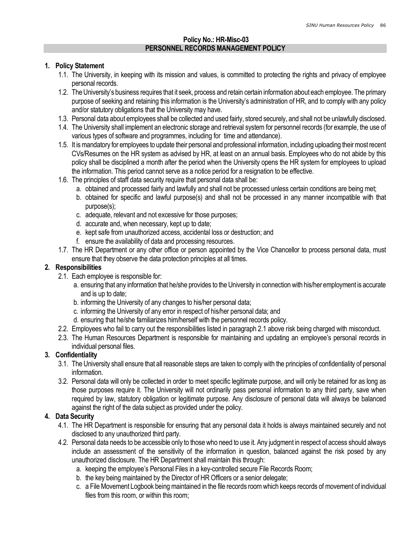### Policy No.: HR-Misc-03 PERSONNEL RECORDS MANAGEMENT POLICY

#### 1. Policy Statement

- 1.1. The University, in keeping with its mission and values, is committed to protecting the rights and privacy of employee personal records.
- 1.2. The University's business requires that it seek, process and retain certain information about each employee. The primary purpose of seeking and retaining this information is the University's administration of HR, and to comply with any policy and/or statutory obligations that the University may have.
- 1.3. Personal data about employees shall be collected and used fairly, stored securely, and shall not be unlawfully disclosed.
- 1.4. The University shall implement an electronic storage and retrieval system for personnel records (for example, the use of various types of software and programmes, including for time and attendance).
- 1.5. It is mandatory for employees to update their personal and professional information, including uploading their most recent CVs/Resumes on the HR system as advised by HR, at least on an annual basis. Employees who do not abide by this policy shall be disciplined a month after the period when the University opens the HR system for employees to upload the information. This period cannot serve as a notice period for a resignation to be effective.
- 1.6. The principles of staff data security require that personal data shall be:
	- a. obtained and processed fairly and lawfully and shall not be processed unless certain conditions are being met;
	- b. obtained for specific and lawful purpose(s) and shall not be processed in any manner incompatible with that purpose(s);
	- c. adequate, relevant and not excessive for those purposes;
	- d. accurate and, when necessary, kept up to date;
	- e. kept safe from unauthorized access, accidental loss or destruction; and
	- f. ensure the availability of data and processing resources.
- 1.7. The HR Department or any other office or person appointed by the Vice Chancellor to process personal data, must ensure that they observe the data protection principles at all times.

### 2. Responsibilities

- 2.1. Each employee is responsible for:
	- a. ensuring that any information that he/she provides to the University in connection with his/her employment is accurate and is up to date;
	- b. informing the University of any changes to his/her personal data;
	- c. informing the University of any error in respect of his/her personal data; and
	- d. ensuring that he/she familiarizes him/herself with the personnel records policy.
- 2.2. Employees who fail to carry out the responsibilities listed in paragraph 2.1 above risk being charged with misconduct.
- 2.3. The Human Resources Department is responsible for maintaining and updating an employee's personal records in individual personal files.

# 3. Confidentiality

- 3.1. The University shall ensure that all reasonable steps are taken to comply with the principles of confidentiality of personal information.
- 3.2. Personal data will only be collected in order to meet specific legitimate purpose, and will only be retained for as long as those purposes require it. The University will not ordinarily pass personal information to any third party, save when required by law, statutory obligation or legitimate purpose. Any disclosure of personal data will always be balanced against the right of the data subject as provided under the policy.

# 4. Data Security

- 4.1. The HR Department is responsible for ensuring that any personal data it holds is always maintained securely and not disclosed to any unauthorized third party.
- 4.2. Personal data needs to be accessible only to those who need to use it. Any judgment in respect of access should always include an assessment of the sensitivity of the information in question, balanced against the risk posed by any unauthorized disclosure. The HR Department shall maintain this through:
	- a. keeping the employee's Personal Files in a key-controlled secure File Records Room;
	- b. the key being maintained by the Director of HR Officers or a senior delegate;
	- c. a File Movement Logbook being maintained in the file records room which keeps records of movement of individual files from this room, or within this room;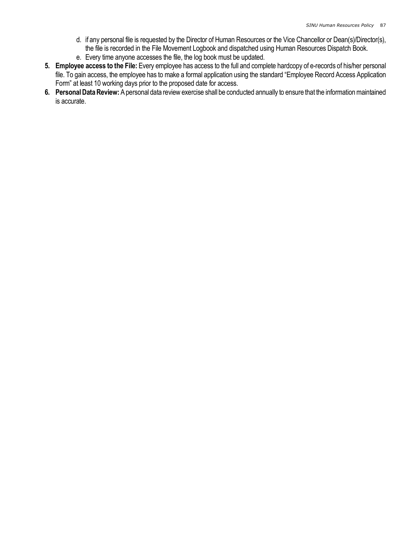- d. if any personal file is requested by the Director of Human Resources or the Vice Chancellor or Dean(s)/Director(s), the file is recorded in the File Movement Logbook and dispatched using Human Resources Dispatch Book.
- e. Every time anyone accesses the file, the log book must be updated.
- 5. Employee access to the File: Every employee has access to the full and complete hardcopy of e-records of his/her personal file. To gain access, the employee has to make a formal application using the standard "Employee Record Access Application Form" at least 10 working days prior to the proposed date for access.
- 6. Personal Data Review: A personal data review exercise shall be conducted annually to ensure that the information maintained is accurate.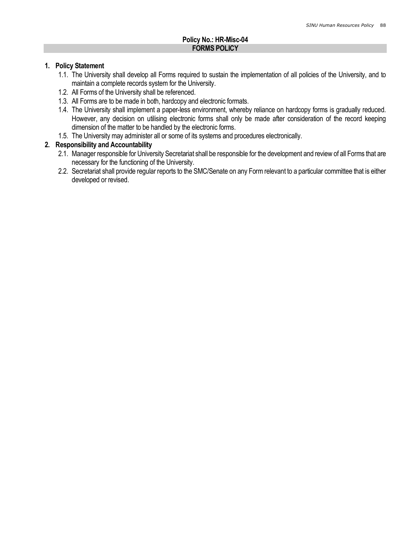### Policy No.: HR-Misc-04 FORMS POLICY

#### 1. Policy Statement

- 1.1. The University shall develop all Forms required to sustain the implementation of all policies of the University, and to maintain a complete records system for the University.
- 1.2. All Forms of the University shall be referenced.
- 1.3. All Forms are to be made in both, hardcopy and electronic formats.
- 1.4. The University shall implement a paper-less environment, whereby reliance on hardcopy forms is gradually reduced. However, any decision on utilising electronic forms shall only be made after consideration of the record keeping dimension of the matter to be handled by the electronic forms.
- 1.5. The University may administer all or some of its systems and procedures electronically.

### 2. Responsibility and Accountability

- 2.1. Manager responsible for University Secretariat shall be responsible for the development and review of all Forms that are necessary for the functioning of the University.
- 2.2. Secretariat shall provide regular reports to the SMC/Senate on any Form relevant to a particular committee that is either developed or revised.